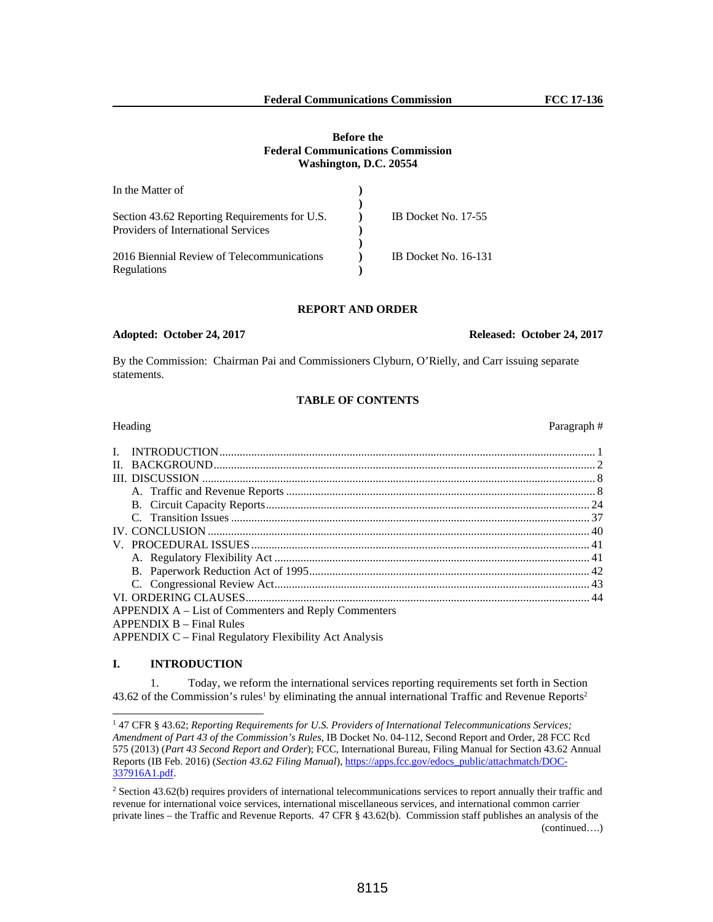## **Before the Federal Communications Commission Washington, D.C. 20554**

| In the Matter of                              |                      |
|-----------------------------------------------|----------------------|
|                                               |                      |
| Section 43.62 Reporting Requirements for U.S. | IB Docket No. 17-55  |
| Providers of International Services           |                      |
|                                               |                      |
| 2016 Biennial Review of Telecommunications    | IB Docket No. 16-131 |
| Regulations                                   |                      |

#### **REPORT AND ORDER**

## **Adopted: October 24, 2017 Released: October 24, 2017**

By the Commission: Chairman Pai and Commissioners Clyburn, O'Rielly, and Carr issuing separate statements.

## **TABLE OF CONTENTS**

# Heading **Paragraph #** Paragraph # 2014 **Paragraph #** 2014 **Paragraph #** 2014 **Paragraph #** 2014 **Paragraph #** 2014 **Paragraph #** 2014 **Paragraph #** 2014 **Paragraph #** 2014 **Paragraph #** 2014 **Paragraph #** 2014 **Paragraph #** I. INTRODUCTION .................................................................................................................................. 1 II. BACKGROUND .................................................................................................................................... 2 III. DISCUSSION ........................................................................................................................................ 8 A. Traffic and Revenue Reports ........................................................................................................... 8 B. Circuit Capacity Reports ................................................................................................................ 24 C. Transition Issues ............................................................................................................................ 37 IV. CONCLUSION .................................................................................................................................... 40 V. PROCEDURAL ISSUES ..................................................................................................................... 41 A. Regulatory Flexibility Act ............................................................................................................. 41 B. Paperwork Reduction Act of 1995 ................................................................................................. 42 C. Congressional Review Act ............................................................................................................. 43 VI. ORDERING CLAUSES ....................................................................................................................... 44 APPENDIX A – List of Commenters and Reply Commenters APPENDIX B – Final Rules

APPENDIX C – Final Regulatory Flexibility Act Analysis

## **I. INTRODUCTION**

 $\overline{a}$ 

1. Today, we reform the international services reporting requirements set forth in Section 43.62 of the Commission's rules<sup>1</sup> by eliminating the annual international Traffic and Revenue Reports<sup>2</sup>

<sup>1</sup> 47 CFR § 43.62; *Reporting Requirements for U.S. Providers of International Telecommunications Services; Amendment of Part 43 of the Commission's Rules*, IB Docket No. 04-112, Second Report and Order, 28 FCC Rcd 575 (2013) (*Part 43 Second Report and Order*); FCC, International Bureau, Filing Manual for Section 43.62 Annual Reports (IB Feb. 2016) (*Section 43.62 Filing Manual*), https://apps.fcc.gov/edocs\_public/attachmatch/DOC-337916A1.pdf.

<sup>&</sup>lt;sup>2</sup> Section 43.62(b) requires providers of international telecommunications services to report annually their traffic and revenue for international voice services, international miscellaneous services, and international common carrier private lines – the Traffic and Revenue Reports. 47 CFR § 43.62(b). Commission staff publishes an analysis of the (continued….)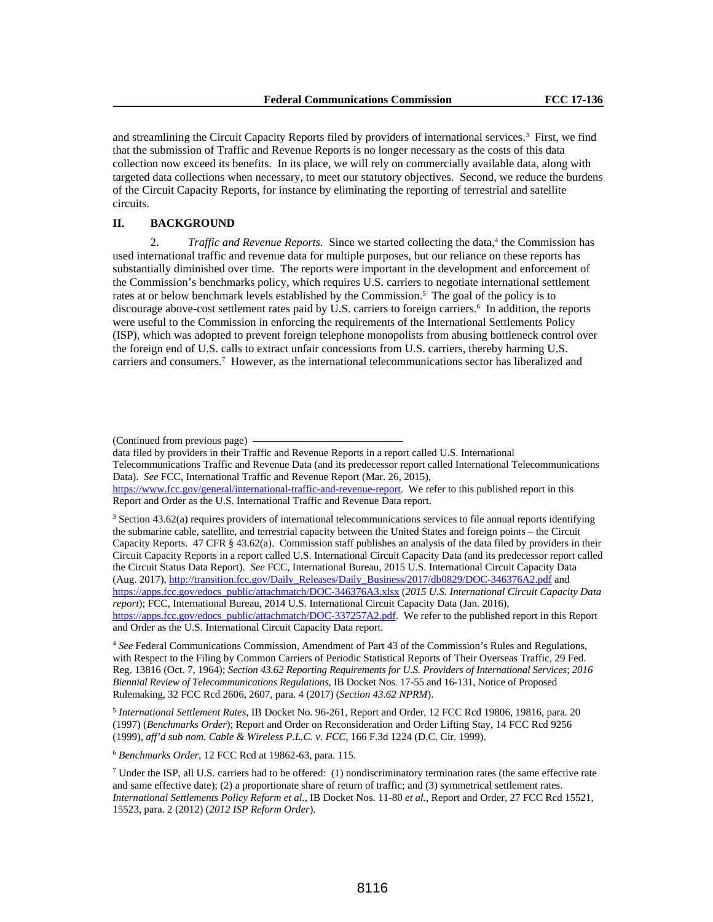and streamlining the Circuit Capacity Reports filed by providers of international services.<sup>3</sup> First, we find that the submission of Traffic and Revenue Reports is no longer necessary as the costs of this data collection now exceed its benefits. In its place, we will rely on commercially available data, along with targeted data collections when necessary, to meet our statutory objectives. Second, we reduce the burdens of the Circuit Capacity Reports, for instance by eliminating the reporting of terrestrial and satellite circuits.

## **II. BACKGROUND**

2. *Traffic and Revenue Reports*. Since we started collecting the data,<sup>4</sup> the Commission has used international traffic and revenue data for multiple purposes, but our reliance on these reports has substantially diminished over time. The reports were important in the development and enforcement of the Commission's benchmarks policy, which requires U.S. carriers to negotiate international settlement rates at or below benchmark levels established by the Commission.<sup>5</sup> The goal of the policy is to discourage above-cost settlement rates paid by U.S. carriers to foreign carriers.<sup>6</sup> In addition, the reports were useful to the Commission in enforcing the requirements of the International Settlements Policy (ISP), which was adopted to prevent foreign telephone monopolists from abusing bottleneck control over the foreign end of U.S. calls to extract unfair concessions from U.S. carriers, thereby harming U.S. carriers and consumers.7 However, as the international telecommunications sector has liberalized and

3 Section 43.62(a) requires providers of international telecommunications services to file annual reports identifying the submarine cable, satellite, and terrestrial capacity between the United States and foreign points – the Circuit Capacity Reports. 47 CFR § 43.62(a). Commission staff publishes an analysis of the data filed by providers in their Circuit Capacity Reports in a report called U.S. International Circuit Capacity Data (and its predecessor report called the Circuit Status Data Report). *See* FCC, International Bureau, 2015 U.S. International Circuit Capacity Data (Aug. 2017), http://transition.fcc.gov/Daily\_Releases/Daily\_Business/2017/db0829/DOC-346376A2.pdf and https://apps.fcc.gov/edocs\_public/attachmatch/DOC-346376A3.xlsx (*2015 U.S. International Circuit Capacity Data report*); FCC, International Bureau, 2014 U.S. International Circuit Capacity Data (Jan. 2016), https://apps.fcc.gov/edocs\_public/attachmatch/DOC-337257A2.pdf. We refer to the published report in this Report and Order as the U.S. International Circuit Capacity Data report.

<sup>4</sup> *See* Federal Communications Commission, Amendment of Part 43 of the Commission's Rules and Regulations, with Respect to the Filing by Common Carriers of Periodic Statistical Reports of Their Overseas Traffic, 29 Fed. Reg. 13816 (Oct. 7, 1964); *Section 43.62 Reporting Requirements for U.S. Providers of International Services*; *2016 Biennial Review of Telecommunications Regulations*, IB Docket Nos. 17-55 and 16-131, Notice of Proposed Rulemaking, 32 FCC Rcd 2606, 2607, para. 4 (2017) (*Section 43.62 NPRM*).

<sup>5</sup> *International Settlement Rates*, IB Docket No. 96-261, Report and Order, 12 FCC Rcd 19806, 19816, para. 20 (1997) (*Benchmarks Order*); Report and Order on Reconsideration and Order Lifting Stay, 14 FCC Rcd 9256 (1999), *aff'd sub nom. Cable & Wireless P.L.C. v. FCC*, 166 F.3d 1224 (D.C. Cir. 1999).

<sup>6</sup> *Benchmarks Order*, 12 FCC Rcd at 19862-63, para. 115.

<sup>(</sup>Continued from previous page)

data filed by providers in their Traffic and Revenue Reports in a report called U.S. International Telecommunications Traffic and Revenue Data (and its predecessor report called International Telecommunications Data). *See* FCC, International Traffic and Revenue Report (Mar. 26, 2015), https://www.fcc.gov/general/international-traffic-and-revenue-report. We refer to this published report in this Report and Order as the U.S. International Traffic and Revenue Data report.

 $^7$  Under the ISP, all U.S. carriers had to be offered: (1) nondiscriminatory termination rates (the same effective rate and same effective date); (2) a proportionate share of return of traffic; and (3) symmetrical settlement rates. *International Settlements Policy Reform et al*., IB Docket Nos. 11-80 *et al.*, Report and Order, 27 FCC Rcd 15521, 15523, para. 2 (2012) (*2012 ISP Reform Order*).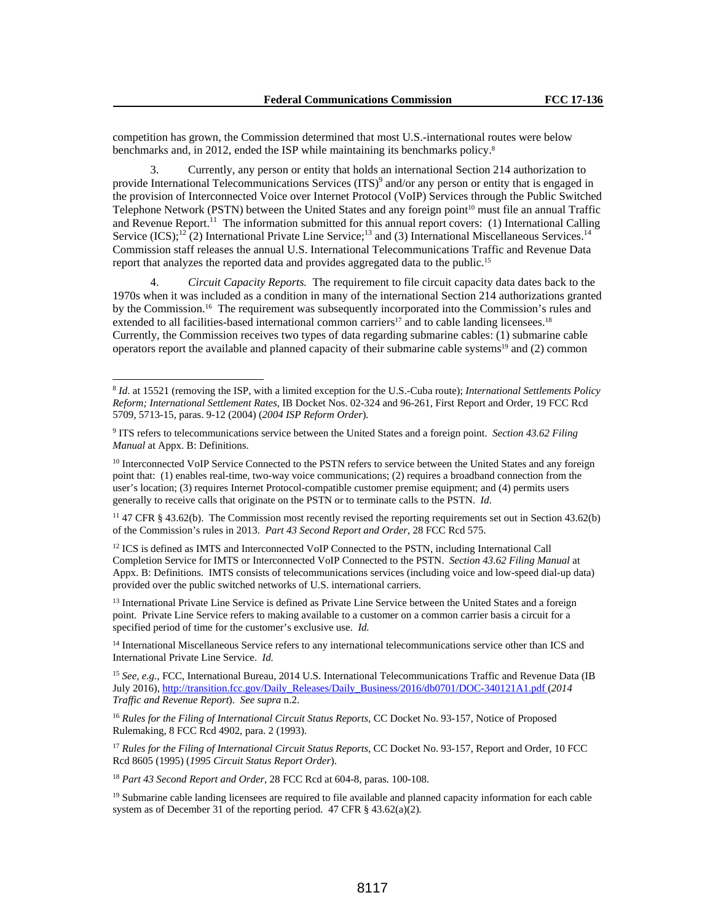competition has grown, the Commission determined that most U.S.-international routes were below benchmarks and, in 2012, ended the ISP while maintaining its benchmarks policy.8

3. Currently, any person or entity that holds an international Section 214 authorization to provide International Telecommunications Services (ITS)<sup>9</sup> and/or any person or entity that is engaged in the provision of Interconnected Voice over Internet Protocol (VoIP) Services through the Public Switched Telephone Network (PSTN) between the United States and any foreign point<sup>10</sup> must file an annual Traffic and Revenue Report.<sup>11</sup> The information submitted for this annual report covers: (1) International Calling Service  $(ICS)$ ;<sup>12</sup>(2) International Private Line Service;<sup>13</sup> and (3) International Miscellaneous Services.<sup>14</sup> Commission staff releases the annual U.S. International Telecommunications Traffic and Revenue Data report that analyzes the reported data and provides aggregated data to the public.15

4. *Circuit Capacity Reports.* The requirement to file circuit capacity data dates back to the 1970s when it was included as a condition in many of the international Section 214 authorizations granted by the Commission.16 The requirement was subsequently incorporated into the Commission's rules and extended to all facilities-based international common carriers<sup>17</sup> and to cable landing licensees.<sup>18</sup> Currently, the Commission receives two types of data regarding submarine cables: (1) submarine cable operators report the available and planned capacity of their submarine cable systems<sup>19</sup> and (2) common

<sup>11</sup> 47 CFR § 43.62(b). The Commission most recently revised the reporting requirements set out in Section 43.62(b) of the Commission's rules in 2013. *Part 43 Second Report and Order*, 28 FCC Rcd 575.

<sup>12</sup> ICS is defined as IMTS and Interconnected VoIP Connected to the PSTN, including International Call Completion Service for IMTS or Interconnected VoIP Connected to the PSTN. *Section 43.62 Filing Manual* at Appx. B: Definitions. IMTS consists of telecommunications services (including voice and low-speed dial-up data) provided over the public switched networks of U.S. international carriers.

<sup>13</sup> International Private Line Service is defined as Private Line Service between the United States and a foreign point. Private Line Service refers to making available to a customer on a common carrier basis a circuit for a specified period of time for the customer's exclusive use. *Id.*

<sup>14</sup> International Miscellaneous Service refers to any international telecommunications service other than ICS and International Private Line Service. *Id.*

<sup>15</sup> *See, e.g.*, FCC, International Bureau, 2014 U.S. International Telecommunications Traffic and Revenue Data (IB July 2016), http://transition.fcc.gov/Daily\_Releases/Daily\_Business/2016/db0701/DOC-340121A1.pdf (*2014 Traffic and Revenue Report*). *See supra* n.2.

<sup>16</sup> Rules for the Filing of International Circuit Status Reports, CC Docket No. 93-157, Notice of Proposed Rulemaking, 8 FCC Rcd 4902, para. 2 (1993).

<sup>17</sup> Rules for the Filing of International Circuit Status Reports, CC Docket No. 93-157, Report and Order, 10 FCC Rcd 8605 (1995) (*1995 Circuit Status Report Order*).

<sup>18</sup> *Part 43 Second Report and Order,* 28 FCC Rcd at 604-8, paras. 100-108.

 $\overline{a}$ 

 $19$  Submarine cable landing licensees are required to file available and planned capacity information for each cable system as of December 31 of the reporting period. 47 CFR § 43.62(a)(2)*.* 

<sup>8</sup> *Id*. at 15521 (removing the ISP, with a limited exception for the U.S.-Cuba route); *International Settlements Policy Reform; International Settlement Rates,* IB Docket Nos. 02-324 and 96-261, First Report and Order, 19 FCC Rcd 5709, 5713-15, paras. 9-12 (2004) (*2004 ISP Reform Order*)*.*

<sup>9</sup> ITS refers to telecommunications service between the United States and a foreign point. *Section 43.62 Filing Manual* at Appx. B: Definitions.

<sup>&</sup>lt;sup>10</sup> Interconnected VoIP Service Connected to the PSTN refers to service between the United States and any foreign point that: (1) enables real-time, two-way voice communications; (2) requires a broadband connection from the user's location; (3) requires Internet Protocol-compatible customer premise equipment; and (4) permits users generally to receive calls that originate on the PSTN or to terminate calls to the PSTN. *Id*.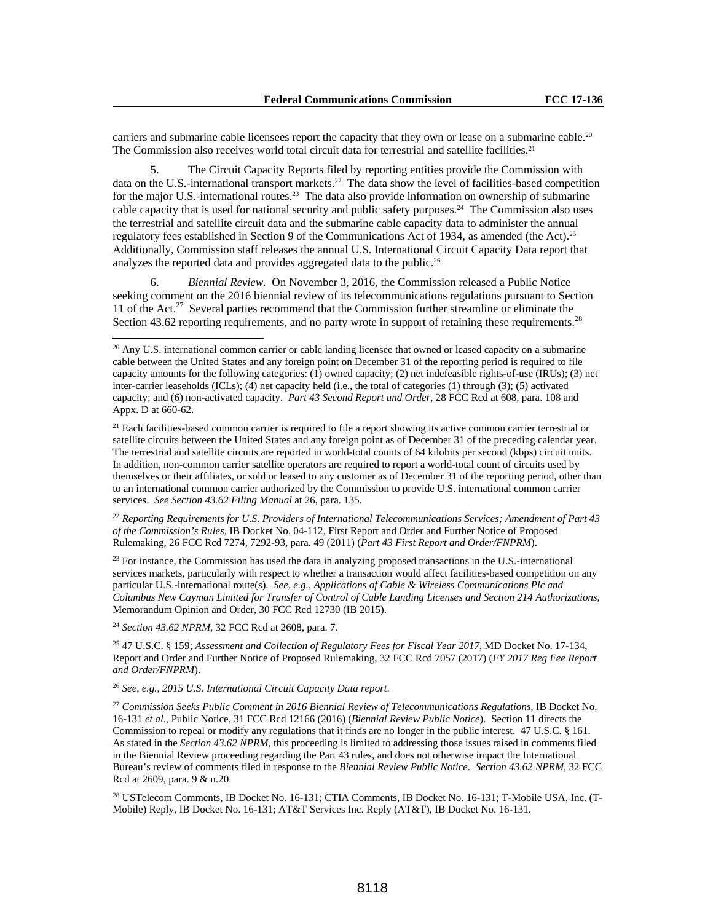carriers and submarine cable licensees report the capacity that they own or lease on a submarine cable.<sup>20</sup> The Commission also receives world total circuit data for terrestrial and satellite facilities.<sup>21</sup>

The Circuit Capacity Reports filed by reporting entities provide the Commission with data on the U.S.-international transport markets.<sup>22</sup> The data show the level of facilities-based competition for the major U.S.-international routes.<sup>23</sup> The data also provide information on ownership of submarine cable capacity that is used for national security and public safety purposes.24 The Commission also uses the terrestrial and satellite circuit data and the submarine cable capacity data to administer the annual regulatory fees established in Section 9 of the Communications Act of 1934, as amended (the Act).25 Additionally, Commission staff releases the annual U.S. International Circuit Capacity Data report that analyzes the reported data and provides aggregated data to the public.<sup>26</sup>

6. *Biennial Review.* On November 3, 2016, the Commission released a Public Notice seeking comment on the 2016 biennial review of its telecommunications regulations pursuant to Section 11 of the Act.<sup>27</sup> Several parties recommend that the Commission further streamline or eliminate the Section 43.62 reporting requirements, and no party wrote in support of retaining these requirements.<sup>28</sup>

<sup>22</sup> *Reporting Requirements for U.S. Providers of International Telecommunications Services; Amendment of Part 43 of the Commission's Rules*, IB Docket No. 04-112, First Report and Order and Further Notice of Proposed Rulemaking*,* 26 FCC Rcd 7274, 7292-93, para. 49 (2011) (*Part 43 First Report and Order/FNPRM*).

 $23$  For instance, the Commission has used the data in analyzing proposed transactions in the U.S.-international services markets, particularly with respect to whether a transaction would affect facilities-based competition on any particular U.S.-international route(s). *See, e.g., Applications of Cable & Wireless Communications Plc and Columbus New Cayman Limited for Transfer of Control of Cable Landing Licenses and Section 214 Authorizations,* Memorandum Opinion and Order, 30 FCC Rcd 12730 (IB 2015).

<sup>24</sup> *Section 43.62 NPRM*, 32 FCC Rcd at 2608, para. 7.

l

25 47 U.S.C. § 159; *Assessment and Collection of Regulatory Fees for Fiscal Year 2017*, MD Docket No. 17-134, Report and Order and Further Notice of Proposed Rulemaking, 32 FCC Rcd 7057 (2017) (*FY 2017 Reg Fee Report and Order/FNPRM*).

<sup>26</sup> *See*, *e.g.*, *2015 U.S. International Circuit Capacity Data report*.

<sup>27</sup> *Commission Seeks Public Comment in 2016 Biennial Review of Telecommunications Regulations*, IB Docket No. 16-131 *et al*., Public Notice, 31 FCC Rcd 12166 (2016) (*Biennial Review Public Notice*). Section 11 directs the Commission to repeal or modify any regulations that it finds are no longer in the public interest. 47 U.S.C. § 161. As stated in the *Section 43.62 NPRM*, this proceeding is limited to addressing those issues raised in comments filed in the Biennial Review proceeding regarding the Part 43 rules, and does not otherwise impact the International Bureau's review of comments filed in response to the *Biennial Review Public Notice. Section 43.62 NPRM*, 32 FCC Rcd at 2609, para. 9 & n.20.

28 USTelecom Comments, IB Docket No. 16-131; CTIA Comments, IB Docket No. 16-131; T-Mobile USA, Inc. (T-Mobile) Reply, IB Docket No. 16-131; AT&T Services Inc. Reply (AT&T), IB Docket No. 16-131.

 $20$  Any U.S. international common carrier or cable landing licensee that owned or leased capacity on a submarine cable between the United States and any foreign point on December 31 of the reporting period is required to file capacity amounts for the following categories: (1) owned capacity; (2) net indefeasible rights-of-use (IRUs); (3) net inter-carrier leaseholds (ICLs); (4) net capacity held (i.e., the total of categories (1) through (3); (5) activated capacity; and (6) non-activated capacity. *Part 43 Second Report and Order,* 28 FCC Rcd at 608, para. 108 and Appx. D at 660-62.

<sup>&</sup>lt;sup>21</sup> Each facilities-based common carrier is required to file a report showing its active common carrier terrestrial or satellite circuits between the United States and any foreign point as of December 31 of the preceding calendar year. The terrestrial and satellite circuits are reported in world-total counts of 64 kilobits per second (kbps) circuit units. In addition, non-common carrier satellite operators are required to report a world-total count of circuits used by themselves or their affiliates, or sold or leased to any customer as of December 31 of the reporting period, other than to an international common carrier authorized by the Commission to provide U.S. international common carrier services. *See Section 43.62 Filing Manual* at 26, para. 135*.*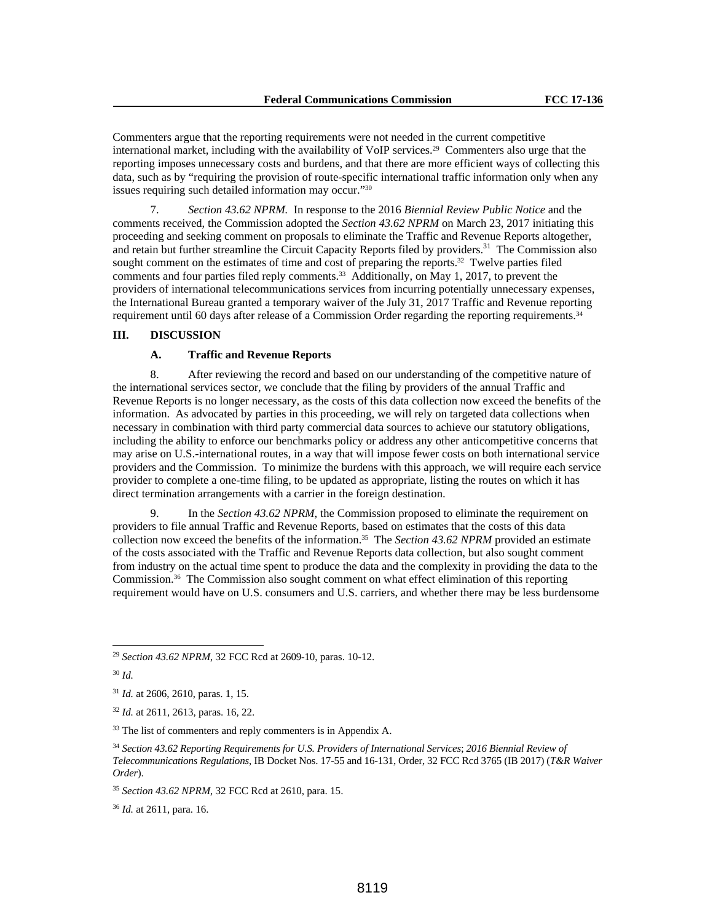Commenters argue that the reporting requirements were not needed in the current competitive international market, including with the availability of VoIP services.29 Commenters also urge that the reporting imposes unnecessary costs and burdens, and that there are more efficient ways of collecting this data, such as by "requiring the provision of route-specific international traffic information only when any issues requiring such detailed information may occur."30

7. *Section 43.62 NPRM.* In response to the 2016 *Biennial Review Public Notice* and the comments received, the Commission adopted the *Section 43.62 NPRM* on March 23, 2017 initiating this proceeding and seeking comment on proposals to eliminate the Traffic and Revenue Reports altogether, and retain but further streamline the Circuit Capacity Reports filed by providers.31 The Commission also sought comment on the estimates of time and cost of preparing the reports.<sup>32</sup> Twelve parties filed comments and four parties filed reply comments.<sup>33</sup> Additionally, on May 1, 2017, to prevent the providers of international telecommunications services from incurring potentially unnecessary expenses, the International Bureau granted a temporary waiver of the July 31, 2017 Traffic and Revenue reporting requirement until 60 days after release of a Commission Order regarding the reporting requirements.34

## **III. DISCUSSION**

## **A. Traffic and Revenue Reports**

8. After reviewing the record and based on our understanding of the competitive nature of the international services sector, we conclude that the filing by providers of the annual Traffic and Revenue Reports is no longer necessary, as the costs of this data collection now exceed the benefits of the information. As advocated by parties in this proceeding, we will rely on targeted data collections when necessary in combination with third party commercial data sources to achieve our statutory obligations, including the ability to enforce our benchmarks policy or address any other anticompetitive concerns that may arise on U.S.-international routes, in a way that will impose fewer costs on both international service providers and the Commission. To minimize the burdens with this approach, we will require each service provider to complete a one-time filing, to be updated as appropriate, listing the routes on which it has direct termination arrangements with a carrier in the foreign destination.

9. In the *Section 43.62 NPRM*, the Commission proposed to eliminate the requirement on providers to file annual Traffic and Revenue Reports, based on estimates that the costs of this data collection now exceed the benefits of the information.35 The *Section 43.62 NPRM* provided an estimate of the costs associated with the Traffic and Revenue Reports data collection, but also sought comment from industry on the actual time spent to produce the data and the complexity in providing the data to the Commission.36 The Commission also sought comment on what effect elimination of this reporting requirement would have on U.S. consumers and U.S. carriers, and whether there may be less burdensome

<sup>30</sup> *Id.*

 $\overline{a}$ 

<sup>36</sup> *Id.* at 2611, para. 16.

<sup>29</sup> *Section 43.62 NPRM*, 32 FCC Rcd at 2609-10, paras. 10-12.

<sup>31</sup> *Id.* at 2606, 2610, paras. 1, 15.

<sup>32</sup> *Id.* at 2611, 2613, paras. 16, 22.

<sup>&</sup>lt;sup>33</sup> The list of commenters and reply commenters is in Appendix A.

<sup>34</sup> *Section 43.62 Reporting Requirements for U.S. Providers of International Services*; *2016 Biennial Review of Telecommunications Regulations*, IB Docket Nos. 17-55 and 16-131, Order, 32 FCC Rcd 3765 (IB 2017) (*T&R Waiver Order*).

<sup>35</sup> *Section 43.62 NPRM*, 32 FCC Rcd at 2610, para. 15.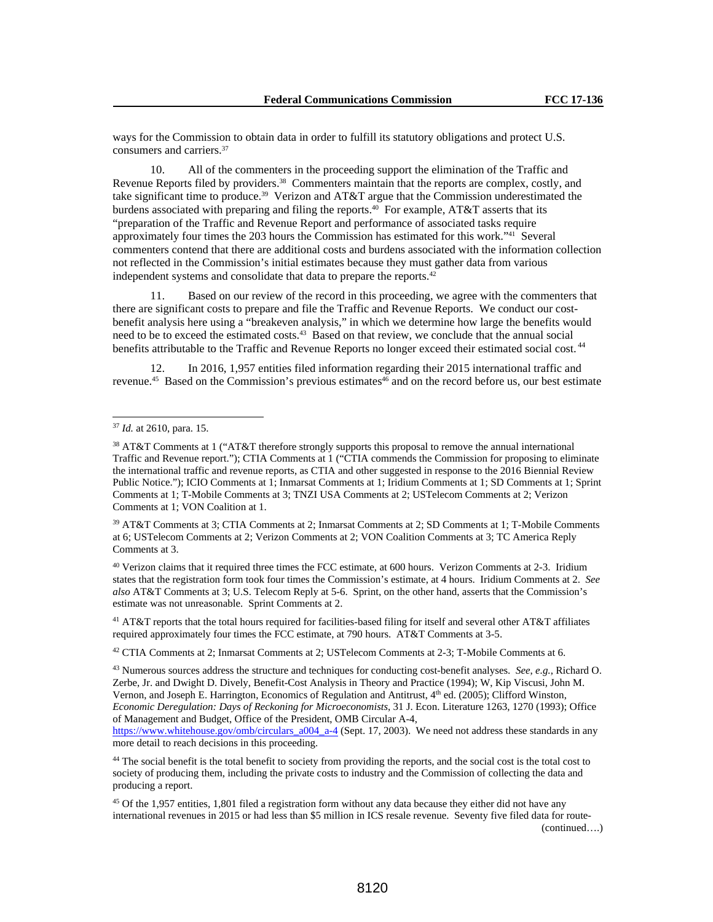ways for the Commission to obtain data in order to fulfill its statutory obligations and protect U.S. consumers and carriers.37

10. All of the commenters in the proceeding support the elimination of the Traffic and Revenue Reports filed by providers.38 Commenters maintain that the reports are complex, costly, and take significant time to produce.<sup>39</sup> Verizon and AT&T argue that the Commission underestimated the burdens associated with preparing and filing the reports.<sup>40</sup> For example, AT&T asserts that its "preparation of the Traffic and Revenue Report and performance of associated tasks require approximately four times the 203 hours the Commission has estimated for this work."41 Several commenters contend that there are additional costs and burdens associated with the information collection not reflected in the Commission's initial estimates because they must gather data from various independent systems and consolidate that data to prepare the reports.42

11. Based on our review of the record in this proceeding, we agree with the commenters that there are significant costs to prepare and file the Traffic and Revenue Reports. We conduct our costbenefit analysis here using a "breakeven analysis," in which we determine how large the benefits would need to be to exceed the estimated costs.<sup>43</sup> Based on that review, we conclude that the annual social benefits attributable to the Traffic and Revenue Reports no longer exceed their estimated social cost.<sup>44</sup>

12. In 2016, 1,957 entities filed information regarding their 2015 international traffic and revenue.<sup>45</sup> Based on the Commission's previous estimates<sup>46</sup> and on the record before us, our best estimate

l

39 AT&T Comments at 3; CTIA Comments at 2; Inmarsat Comments at 2; SD Comments at 1; T-Mobile Comments at 6; USTelecom Comments at 2; Verizon Comments at 2; VON Coalition Comments at 3; TC America Reply Comments at 3.

40 Verizon claims that it required three times the FCC estimate, at 600 hours. Verizon Comments at 2-3. Iridium states that the registration form took four times the Commission's estimate, at 4 hours. Iridium Comments at 2. *See also* AT&T Comments at 3; U.S. Telecom Reply at 5-6. Sprint, on the other hand, asserts that the Commission's estimate was not unreasonable. Sprint Comments at 2.

<sup>41</sup> AT&T reports that the total hours required for facilities-based filing for itself and several other AT&T affiliates required approximately four times the FCC estimate, at 790 hours. AT&T Comments at 3-5.

42 CTIA Comments at 2; Inmarsat Comments at 2; USTelecom Comments at 2-3; T-Mobile Comments at 6.

43 Numerous sources address the structure and techniques for conducting cost-benefit analyses. *See*, *e.g.*, Richard O. Zerbe, Jr. and Dwight D. Dively, Benefit-Cost Analysis in Theory and Practice (1994); W, Kip Viscusi, John M. Vernon, and Joseph E. Harrington, Economics of Regulation and Antitrust, 4th ed. (2005); Clifford Winston, *Economic Deregulation: Days of Reckoning for Microeconomists*, 31 J. Econ. Literature 1263, 1270 (1993); Office of Management and Budget, Office of the President, OMB Circular A-4,

https://www.whitehouse.gov/omb/circulars\_a004\_a-4 (Sept. 17, 2003). We need not address these standards in any more detail to reach decisions in this proceeding.

<sup>44</sup> The social benefit is the total benefit to society from providing the reports, and the social cost is the total cost to society of producing them, including the private costs to industry and the Commission of collecting the data and producing a report.

<sup>37</sup> *Id.* at 2610, para. 15.

<sup>38</sup> AT&T Comments at 1 ("AT&T therefore strongly supports this proposal to remove the annual international Traffic and Revenue report."); CTIA Comments at 1 ("CTIA commends the Commission for proposing to eliminate the international traffic and revenue reports, as CTIA and other suggested in response to the 2016 Biennial Review Public Notice."); ICIO Comments at 1; Inmarsat Comments at 1; Iridium Comments at 1; SD Comments at 1; Sprint Comments at 1; T-Mobile Comments at 3; TNZI USA Comments at 2; USTelecom Comments at 2; Verizon Comments at 1; VON Coalition at 1.

<sup>45</sup> Of the 1,957 entities, 1,801 filed a registration form without any data because they either did not have any international revenues in 2015 or had less than \$5 million in ICS resale revenue. Seventy five filed data for route- (continued….)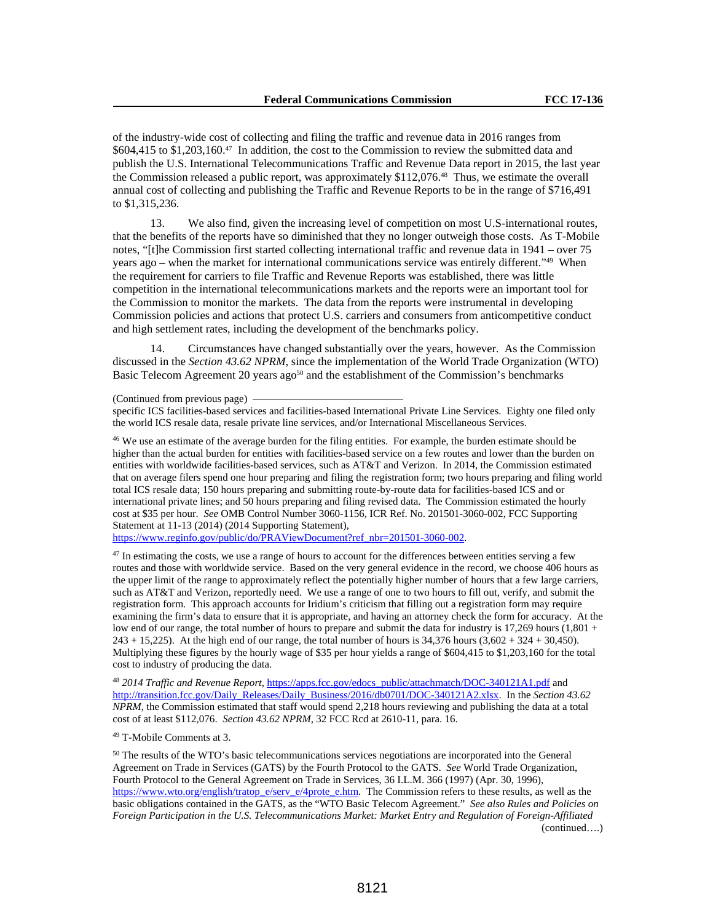of the industry-wide cost of collecting and filing the traffic and revenue data in 2016 ranges from \$604,415 to \$1,203,160.47 In addition, the cost to the Commission to review the submitted data and publish the U.S. International Telecommunications Traffic and Revenue Data report in 2015, the last year the Commission released a public report, was approximately \$112,076.48 Thus, we estimate the overall annual cost of collecting and publishing the Traffic and Revenue Reports to be in the range of \$716,491 to \$1,315,236.

13. We also find, given the increasing level of competition on most U.S-international routes, that the benefits of the reports have so diminished that they no longer outweigh those costs. As T-Mobile notes, "[t]he Commission first started collecting international traffic and revenue data in 1941 – over 75 years ago – when the market for international communications service was entirely different."49 When the requirement for carriers to file Traffic and Revenue Reports was established, there was little competition in the international telecommunications markets and the reports were an important tool for the Commission to monitor the markets. The data from the reports were instrumental in developing Commission policies and actions that protect U.S. carriers and consumers from anticompetitive conduct and high settlement rates, including the development of the benchmarks policy.

14. Circumstances have changed substantially over the years, however. As the Commission discussed in the *Section 43.62 NPRM*, since the implementation of the World Trade Organization (WTO) Basic Telecom Agreement 20 years ago<sup>50</sup> and the establishment of the Commission's benchmarks

(Continued from previous page)

specific ICS facilities-based services and facilities-based International Private Line Services. Eighty one filed only the world ICS resale data, resale private line services, and/or International Miscellaneous Services.

<sup>46</sup> We use an estimate of the average burden for the filing entities. For example, the burden estimate should be higher than the actual burden for entities with facilities-based service on a few routes and lower than the burden on entities with worldwide facilities-based services, such as AT&T and Verizon. In 2014, the Commission estimated that on average filers spend one hour preparing and filing the registration form; two hours preparing and filing world total ICS resale data; 150 hours preparing and submitting route-by-route data for facilities-based ICS and or international private lines; and 50 hours preparing and filing revised data. The Commission estimated the hourly cost at \$35 per hour. *See* OMB Control Number 3060-1156, ICR Ref. No. 201501-3060-002, FCC Supporting Statement at 11-13 (2014) (2014 Supporting Statement),

https://www.reginfo.gov/public/do/PRAViewDocument?ref\_nbr=201501-3060-002.

 $47$  In estimating the costs, we use a range of hours to account for the differences between entities serving a few routes and those with worldwide service. Based on the very general evidence in the record, we choose 406 hours as the upper limit of the range to approximately reflect the potentially higher number of hours that a few large carriers, such as AT&T and Verizon, reportedly need. We use a range of one to two hours to fill out, verify, and submit the registration form. This approach accounts for Iridium's criticism that filling out a registration form may require examining the firm's data to ensure that it is appropriate, and having an attorney check the form for accuracy. At the low end of our range, the total number of hours to prepare and submit the data for industry is 17,269 hours (1,801 + 243 + 15,225). At the high end of our range, the total number of hours is 34,376 hours (3,602 + 324 + 30,450). Multiplying these figures by the hourly wage of \$35 per hour yields a range of \$604,415 to \$1,203,160 for the total cost to industry of producing the data.

<sup>48</sup> *2014 Traffic and Revenue Report*, https://apps.fcc.gov/edocs\_public/attachmatch/DOC-340121A1.pdf and http://transition.fcc.gov/Daily\_Releases/Daily\_Business/2016/db0701/DOC-340121A2.xlsx. In the *Section 43.62 NPRM*, the Commission estimated that staff would spend 2,218 hours reviewing and publishing the data at a total cost of at least \$112,076. *Section 43.62 NPRM*, 32 FCC Rcd at 2610-11, para. 16.

49 T-Mobile Comments at 3.

<sup>50</sup> The results of the WTO's basic telecommunications services negotiations are incorporated into the General Agreement on Trade in Services (GATS) by the Fourth Protocol to the GATS. *See* World Trade Organization, Fourth Protocol to the General Agreement on Trade in Services, 36 I.L.M. 366 (1997) (Apr. 30, 1996), https://www.wto.org/english/tratop\_e/serv\_e/4prote\_e.htm. The Commission refers to these results, as well as the basic obligations contained in the GATS, as the "WTO Basic Telecom Agreement." *See also Rules and Policies on Foreign Participation in the U.S. Telecommunications Market: Market Entry and Regulation of Foreign-Affiliated*  (continued….)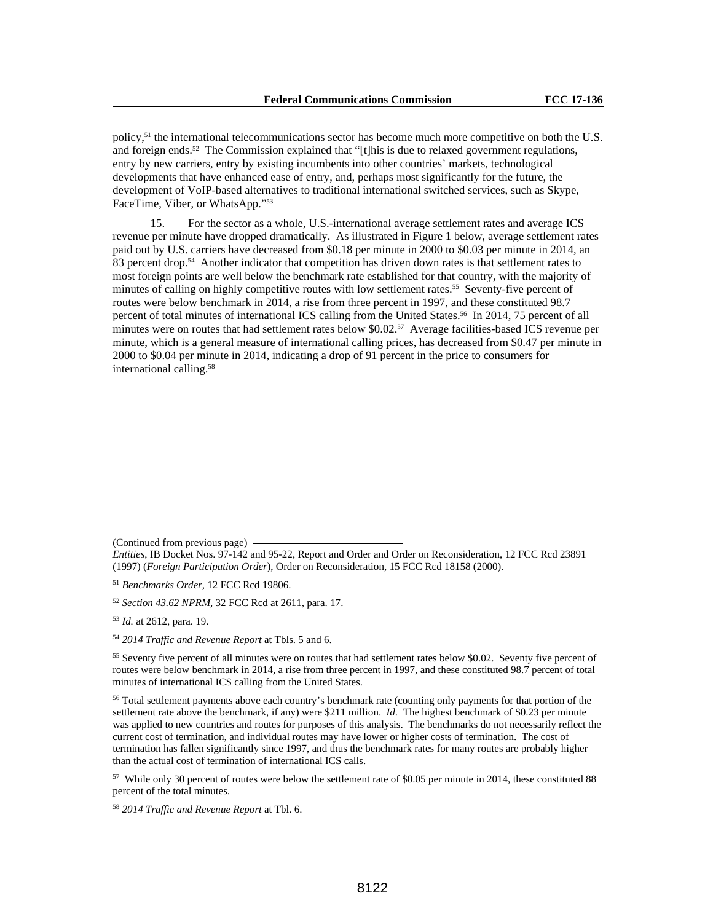policy,51 the international telecommunications sector has become much more competitive on both the U.S. and foreign ends.52 The Commission explained that "[t]his is due to relaxed government regulations, entry by new carriers, entry by existing incumbents into other countries' markets, technological developments that have enhanced ease of entry, and, perhaps most significantly for the future, the development of VoIP-based alternatives to traditional international switched services, such as Skype, FaceTime, Viber, or WhatsApp."53

15. For the sector as a whole, U.S.-international average settlement rates and average ICS revenue per minute have dropped dramatically. As illustrated in Figure 1 below, average settlement rates paid out by U.S. carriers have decreased from \$0.18 per minute in 2000 to \$0.03 per minute in 2014, an 83 percent drop.<sup>54</sup> Another indicator that competition has driven down rates is that settlement rates to most foreign points are well below the benchmark rate established for that country, with the majority of minutes of calling on highly competitive routes with low settlement rates.<sup>55</sup> Seventy-five percent of routes were below benchmark in 2014, a rise from three percent in 1997, and these constituted 98.7 percent of total minutes of international ICS calling from the United States.56 In 2014, 75 percent of all minutes were on routes that had settlement rates below \$0.02.57 Average facilities-based ICS revenue per minute, which is a general measure of international calling prices, has decreased from \$0.47 per minute in 2000 to \$0.04 per minute in 2014, indicating a drop of 91 percent in the price to consumers for international calling.58

(Continued from previous page)

<sup>52</sup> *Section 43.62 NPRM*, 32 FCC Rcd at 2611, para. 17.

<sup>53</sup> *Id.* at 2612, para. 19.

<sup>54</sup> *2014 Traffic and Revenue Report* at Tbls. 5 and 6.

<sup>55</sup> Seventy five percent of all minutes were on routes that had settlement rates below \$0.02. Seventy five percent of routes were below benchmark in 2014, a rise from three percent in 1997, and these constituted 98.7 percent of total minutes of international ICS calling from the United States.

<sup>56</sup> Total settlement payments above each country's benchmark rate (counting only payments for that portion of the settlement rate above the benchmark, if any) were \$211 million. *Id*. The highest benchmark of \$0.23 per minute was applied to new countries and routes for purposes of this analysis. The benchmarks do not necessarily reflect the current cost of termination, and individual routes may have lower or higher costs of termination. The cost of termination has fallen significantly since 1997, and thus the benchmark rates for many routes are probably higher than the actual cost of termination of international ICS calls.

57 While only 30 percent of routes were below the settlement rate of \$0.05 per minute in 2014, these constituted 88 percent of the total minutes.

<sup>58</sup> *2014 Traffic and Revenue Report* at Tbl. 6.

*Entities*, IB Docket Nos. 97-142 and 95-22, Report and Order and Order on Reconsideration, 12 FCC Rcd 23891 (1997) (*Foreign Participation Order*), Order on Reconsideration, 15 FCC Rcd 18158 (2000).

<sup>51</sup> *Benchmarks Order,* 12 FCC Rcd 19806.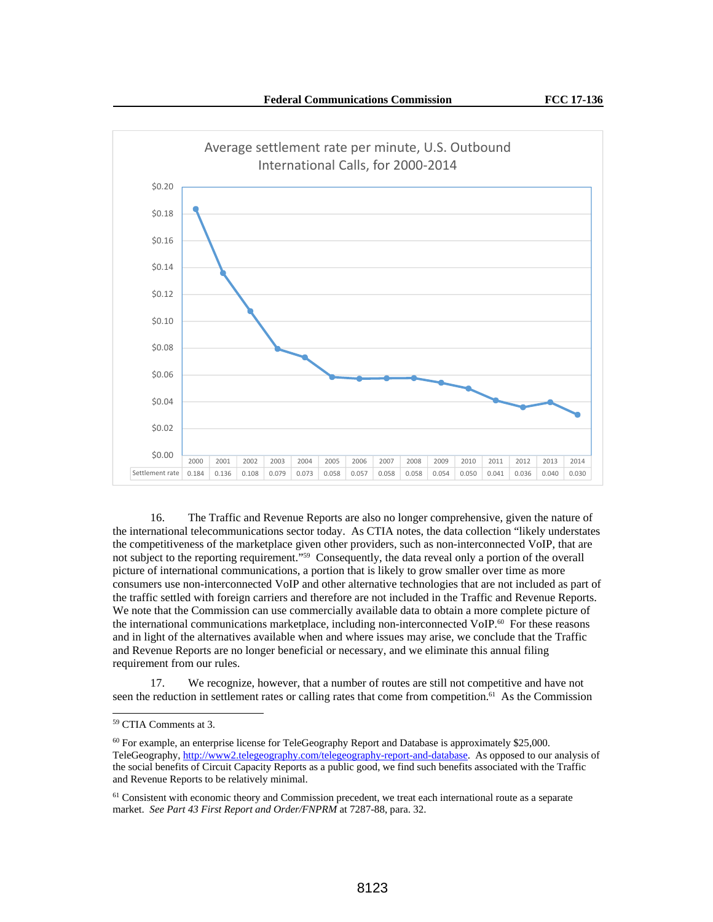

16. The Traffic and Revenue Reports are also no longer comprehensive, given the nature of the international telecommunications sector today. As CTIA notes, the data collection "likely understates the competitiveness of the marketplace given other providers, such as non-interconnected VoIP, that are not subject to the reporting requirement."59 Consequently, the data reveal only a portion of the overall picture of international communications, a portion that is likely to grow smaller over time as more consumers use non-interconnected VoIP and other alternative technologies that are not included as part of the traffic settled with foreign carriers and therefore are not included in the Traffic and Revenue Reports. We note that the Commission can use commercially available data to obtain a more complete picture of the international communications marketplace, including non-interconnected VoIP.<sup>60</sup> For these reasons and in light of the alternatives available when and where issues may arise, we conclude that the Traffic and Revenue Reports are no longer beneficial or necessary, and we eliminate this annual filing requirement from our rules.

17. We recognize, however, that a number of routes are still not competitive and have not seen the reduction in settlement rates or calling rates that come from competition.<sup>61</sup> As the Commission

<sup>59</sup> CTIA Comments at 3.

<sup>60</sup> For example, an enterprise license for TeleGeography Report and Database is approximately \$25,000. TeleGeography, http://www2.telegeography.com/telegeography-report-and-database. As opposed to our analysis of the social benefits of Circuit Capacity Reports as a public good, we find such benefits associated with the Traffic and Revenue Reports to be relatively minimal.

<sup>&</sup>lt;sup>61</sup> Consistent with economic theory and Commission precedent, we treat each international route as a separate market. *See Part 43 First Report and Order/FNPRM* at 7287-88, para. 32.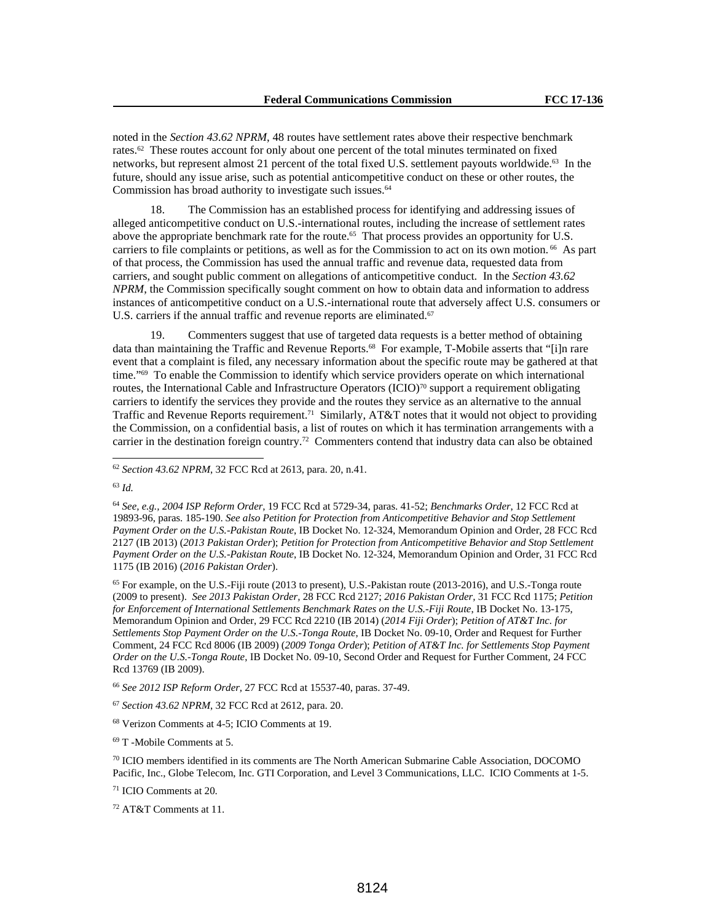noted in the *Section 43.62 NPRM*, 48 routes have settlement rates above their respective benchmark rates.62 These routes account for only about one percent of the total minutes terminated on fixed networks, but represent almost 21 percent of the total fixed U.S. settlement payouts worldwide.63 In the future, should any issue arise, such as potential anticompetitive conduct on these or other routes, the Commission has broad authority to investigate such issues.<sup>64</sup>

18. The Commission has an established process for identifying and addressing issues of alleged anticompetitive conduct on U.S.-international routes, including the increase of settlement rates above the appropriate benchmark rate for the route.<sup>65</sup> That process provides an opportunity for U.S. carriers to file complaints or petitions, as well as for the Commission to act on its own motion. <sup>66</sup> As part of that process, the Commission has used the annual traffic and revenue data, requested data from carriers, and sought public comment on allegations of anticompetitive conduct. In the *Section 43.62 NPRM*, the Commission specifically sought comment on how to obtain data and information to address instances of anticompetitive conduct on a U.S.-international route that adversely affect U.S. consumers or U.S. carriers if the annual traffic and revenue reports are eliminated.<sup>67</sup>

19. Commenters suggest that use of targeted data requests is a better method of obtaining data than maintaining the Traffic and Revenue Reports.<sup>68</sup> For example, T-Mobile asserts that "[i]n rare event that a complaint is filed, any necessary information about the specific route may be gathered at that time."69 To enable the Commission to identify which service providers operate on which international routes, the International Cable and Infrastructure Operators (ICIO)<sup>70</sup> support a requirement obligating carriers to identify the services they provide and the routes they service as an alternative to the annual Traffic and Revenue Reports requirement.<sup>71</sup> Similarly, AT&T notes that it would not object to providing the Commission, on a confidential basis, a list of routes on which it has termination arrangements with a carrier in the destination foreign country.<sup>72</sup> Commenters contend that industry data can also be obtained

<sup>63</sup> *Id.* 

 $\overline{a}$ 

<sup>64</sup> *See, e.g., 2004 ISP Reform Order,* 19 FCC Rcd at 5729-34, paras. 41-52; *Benchmarks Order*, 12 FCC Rcd at 19893-96, paras. 185-190. *See also Petition for Protection from Anticompetitive Behavior and Stop Settlement Payment Order on the U.S.-Pakistan Route*, IB Docket No. 12-324, Memorandum Opinion and Order, 28 FCC Rcd 2127 (IB 2013) (*2013 Pakistan Order*); *Petition for Protection from Anticompetitive Behavior and Stop Settlement Payment Order on the U.S.-Pakistan Route*, IB Docket No. 12-324, Memorandum Opinion and Order, 31 FCC Rcd 1175 (IB 2016) (*2016 Pakistan Order*).

 $<sup>65</sup>$  For example, on the U.S.-Fiji route (2013 to present), U.S.-Pakistan route (2013-2016), and U.S.-Tonga route</sup> (2009 to present). *See 2013 Pakistan Order,* 28 FCC Rcd 2127; *2016 Pakistan Order,* 31 FCC Rcd 1175; *Petition for Enforcement of International Settlements Benchmark Rates on the U.S.-Fiji Route*, IB Docket No. 13-175, Memorandum Opinion and Order, 29 FCC Rcd 2210 (IB 2014) (*2014 Fiji Order*); *Petition of AT&T Inc. for Settlements Stop Payment Order on the U.S.-Tonga Route*, IB Docket No. 09-10, Order and Request for Further Comment, 24 FCC Rcd 8006 (IB 2009) (*2009 Tonga Order*); *Petition of AT&T Inc. for Settlements Stop Payment Order on the U.S.-Tonga Route*, IB Docket No. 09-10, Second Order and Request for Further Comment, 24 FCC Rcd 13769 (IB 2009).

<sup>66</sup> *See 2012 ISP Reform Order,* 27 FCC Rcd at 15537-40, paras. 37-49.

<sup>67</sup> *Section 43.62 NPRM*, 32 FCC Rcd at 2612, para. 20.

68 Verizon Comments at 4-5; ICIO Comments at 19.

69 T -Mobile Comments at 5.

70 ICIO members identified in its comments are The North American Submarine Cable Association, DOCOMO Pacific, Inc., Globe Telecom, Inc. GTI Corporation, and Level 3 Communications, LLC. ICIO Comments at 1-5.

71 ICIO Comments at 20.

72 AT&T Comments at 11.

<sup>62</sup> *Section 43.62 NPRM*, 32 FCC Rcd at 2613, para. 20, n.41.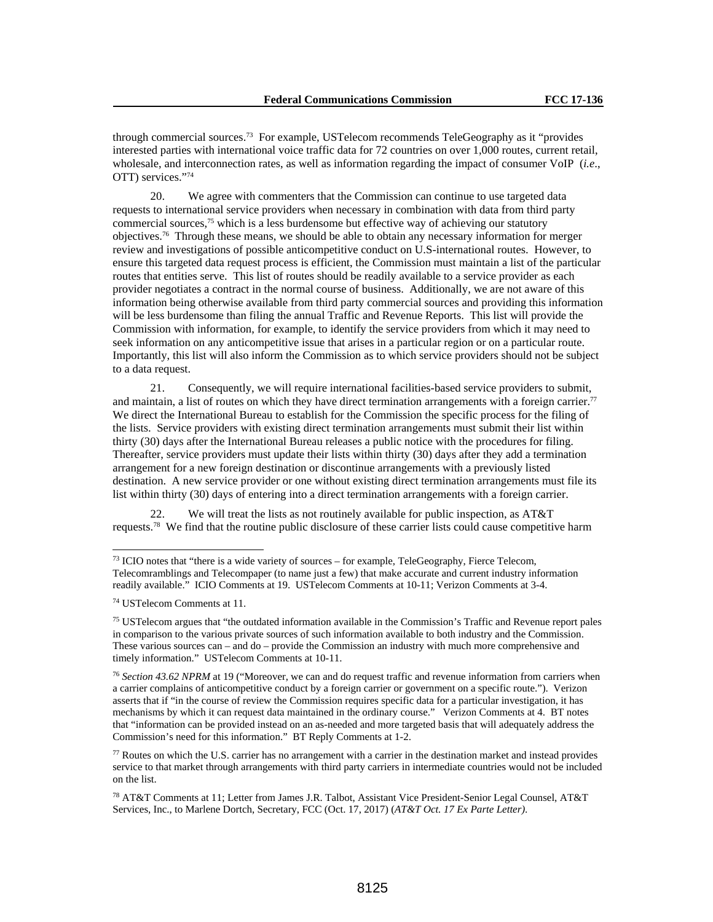through commercial sources.73 For example, USTelecom recommends TeleGeography as it "provides interested parties with international voice traffic data for 72 countries on over 1,000 routes, current retail, wholesale, and interconnection rates, as well as information regarding the impact of consumer VoIP (*i.e*., OTT) services."74

20. We agree with commenters that the Commission can continue to use targeted data requests to international service providers when necessary in combination with data from third party commercial sources,<sup>75</sup> which is a less burdensome but effective way of achieving our statutory objectives.76 Through these means, we should be able to obtain any necessary information for merger review and investigations of possible anticompetitive conduct on U.S-international routes. However, to ensure this targeted data request process is efficient, the Commission must maintain a list of the particular routes that entities serve. This list of routes should be readily available to a service provider as each provider negotiates a contract in the normal course of business. Additionally, we are not aware of this information being otherwise available from third party commercial sources and providing this information will be less burdensome than filing the annual Traffic and Revenue Reports. This list will provide the Commission with information, for example, to identify the service providers from which it may need to seek information on any anticompetitive issue that arises in a particular region or on a particular route. Importantly, this list will also inform the Commission as to which service providers should not be subject to a data request.

21. Consequently, we will require international facilities-based service providers to submit, and maintain, a list of routes on which they have direct termination arrangements with a foreign carrier.<sup>77</sup> We direct the International Bureau to establish for the Commission the specific process for the filing of the lists. Service providers with existing direct termination arrangements must submit their list within thirty (30) days after the International Bureau releases a public notice with the procedures for filing. Thereafter, service providers must update their lists within thirty (30) days after they add a termination arrangement for a new foreign destination or discontinue arrangements with a previously listed destination. A new service provider or one without existing direct termination arrangements must file its list within thirty (30) days of entering into a direct termination arrangements with a foreign carrier.

We will treat the lists as not routinely available for public inspection, as AT&T requests.78 We find that the routine public disclosure of these carrier lists could cause competitive harm

 $73$  ICIO notes that "there is a wide variety of sources – for example, TeleGeography, Fierce Telecom, Telecomramblings and Telecompaper (to name just a few) that make accurate and current industry information readily available." ICIO Comments at 19. USTelecom Comments at 10-11; Verizon Comments at 3-4.

<sup>74</sup> USTelecom Comments at 11.

<sup>&</sup>lt;sup>75</sup> USTelecom argues that "the outdated information available in the Commission's Traffic and Revenue report pales in comparison to the various private sources of such information available to both industry and the Commission. These various sources can – and do – provide the Commission an industry with much more comprehensive and timely information." USTelecom Comments at 10-11.

<sup>76</sup> *Section 43.62 NPRM* at 19 ("Moreover, we can and do request traffic and revenue information from carriers when a carrier complains of anticompetitive conduct by a foreign carrier or government on a specific route."). Verizon asserts that if "in the course of review the Commission requires specific data for a particular investigation, it has mechanisms by which it can request data maintained in the ordinary course." Verizon Comments at 4. BT notes that "information can be provided instead on an as-needed and more targeted basis that will adequately address the Commission's need for this information." BT Reply Comments at 1-2.

 $77$  Routes on which the U.S. carrier has no arrangement with a carrier in the destination market and instead provides service to that market through arrangements with third party carriers in intermediate countries would not be included on the list.

<sup>78</sup> AT&T Comments at 11; Letter from James J.R. Talbot, Assistant Vice President-Senior Legal Counsel, AT&T Services, Inc., to Marlene Dortch, Secretary, FCC (Oct. 17, 2017) (*AT&T Oct. 17 Ex Parte Letter)*.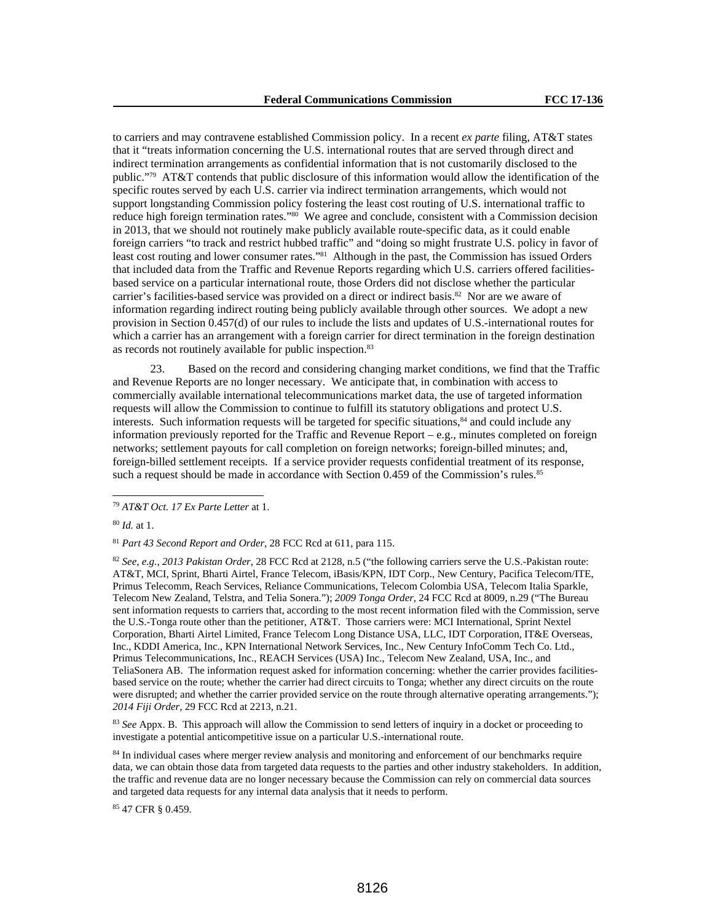to carriers and may contravene established Commission policy. In a recent *ex parte* filing, AT&T states that it "treats information concerning the U.S. international routes that are served through direct and indirect termination arrangements as confidential information that is not customarily disclosed to the public."79 AT&T contends that public disclosure of this information would allow the identification of the specific routes served by each U.S. carrier via indirect termination arrangements, which would not support longstanding Commission policy fostering the least cost routing of U.S. international traffic to reduce high foreign termination rates."80 We agree and conclude, consistent with a Commission decision in 2013, that we should not routinely make publicly available route-specific data, as it could enable foreign carriers "to track and restrict hubbed traffic" and "doing so might frustrate U.S. policy in favor of least cost routing and lower consumer rates."81 Although in the past, the Commission has issued Orders that included data from the Traffic and Revenue Reports regarding which U.S. carriers offered facilitiesbased service on a particular international route, those Orders did not disclose whether the particular carrier's facilities-based service was provided on a direct or indirect basis.<sup>82</sup> Nor are we aware of information regarding indirect routing being publicly available through other sources. We adopt a new provision in Section 0.457(d) of our rules to include the lists and updates of U.S.-international routes for which a carrier has an arrangement with a foreign carrier for direct termination in the foreign destination as records not routinely available for public inspection.<sup>83</sup>

23. Based on the record and considering changing market conditions, we find that the Traffic and Revenue Reports are no longer necessary. We anticipate that, in combination with access to commercially available international telecommunications market data, the use of targeted information requests will allow the Commission to continue to fulfill its statutory obligations and protect U.S. interests. Such information requests will be targeted for specific situations,<sup>84</sup> and could include any information previously reported for the Traffic and Revenue Report – e.g., minutes completed on foreign networks; settlement payouts for call completion on foreign networks; foreign-billed minutes; and, foreign-billed settlement receipts. If a service provider requests confidential treatment of its response, such a request should be made in accordance with Section 0.459 of the Commission's rules.<sup>85</sup>

 $\overline{a}$ 

<sup>81</sup> *Part 43 Second Report and Order,* 28 FCC Rcd at 611, para 115.

<sup>82</sup> *See*, *e.g.*, *2013 Pakistan Order*, 28 FCC Rcd at 2128, n.5 ("the following carriers serve the U.S.-Pakistan route: AT&T, MCI, Sprint, Bharti Airtel, France Telecom, iBasis/KPN, IDT Corp., New Century, Pacifica Telecom/ITE, Primus Telecomm, Reach Services, Reliance Communications, Telecom Colombia USA, Telecom Italia Sparkle, Telecom New Zealand, Telstra, and Telia Sonera."); *2009 Tonga Order*, 24 FCC Rcd at 8009, n.29 ("The Bureau sent information requests to carriers that, according to the most recent information filed with the Commission, serve the U.S.-Tonga route other than the petitioner, AT&T. Those carriers were: MCI International, Sprint Nextel Corporation, Bharti Airtel Limited, France Telecom Long Distance USA, LLC, IDT Corporation, IT&E Overseas, Inc., KDDI America, Inc., KPN International Network Services, Inc., New Century InfoComm Tech Co. Ltd., Primus Telecommunications, Inc., REACH Services (USA) Inc., Telecom New Zealand, USA, Inc., and TeliaSonera AB. The information request asked for information concerning: whether the carrier provides facilitiesbased service on the route; whether the carrier had direct circuits to Tonga; whether any direct circuits on the route were disrupted; and whether the carrier provided service on the route through alternative operating arrangements."); *2014 Fiji Order*, 29 FCC Rcd at 2213, n.21.

<sup>83</sup> *See* Appx. B. This approach will allow the Commission to send letters of inquiry in a docket or proceeding to investigate a potential anticompetitive issue on a particular U.S.-international route.

84 In individual cases where merger review analysis and monitoring and enforcement of our benchmarks require data, we can obtain those data from targeted data requests to the parties and other industry stakeholders. In addition, the traffic and revenue data are no longer necessary because the Commission can rely on commercial data sources and targeted data requests for any internal data analysis that it needs to perform.

85 47 CFR § 0.459.

<sup>79</sup> *AT&T Oct. 17 Ex Parte Letter* at 1.

<sup>80</sup> *Id.* at 1.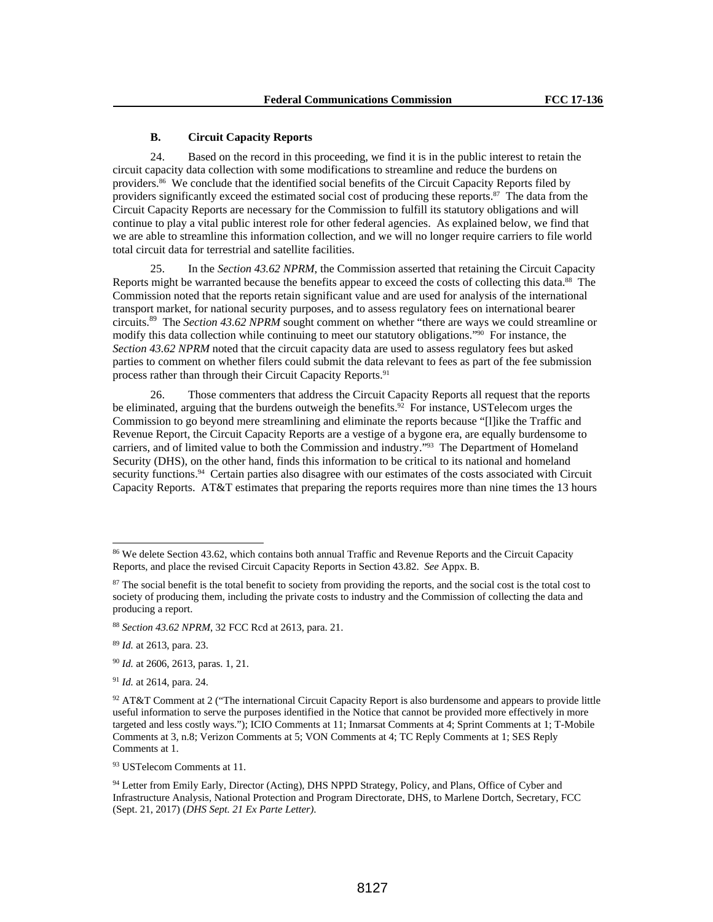## **B. Circuit Capacity Reports**

24. Based on the record in this proceeding, we find it is in the public interest to retain the circuit capacity data collection with some modifications to streamline and reduce the burdens on providers.86 We conclude that the identified social benefits of the Circuit Capacity Reports filed by providers significantly exceed the estimated social cost of producing these reports. $87$  The data from the Circuit Capacity Reports are necessary for the Commission to fulfill its statutory obligations and will continue to play a vital public interest role for other federal agencies. As explained below, we find that we are able to streamline this information collection, and we will no longer require carriers to file world total circuit data for terrestrial and satellite facilities.

25. In the *Section 43.62 NPRM*, the Commission asserted that retaining the Circuit Capacity Reports might be warranted because the benefits appear to exceed the costs of collecting this data.88 The Commission noted that the reports retain significant value and are used for analysis of the international transport market, for national security purposes, and to assess regulatory fees on international bearer circuits.89 The *Section 43.62 NPRM* sought comment on whether "there are ways we could streamline or modify this data collection while continuing to meet our statutory obligations."90 For instance, the *Section 43.62 NPRM* noted that the circuit capacity data are used to assess regulatory fees but asked parties to comment on whether filers could submit the data relevant to fees as part of the fee submission process rather than through their Circuit Capacity Reports.<sup>91</sup>

26. Those commenters that address the Circuit Capacity Reports all request that the reports be eliminated, arguing that the burdens outweigh the benefits.<sup>92</sup> For instance, USTelecom urges the Commission to go beyond mere streamlining and eliminate the reports because "[l]ike the Traffic and Revenue Report, the Circuit Capacity Reports are a vestige of a bygone era, are equally burdensome to carriers, and of limited value to both the Commission and industry."93 The Department of Homeland Security (DHS), on the other hand, finds this information to be critical to its national and homeland security functions.<sup>94</sup> Certain parties also disagree with our estimates of the costs associated with Circuit Capacity Reports. AT&T estimates that preparing the reports requires more than nine times the 13 hours

<sup>86</sup> We delete Section 43.62, which contains both annual Traffic and Revenue Reports and the Circuit Capacity Reports, and place the revised Circuit Capacity Reports in Section 43.82. *See* Appx. B.

<sup>&</sup>lt;sup>87</sup> The social benefit is the total benefit to society from providing the reports, and the social cost is the total cost to society of producing them, including the private costs to industry and the Commission of collecting the data and producing a report.

<sup>88</sup> *Section 43.62 NPRM*, 32 FCC Rcd at 2613, para. 21.

<sup>89</sup> *Id.* at 2613, para. 23.

<sup>90</sup> *Id.* at 2606, 2613, paras. 1, 21.

<sup>91</sup> *Id.* at 2614, para. 24.

 $92$  AT&T Comment at 2 ("The international Circuit Capacity Report is also burdensome and appears to provide little useful information to serve the purposes identified in the Notice that cannot be provided more effectively in more targeted and less costly ways."); ICIO Comments at 11; Inmarsat Comments at 4; Sprint Comments at 1; T-Mobile Comments at 3, n.8; Verizon Comments at 5; VON Comments at 4; TC Reply Comments at 1; SES Reply Comments at 1.

<sup>93</sup> USTelecom Comments at 11.

<sup>94</sup> Letter from Emily Early, Director (Acting), DHS NPPD Strategy, Policy, and Plans, Office of Cyber and Infrastructure Analysis, National Protection and Program Directorate, DHS, to Marlene Dortch, Secretary, FCC (Sept. 21, 2017) (*DHS Sept. 21 Ex Parte Letter)*.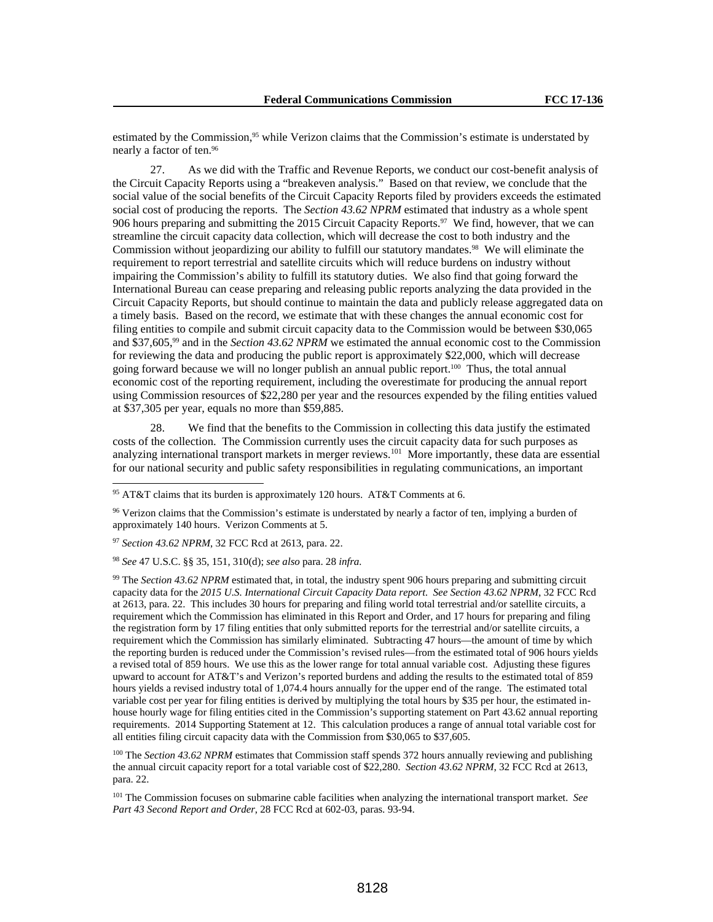estimated by the Commission,<sup>95</sup> while Verizon claims that the Commission's estimate is understated by nearly a factor of ten.96

27. As we did with the Traffic and Revenue Reports, we conduct our cost-benefit analysis of the Circuit Capacity Reports using a "breakeven analysis." Based on that review, we conclude that the social value of the social benefits of the Circuit Capacity Reports filed by providers exceeds the estimated social cost of producing the reports. The *Section 43.62 NPRM* estimated that industry as a whole spent 906 hours preparing and submitting the 2015 Circuit Capacity Reports.<sup>97</sup> We find, however, that we can streamline the circuit capacity data collection, which will decrease the cost to both industry and the Commission without jeopardizing our ability to fulfill our statutory mandates.<sup>98</sup> We will eliminate the requirement to report terrestrial and satellite circuits which will reduce burdens on industry without impairing the Commission's ability to fulfill its statutory duties. We also find that going forward the International Bureau can cease preparing and releasing public reports analyzing the data provided in the Circuit Capacity Reports, but should continue to maintain the data and publicly release aggregated data on a timely basis. Based on the record, we estimate that with these changes the annual economic cost for filing entities to compile and submit circuit capacity data to the Commission would be between \$30,065 and \$37,605,99 and in the *Section 43.62 NPRM* we estimated the annual economic cost to the Commission for reviewing the data and producing the public report is approximately \$22,000, which will decrease going forward because we will no longer publish an annual public report.100 Thus, the total annual economic cost of the reporting requirement, including the overestimate for producing the annual report using Commission resources of \$22,280 per year and the resources expended by the filing entities valued at \$37,305 per year, equals no more than \$59,885.

28. We find that the benefits to the Commission in collecting this data justify the estimated costs of the collection. The Commission currently uses the circuit capacity data for such purposes as analyzing international transport markets in merger reviews.<sup>101</sup> More importantly, these data are essential for our national security and public safety responsibilities in regulating communications, an important

 $\overline{a}$ 

<sup>98</sup> *See* 47 U.S.C. §§ 35, 151, 310(d); *see also* para. 28 *infra.*

99 The *Section 43.62 NPRM* estimated that, in total, the industry spent 906 hours preparing and submitting circuit capacity data for the *2015 U.S. International Circuit Capacity Data report*. *See Section 43.62 NPRM*, 32 FCC Rcd at 2613, para. 22. This includes 30 hours for preparing and filing world total terrestrial and/or satellite circuits, a requirement which the Commission has eliminated in this Report and Order, and 17 hours for preparing and filing the registration form by 17 filing entities that only submitted reports for the terrestrial and/or satellite circuits, a requirement which the Commission has similarly eliminated. Subtracting 47 hours—the amount of time by which the reporting burden is reduced under the Commission's revised rules—from the estimated total of 906 hours yields a revised total of 859 hours. We use this as the lower range for total annual variable cost. Adjusting these figures upward to account for AT&T's and Verizon's reported burdens and adding the results to the estimated total of 859 hours yields a revised industry total of 1,074.4 hours annually for the upper end of the range. The estimated total variable cost per year for filing entities is derived by multiplying the total hours by \$35 per hour, the estimated inhouse hourly wage for filing entities cited in the Commission's supporting statement on Part 43.62 annual reporting requirements. 2014 Supporting Statement at 12. This calculation produces a range of annual total variable cost for all entities filing circuit capacity data with the Commission from \$30,065 to \$37,605.

<sup>100</sup> The *Section 43.62 NPRM* estimates that Commission staff spends 372 hours annually reviewing and publishing the annual circuit capacity report for a total variable cost of \$22,280. *Section 43.62 NPRM*, 32 FCC Rcd at 2613, para. 22.

101 The Commission focuses on submarine cable facilities when analyzing the international transport market. *See Part 43 Second Report and Order*, 28 FCC Rcd at 602-03, paras. 93-94.

<sup>95</sup> AT&T claims that its burden is approximately 120 hours. AT&T Comments at 6.

<sup>96</sup> Verizon claims that the Commission's estimate is understated by nearly a factor of ten, implying a burden of approximately 140 hours. Verizon Comments at 5.

<sup>97</sup> *Section 43.62 NPRM*, 32 FCC Rcd at 2613, para. 22.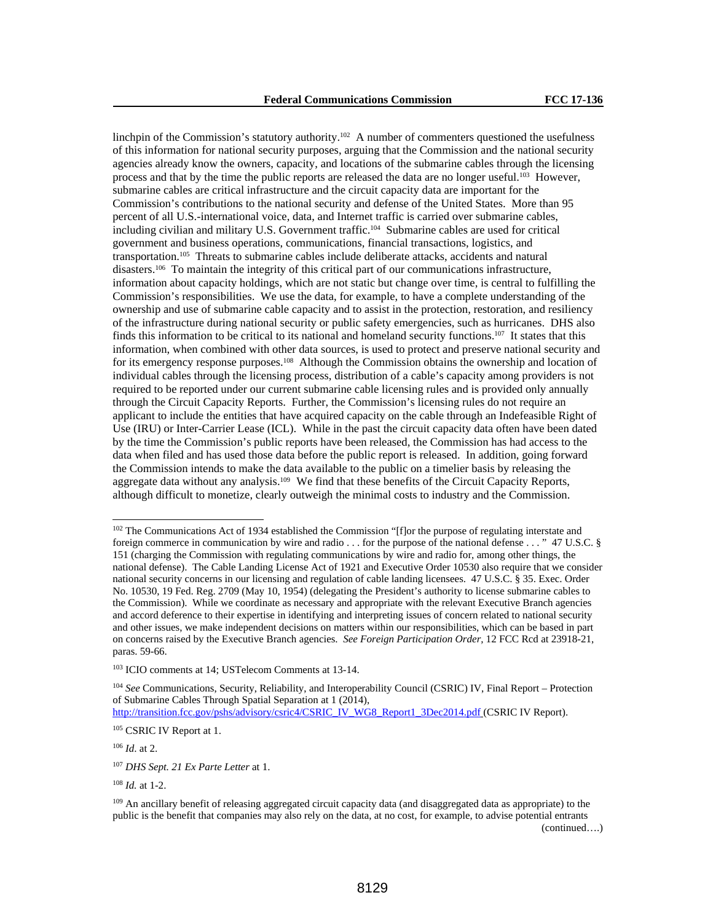linchpin of the Commission's statutory authority.<sup>102</sup> A number of commenters questioned the usefulness of this information for national security purposes, arguing that the Commission and the national security agencies already know the owners, capacity, and locations of the submarine cables through the licensing process and that by the time the public reports are released the data are no longer useful.103 However, submarine cables are critical infrastructure and the circuit capacity data are important for the Commission's contributions to the national security and defense of the United States. More than 95 percent of all U.S.-international voice, data, and Internet traffic is carried over submarine cables, including civilian and military U.S. Government traffic.<sup>104</sup> Submarine cables are used for critical government and business operations, communications, financial transactions, logistics, and transportation.105 Threats to submarine cables include deliberate attacks, accidents and natural disasters.106 To maintain the integrity of this critical part of our communications infrastructure, information about capacity holdings, which are not static but change over time, is central to fulfilling the Commission's responsibilities. We use the data, for example, to have a complete understanding of the ownership and use of submarine cable capacity and to assist in the protection, restoration, and resiliency of the infrastructure during national security or public safety emergencies, such as hurricanes. DHS also finds this information to be critical to its national and homeland security functions.<sup>107</sup> It states that this information, when combined with other data sources, is used to protect and preserve national security and for its emergency response purposes.108 Although the Commission obtains the ownership and location of individual cables through the licensing process, distribution of a cable's capacity among providers is not required to be reported under our current submarine cable licensing rules and is provided only annually through the Circuit Capacity Reports. Further, the Commission's licensing rules do not require an applicant to include the entities that have acquired capacity on the cable through an Indefeasible Right of Use (IRU) or Inter-Carrier Lease (ICL). While in the past the circuit capacity data often have been dated by the time the Commission's public reports have been released, the Commission has had access to the data when filed and has used those data before the public report is released. In addition, going forward the Commission intends to make the data available to the public on a timelier basis by releasing the aggregate data without any analysis.109 We find that these benefits of the Circuit Capacity Reports, although difficult to monetize, clearly outweigh the minimal costs to industry and the Commission.

<sup>104</sup> *See* Communications, Security, Reliability, and Interoperability Council (CSRIC) IV, Final Report – Protection of Submarine Cables Through Spatial Separation at 1 (2014),

http://transition.fcc.gov/pshs/advisory/csric4/CSRIC\_IV\_WG8\_Report1\_3Dec2014.pdf (CSRIC IV Report).

<sup>106</sup> *Id*. at 2.

 $\overline{a}$ 

<sup>108</sup> *Id.* at 1-2.

<sup>&</sup>lt;sup>102</sup> The Communications Act of 1934 established the Commission "[f]or the purpose of regulating interstate and foreign commerce in communication by wire and radio . . . for the purpose of the national defense . . . " 47 U.S.C. § 151 (charging the Commission with regulating communications by wire and radio for, among other things, the national defense). The Cable Landing License Act of 1921 and Executive Order 10530 also require that we consider national security concerns in our licensing and regulation of cable landing licensees. 47 U.S.C. § 35. Exec. Order No. 10530, 19 Fed. Reg. 2709 (May 10, 1954) (delegating the President's authority to license submarine cables to the Commission). While we coordinate as necessary and appropriate with the relevant Executive Branch agencies and accord deference to their expertise in identifying and interpreting issues of concern related to national security and other issues, we make independent decisions on matters within our responsibilities, which can be based in part on concerns raised by the Executive Branch agencies. *See Foreign Participation Order,* 12 FCC Rcd at 23918-21, paras. 59-66.

<sup>103</sup> ICIO comments at 14; USTelecom Comments at 13-14.

<sup>105</sup> CSRIC IV Report at 1.

<sup>107</sup> *DHS Sept. 21 Ex Parte Letter* at 1.

<sup>&</sup>lt;sup>109</sup> An ancillary benefit of releasing aggregated circuit capacity data (and disaggregated data as appropriate) to the public is the benefit that companies may also rely on the data, at no cost, for example, to advise potential entrants (continued….)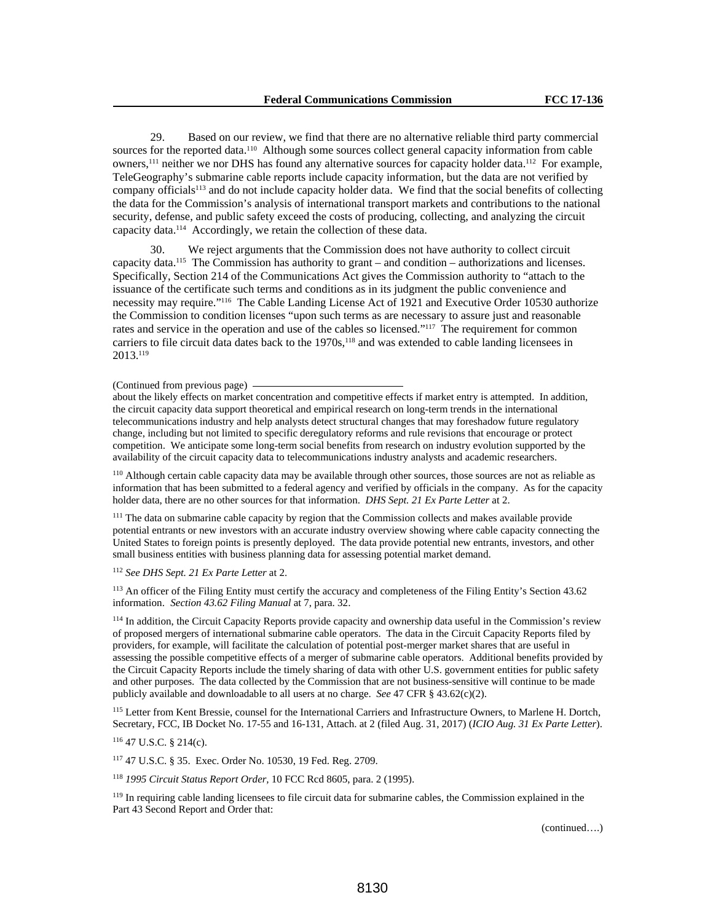29. Based on our review, we find that there are no alternative reliable third party commercial sources for the reported data.<sup>110</sup> Although some sources collect general capacity information from cable owners,<sup>111</sup> neither we nor DHS has found any alternative sources for capacity holder data.<sup>112</sup> For example, TeleGeography's submarine cable reports include capacity information, but the data are not verified by company officials113 and do not include capacity holder data. We find that the social benefits of collecting the data for the Commission's analysis of international transport markets and contributions to the national security, defense, and public safety exceed the costs of producing, collecting, and analyzing the circuit capacity data.114 Accordingly, we retain the collection of these data.

30. We reject arguments that the Commission does not have authority to collect circuit capacity data.<sup>115</sup> The Commission has authority to grant – and condition – authorizations and licenses. Specifically, Section 214 of the Communications Act gives the Commission authority to "attach to the issuance of the certificate such terms and conditions as in its judgment the public convenience and necessity may require."116 The Cable Landing License Act of 1921 and Executive Order 10530 authorize the Commission to condition licenses "upon such terms as are necessary to assure just and reasonable rates and service in the operation and use of the cables so licensed."<sup>117</sup> The requirement for common carriers to file circuit data dates back to the 1970s,<sup>118</sup> and was extended to cable landing licensees in 2013.119

#### (Continued from previous page)

about the likely effects on market concentration and competitive effects if market entry is attempted. In addition, the circuit capacity data support theoretical and empirical research on long-term trends in the international telecommunications industry and help analysts detect structural changes that may foreshadow future regulatory change, including but not limited to specific deregulatory reforms and rule revisions that encourage or protect competition. We anticipate some long-term social benefits from research on industry evolution supported by the availability of the circuit capacity data to telecommunications industry analysts and academic researchers.

110 Although certain cable capacity data may be available through other sources, those sources are not as reliable as information that has been submitted to a federal agency and verified by officials in the company. As for the capacity holder data, there are no other sources for that information. *DHS Sept. 21 Ex Parte Letter* at 2.

<sup>111</sup> The data on submarine cable capacity by region that the Commission collects and makes available provide potential entrants or new investors with an accurate industry overview showing where cable capacity connecting the United States to foreign points is presently deployed. The data provide potential new entrants, investors, and other small business entities with business planning data for assessing potential market demand.

#### <sup>112</sup> *See DHS Sept. 21 Ex Parte Letter* at 2.

113 An officer of the Filing Entity must certify the accuracy and completeness of the Filing Entity's Section 43.62 information. *Section 43.62 Filing Manual* at 7, para. 32.

114 In addition, the Circuit Capacity Reports provide capacity and ownership data useful in the Commission's review of proposed mergers of international submarine cable operators. The data in the Circuit Capacity Reports filed by providers, for example, will facilitate the calculation of potential post-merger market shares that are useful in assessing the possible competitive effects of a merger of submarine cable operators. Additional benefits provided by the Circuit Capacity Reports include the timely sharing of data with other U.S. government entities for public safety and other purposes. The data collected by the Commission that are not business-sensitive will continue to be made publicly available and downloadable to all users at no charge. *See* 47 CFR § 43.62(c)(2).

<sup>115</sup> Letter from Kent Bressie, counsel for the International Carriers and Infrastructure Owners, to Marlene H. Dortch, Secretary, FCC, IB Docket No. 17-55 and 16-131, Attach. at 2 (filed Aug. 31, 2017) (*ICIO Aug. 31 Ex Parte Letter*).

## 116 47 U.S.C. § 214(c).

117 47 U.S.C. § 35. Exec. Order No. 10530, 19 Fed. Reg. 2709.

<sup>118</sup> *1995 Circuit Status Report Order,* 10 FCC Rcd 8605, para. 2 (1995).

<sup>119</sup> In requiring cable landing licensees to file circuit data for submarine cables, the Commission explained in the Part 43 Second Report and Order that:

(continued….)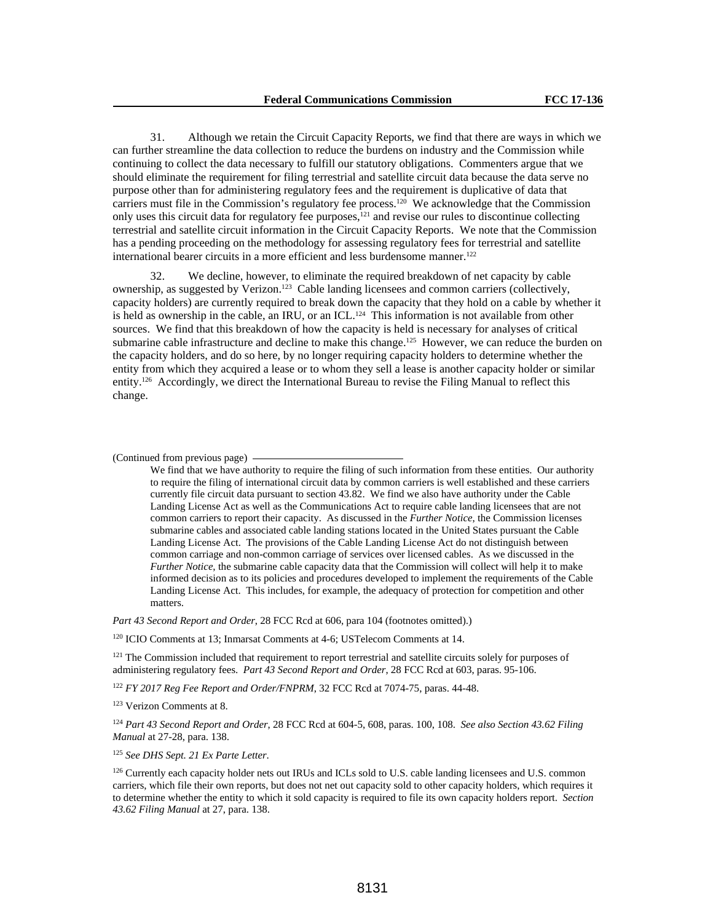31. Although we retain the Circuit Capacity Reports, we find that there are ways in which we can further streamline the data collection to reduce the burdens on industry and the Commission while continuing to collect the data necessary to fulfill our statutory obligations. Commenters argue that we should eliminate the requirement for filing terrestrial and satellite circuit data because the data serve no purpose other than for administering regulatory fees and the requirement is duplicative of data that carriers must file in the Commission's regulatory fee process.<sup>120</sup> We acknowledge that the Commission only uses this circuit data for regulatory fee purposes,<sup>121</sup> and revise our rules to discontinue collecting terrestrial and satellite circuit information in the Circuit Capacity Reports. We note that the Commission has a pending proceeding on the methodology for assessing regulatory fees for terrestrial and satellite international bearer circuits in a more efficient and less burdensome manner.<sup>122</sup>

32. We decline, however, to eliminate the required breakdown of net capacity by cable ownership, as suggested by Verizon.123 Cable landing licensees and common carriers (collectively, capacity holders) are currently required to break down the capacity that they hold on a cable by whether it is held as ownership in the cable, an IRU, or an ICL.<sup>124</sup> This information is not available from other sources. We find that this breakdown of how the capacity is held is necessary for analyses of critical submarine cable infrastructure and decline to make this change.<sup>125</sup> However, we can reduce the burden on the capacity holders, and do so here, by no longer requiring capacity holders to determine whether the entity from which they acquired a lease or to whom they sell a lease is another capacity holder or similar entity.126 Accordingly, we direct the International Bureau to revise the Filing Manual to reflect this change.

#### (Continued from previous page)

We find that we have authority to require the filing of such information from these entities. Our authority to require the filing of international circuit data by common carriers is well established and these carriers currently file circuit data pursuant to section 43.82. We find we also have authority under the Cable Landing License Act as well as the Communications Act to require cable landing licensees that are not common carriers to report their capacity. As discussed in the *Further Notice*, the Commission licenses submarine cables and associated cable landing stations located in the United States pursuant the Cable Landing License Act. The provisions of the Cable Landing License Act do not distinguish between common carriage and non-common carriage of services over licensed cables. As we discussed in the *Further Notice*, the submarine cable capacity data that the Commission will collect will help it to make informed decision as to its policies and procedures developed to implement the requirements of the Cable Landing License Act. This includes, for example, the adequacy of protection for competition and other matters.

*Part 43 Second Report and Order*, 28 FCC Rcd at 606, para 104 (footnotes omitted).)

120 ICIO Comments at 13; Inmarsat Comments at 4-6; USTelecom Comments at 14.

<sup>121</sup> The Commission included that requirement to report terrestrial and satellite circuits solely for purposes of administering regulatory fees. *Part 43 Second Report and Order*, 28 FCC Rcd at 603, paras. 95-106.

<sup>122</sup> *FY 2017 Reg Fee Report and Order/FNPRM*, 32 FCC Rcd at 7074-75, paras. 44-48.

123 Verizon Comments at 8.

<sup>124</sup> *Part 43 Second Report and Order*, 28 FCC Rcd at 604-5, 608, paras. 100, 108. *See also Section 43.62 Filing Manual* at 27-28, para. 138.

<sup>125</sup> *See DHS Sept. 21 Ex Parte Letter*.

<sup>126</sup> Currently each capacity holder nets out IRUs and ICLs sold to U.S. cable landing licensees and U.S. common carriers, which file their own reports, but does not net out capacity sold to other capacity holders, which requires it to determine whether the entity to which it sold capacity is required to file its own capacity holders report. *Section 43.62 Filing Manual* at 27, para. 138.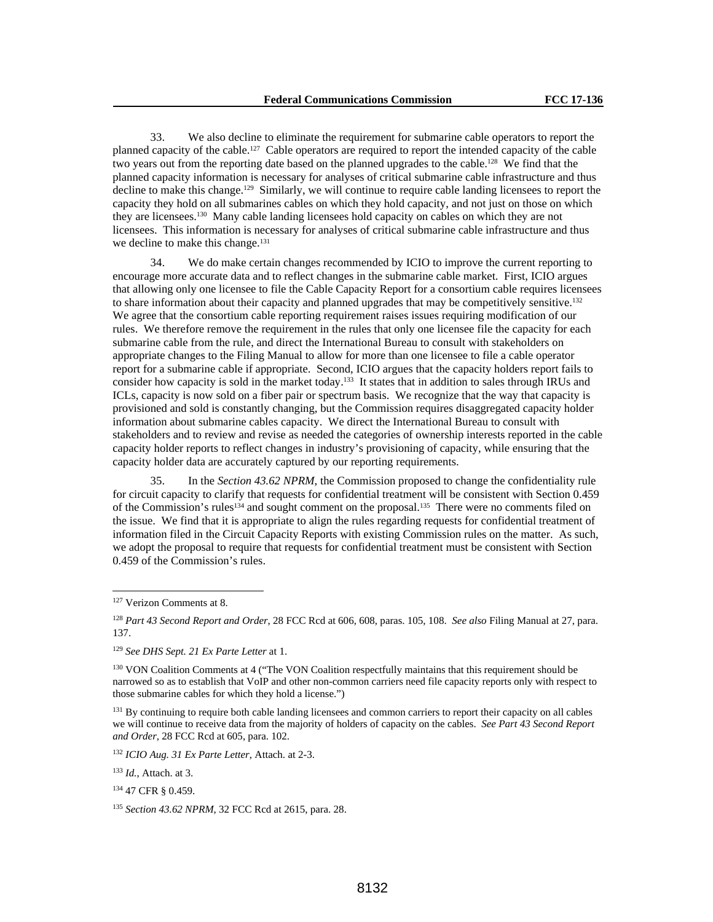33. We also decline to eliminate the requirement for submarine cable operators to report the planned capacity of the cable.127 Cable operators are required to report the intended capacity of the cable two years out from the reporting date based on the planned upgrades to the cable.<sup>128</sup> We find that the planned capacity information is necessary for analyses of critical submarine cable infrastructure and thus decline to make this change.129 Similarly, we will continue to require cable landing licensees to report the capacity they hold on all submarines cables on which they hold capacity, and not just on those on which they are licensees.130 Many cable landing licensees hold capacity on cables on which they are not licensees. This information is necessary for analyses of critical submarine cable infrastructure and thus we decline to make this change.<sup>131</sup>

34. We do make certain changes recommended by ICIO to improve the current reporting to encourage more accurate data and to reflect changes in the submarine cable market. First, ICIO argues that allowing only one licensee to file the Cable Capacity Report for a consortium cable requires licensees to share information about their capacity and planned upgrades that may be competitively sensitive.<sup>132</sup> We agree that the consortium cable reporting requirement raises issues requiring modification of our rules. We therefore remove the requirement in the rules that only one licensee file the capacity for each submarine cable from the rule, and direct the International Bureau to consult with stakeholders on appropriate changes to the Filing Manual to allow for more than one licensee to file a cable operator report for a submarine cable if appropriate. Second, ICIO argues that the capacity holders report fails to consider how capacity is sold in the market today.133 It states that in addition to sales through IRUs and ICLs, capacity is now sold on a fiber pair or spectrum basis. We recognize that the way that capacity is provisioned and sold is constantly changing, but the Commission requires disaggregated capacity holder information about submarine cables capacity. We direct the International Bureau to consult with stakeholders and to review and revise as needed the categories of ownership interests reported in the cable capacity holder reports to reflect changes in industry's provisioning of capacity, while ensuring that the capacity holder data are accurately captured by our reporting requirements.

35. In the *Section 43.62 NPRM*, the Commission proposed to change the confidentiality rule for circuit capacity to clarify that requests for confidential treatment will be consistent with Section 0.459 of the Commission's rules<sup>134</sup> and sought comment on the proposal.<sup>135</sup> There were no comments filed on the issue. We find that it is appropriate to align the rules regarding requests for confidential treatment of information filed in the Circuit Capacity Reports with existing Commission rules on the matter. As such, we adopt the proposal to require that requests for confidential treatment must be consistent with Section 0.459 of the Commission's rules.

 $\overline{a}$ 

<sup>129</sup> *See DHS Sept. 21 Ex Parte Letter* at 1.

<sup>132</sup> *ICIO Aug. 31 Ex Parte Letter*, Attach. at 2-3.

<sup>133</sup> *Id.*, Attach. at 3.

<sup>127</sup> Verizon Comments at 8.

<sup>128</sup> *Part 43 Second Report and Order*, 28 FCC Rcd at 606, 608, paras. 105, 108. *See also* Filing Manual at 27, para. 137.

<sup>&</sup>lt;sup>130</sup> VON Coalition Comments at 4 ("The VON Coalition respectfully maintains that this requirement should be narrowed so as to establish that VoIP and other non-common carriers need file capacity reports only with respect to those submarine cables for which they hold a license.")

<sup>&</sup>lt;sup>131</sup> By continuing to require both cable landing licensees and common carriers to report their capacity on all cables we will continue to receive data from the majority of holders of capacity on the cables. *See Part 43 Second Report and Order,* 28 FCC Rcd at 605, para. 102.

<sup>134 47</sup> CFR § 0.459.

<sup>135</sup> *Section 43.62 NPRM*, 32 FCC Rcd at 2615, para. 28.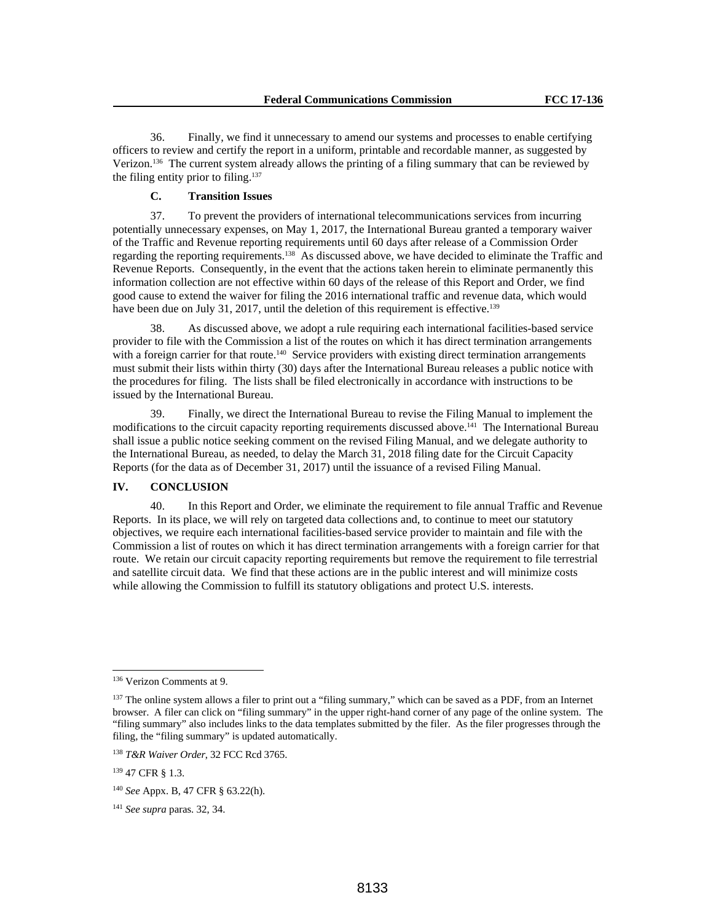36. Finally, we find it unnecessary to amend our systems and processes to enable certifying officers to review and certify the report in a uniform, printable and recordable manner, as suggested by Verizon.136 The current system already allows the printing of a filing summary that can be reviewed by the filing entity prior to filing.137

## **C. Transition Issues**

37. To prevent the providers of international telecommunications services from incurring potentially unnecessary expenses, on May 1, 2017, the International Bureau granted a temporary waiver of the Traffic and Revenue reporting requirements until 60 days after release of a Commission Order regarding the reporting requirements.138 As discussed above, we have decided to eliminate the Traffic and Revenue Reports. Consequently, in the event that the actions taken herein to eliminate permanently this information collection are not effective within 60 days of the release of this Report and Order, we find good cause to extend the waiver for filing the 2016 international traffic and revenue data, which would have been due on July 31, 2017, until the deletion of this requirement is effective.<sup>139</sup>

38. As discussed above, we adopt a rule requiring each international facilities-based service provider to file with the Commission a list of the routes on which it has direct termination arrangements with a foreign carrier for that route.<sup>140</sup> Service providers with existing direct termination arrangements must submit their lists within thirty (30) days after the International Bureau releases a public notice with the procedures for filing. The lists shall be filed electronically in accordance with instructions to be issued by the International Bureau.

39. Finally, we direct the International Bureau to revise the Filing Manual to implement the modifications to the circuit capacity reporting requirements discussed above.<sup>141</sup> The International Bureau shall issue a public notice seeking comment on the revised Filing Manual, and we delegate authority to the International Bureau, as needed, to delay the March 31, 2018 filing date for the Circuit Capacity Reports (for the data as of December 31, 2017) until the issuance of a revised Filing Manual.

## **IV. CONCLUSION**

40. In this Report and Order, we eliminate the requirement to file annual Traffic and Revenue Reports. In its place, we will rely on targeted data collections and, to continue to meet our statutory objectives, we require each international facilities-based service provider to maintain and file with the Commission a list of routes on which it has direct termination arrangements with a foreign carrier for that route. We retain our circuit capacity reporting requirements but remove the requirement to file terrestrial and satellite circuit data. We find that these actions are in the public interest and will minimize costs while allowing the Commission to fulfill its statutory obligations and protect U.S. interests.

<sup>136</sup> Verizon Comments at 9.

<sup>&</sup>lt;sup>137</sup> The online system allows a filer to print out a "filing summary," which can be saved as a PDF, from an Internet browser. A filer can click on "filing summary" in the upper right-hand corner of any page of the online system. The "filing summary" also includes links to the data templates submitted by the filer. As the filer progresses through the filing, the "filing summary" is updated automatically.

<sup>138</sup> *T&R Waiver Order*, 32 FCC Rcd 3765.

<sup>139 47</sup> CFR § 1.3.

<sup>140</sup> *See* Appx. B, 47 CFR § 63.22(h).

<sup>141</sup> *See supra* paras. 32, 34.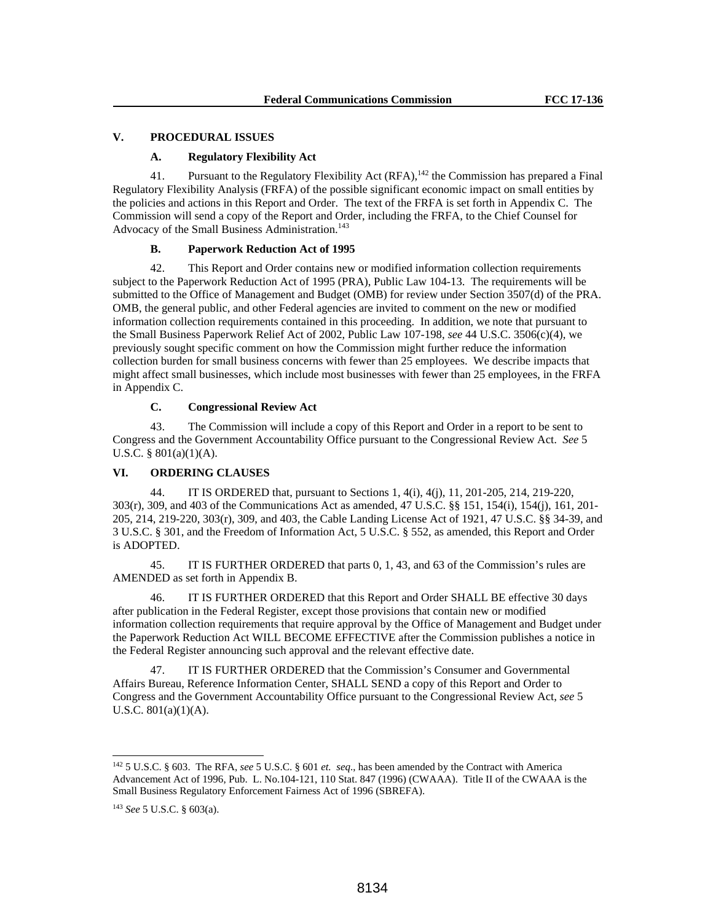## **V. PROCEDURAL ISSUES**

## **A. Regulatory Flexibility Act**

41. Pursuant to the Regulatory Flexibility Act (RFA),<sup>142</sup> the Commission has prepared a Final Regulatory Flexibility Analysis (FRFA) of the possible significant economic impact on small entities by the policies and actions in this Report and Order. The text of the FRFA is set forth in Appendix C. The Commission will send a copy of the Report and Order, including the FRFA, to the Chief Counsel for Advocacy of the Small Business Administration.<sup>143</sup>

## **B. Paperwork Reduction Act of 1995**

42. This Report and Order contains new or modified information collection requirements subject to the Paperwork Reduction Act of 1995 (PRA), Public Law 104-13. The requirements will be submitted to the Office of Management and Budget (OMB) for review under Section 3507(d) of the PRA. OMB, the general public, and other Federal agencies are invited to comment on the new or modified information collection requirements contained in this proceeding. In addition, we note that pursuant to the Small Business Paperwork Relief Act of 2002, Public Law 107-198, *see* 44 U.S.C. 3506(c)(4), we previously sought specific comment on how the Commission might further reduce the information collection burden for small business concerns with fewer than 25 employees. We describe impacts that might affect small businesses, which include most businesses with fewer than 25 employees, in the FRFA in Appendix C.

## **C. Congressional Review Act**

43. The Commission will include a copy of this Report and Order in a report to be sent to Congress and the Government Accountability Office pursuant to the Congressional Review Act. *See* 5 U.S.C. § 801(a)(1)(A).

## **VI. ORDERING CLAUSES**

44. IT IS ORDERED that, pursuant to Sections 1, 4(i), 4(j), 11, 201-205, 214, 219-220, 303(r), 309, and 403 of the Communications Act as amended, 47 U.S.C. §§ 151, 154(i), 154(j), 161, 201- 205, 214, 219-220, 303(r), 309, and 403, the Cable Landing License Act of 1921, 47 U.S.C. §§ 34-39, and 3 U.S.C. § 301, and the Freedom of Information Act, 5 U.S.C. § 552, as amended, this Report and Order is ADOPTED.

45. IT IS FURTHER ORDERED that parts 0, 1, 43, and 63 of the Commission's rules are AMENDED as set forth in Appendix B.

46. IT IS FURTHER ORDERED that this Report and Order SHALL BE effective 30 days after publication in the Federal Register, except those provisions that contain new or modified information collection requirements that require approval by the Office of Management and Budget under the Paperwork Reduction Act WILL BECOME EFFECTIVE after the Commission publishes a notice in the Federal Register announcing such approval and the relevant effective date.

47. IT IS FURTHER ORDERED that the Commission's Consumer and Governmental Affairs Bureau, Reference Information Center, SHALL SEND a copy of this Report and Order to Congress and the Government Accountability Office pursuant to the Congressional Review Act, *see* 5 U.S.C. 801(a)(1)(A).

<sup>142 5</sup> U.S.C. § 603. The RFA, *see* 5 U.S.C. § 601 *et. seq*., has been amended by the Contract with America Advancement Act of 1996, Pub. L. No.104-121, 110 Stat. 847 (1996) (CWAAA). Title II of the CWAAA is the Small Business Regulatory Enforcement Fairness Act of 1996 (SBREFA).

<sup>143</sup> *See* 5 U.S.C. § 603(a).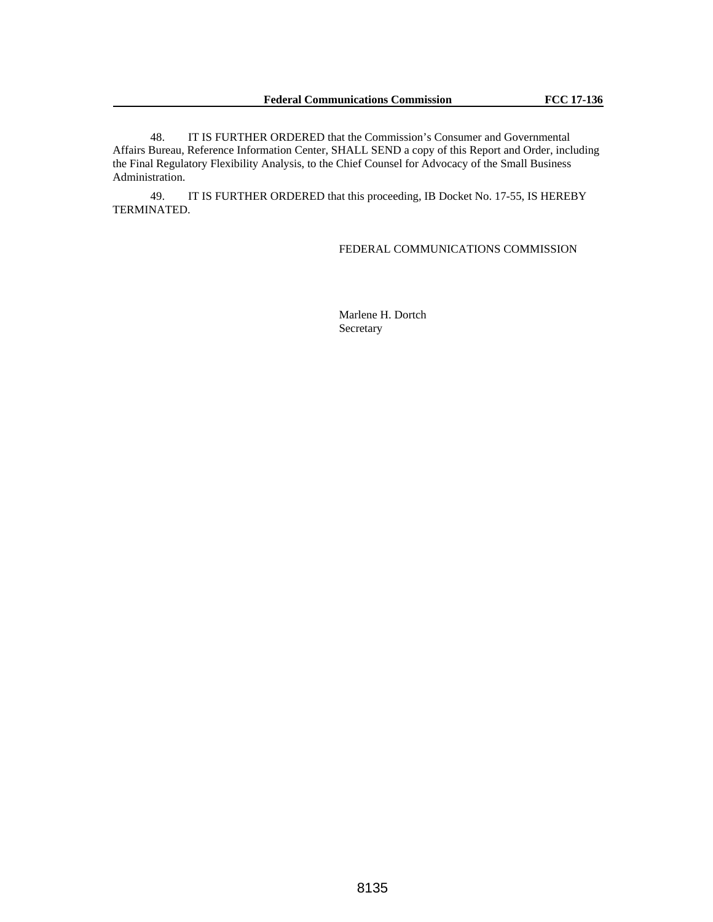48. IT IS FURTHER ORDERED that the Commission's Consumer and Governmental Affairs Bureau, Reference Information Center, SHALL SEND a copy of this Report and Order, including the Final Regulatory Flexibility Analysis, to the Chief Counsel for Advocacy of the Small Business Administration.

49. IT IS FURTHER ORDERED that this proceeding, IB Docket No. 17-55, IS HEREBY TERMINATED.

## FEDERAL COMMUNICATIONS COMMISSION

Marlene H. Dortch Secretary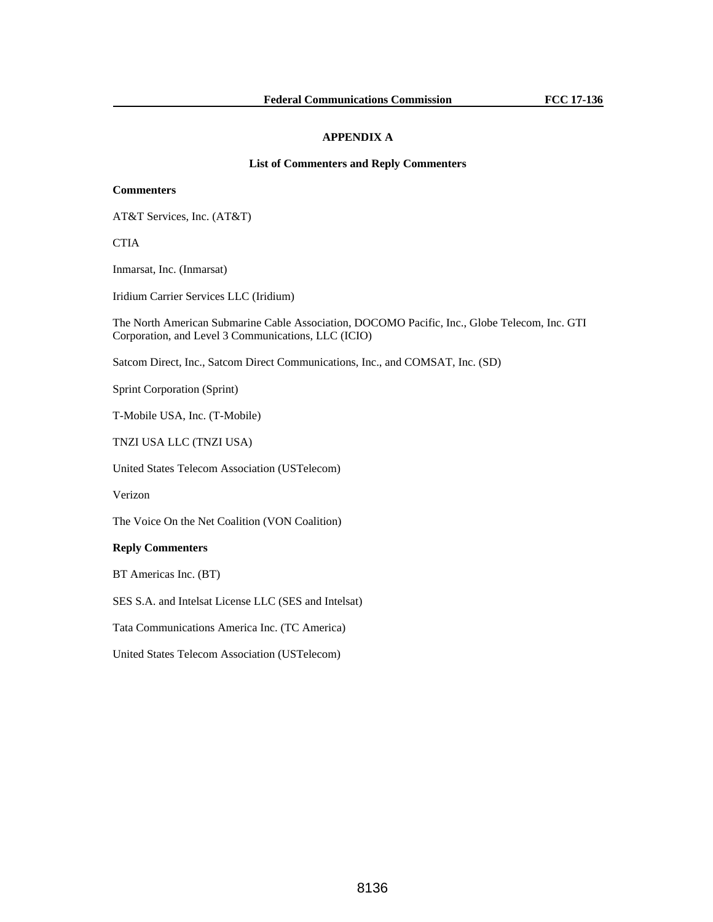## **APPENDIX A**

## **List of Commenters and Reply Commenters**

## **Commenters**

AT&T Services, Inc. (AT&T)

**CTIA** 

Inmarsat, Inc. (Inmarsat)

Iridium Carrier Services LLC (Iridium)

The North American Submarine Cable Association, DOCOMO Pacific, Inc., Globe Telecom, Inc. GTI Corporation, and Level 3 Communications, LLC (ICIO)

Satcom Direct, Inc., Satcom Direct Communications, Inc., and COMSAT, Inc. (SD)

Sprint Corporation (Sprint)

T-Mobile USA, Inc. (T-Mobile)

TNZI USA LLC (TNZI USA)

United States Telecom Association (USTelecom)

Verizon

The Voice On the Net Coalition (VON Coalition)

#### **Reply Commenters**

BT Americas Inc. (BT)

SES S.A. and Intelsat License LLC (SES and Intelsat)

Tata Communications America Inc. (TC America)

United States Telecom Association (USTelecom)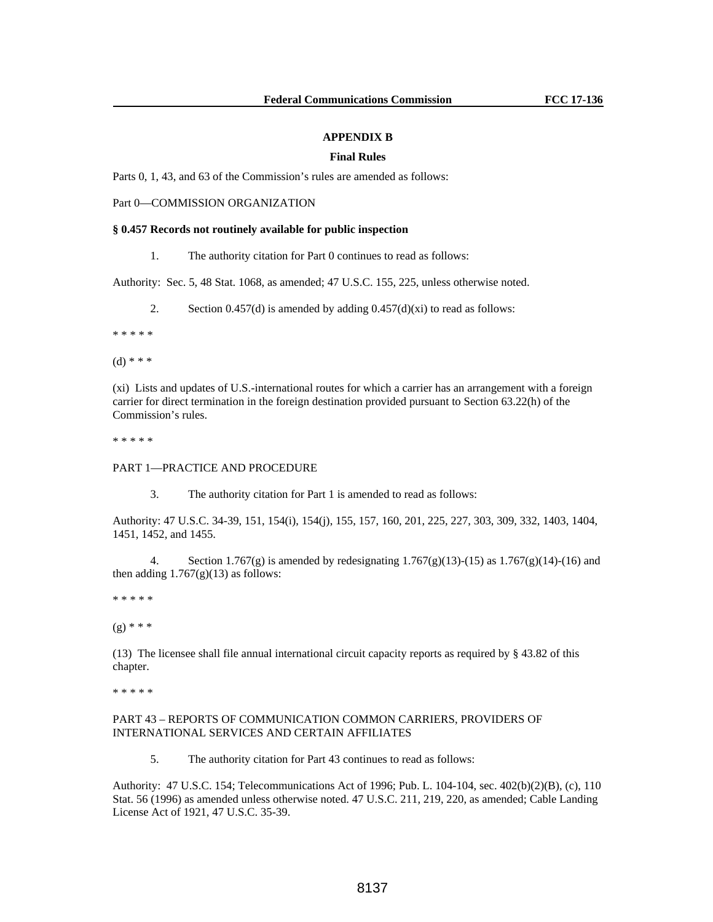#### **APPENDIX B**

### **Final Rules**

Parts 0, 1, 43, and 63 of the Commission's rules are amended as follows:

Part 0—COMMISSION ORGANIZATION

#### **§ 0.457 Records not routinely available for public inspection**

1. The authority citation for Part 0 continues to read as follows:

Authority: Sec. 5, 48 Stat. 1068, as amended; 47 U.S.C. 155, 225, unless otherwise noted.

2. Section  $0.457(d)$  is amended by adding  $0.457(d)(xi)$  to read as follows:

\* \* \* \* \*

 $(d)$  \* \* \*

(xi) Lists and updates of U.S.-international routes for which a carrier has an arrangement with a foreign carrier for direct termination in the foreign destination provided pursuant to Section 63.22(h) of the Commission's rules.

\* \* \* \* \*

## PART 1—PRACTICE AND PROCEDURE

3. The authority citation for Part 1 is amended to read as follows:

Authority: 47 U.S.C. 34-39, 151, 154(i), 154(j), 155, 157, 160, 201, 225, 227, 303, 309, 332, 1403, 1404, 1451, 1452, and 1455.

4. Section 1.767(g) is amended by redesignating 1.767(g)(13)-(15) as 1.767(g)(14)-(16) and then adding  $1.767(g)(13)$  as follows:

\* \* \* \* \*

 $(g)$  \* \* \*

(13) The licensee shall file annual international circuit capacity reports as required by § 43.82 of this chapter.

\* \* \* \* \*

## PART 43 – REPORTS OF COMMUNICATION COMMON CARRIERS, PROVIDERS OF INTERNATIONAL SERVICES AND CERTAIN AFFILIATES

5. The authority citation for Part 43 continues to read as follows:

Authority: 47 U.S.C. 154; Telecommunications Act of 1996; Pub. L. 104-104, sec. 402(b)(2)(B), (c), 110 Stat. 56 (1996) as amended unless otherwise noted. 47 U.S.C. 211, 219, 220, as amended; Cable Landing License Act of 1921, 47 U.S.C. 35-39.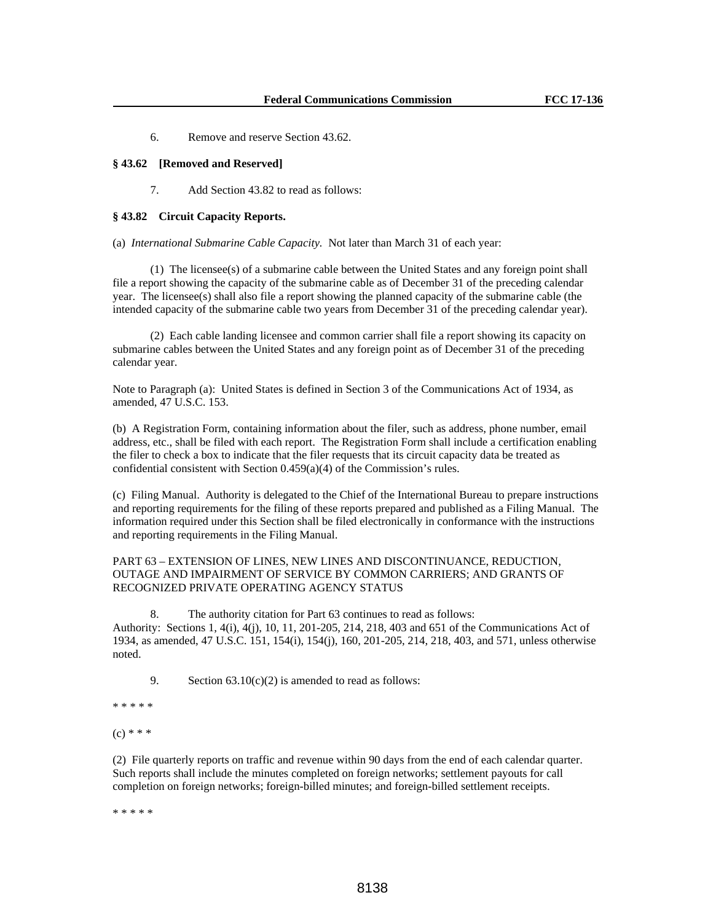6. Remove and reserve Section 43.62.

#### **§ 43.62 [Removed and Reserved]**

7. Add Section 43.82 to read as follows:

## **§ 43.82 Circuit Capacity Reports.**

(a) *International Submarine Cable Capacity.* Not later than March 31 of each year:

 (1) The licensee(s) of a submarine cable between the United States and any foreign point shall file a report showing the capacity of the submarine cable as of December 31 of the preceding calendar year. The licensee(s) shall also file a report showing the planned capacity of the submarine cable (the intended capacity of the submarine cable two years from December 31 of the preceding calendar year).

 (2) Each cable landing licensee and common carrier shall file a report showing its capacity on submarine cables between the United States and any foreign point as of December 31 of the preceding calendar year.

Note to Paragraph (a): United States is defined in Section 3 of the Communications Act of 1934, as amended, 47 U.S.C. 153.

(b) A Registration Form, containing information about the filer, such as address, phone number, email address, etc., shall be filed with each report. The Registration Form shall include a certification enabling the filer to check a box to indicate that the filer requests that its circuit capacity data be treated as confidential consistent with Section 0.459(a)(4) of the Commission's rules.

(c) Filing Manual.Authority is delegated to the Chief of the International Bureau to prepare instructions and reporting requirements for the filing of these reports prepared and published as a Filing Manual. The information required under this Section shall be filed electronically in conformance with the instructions and reporting requirements in the Filing Manual.

## PART 63 – EXTENSION OF LINES, NEW LINES AND DISCONTINUANCE, REDUCTION, OUTAGE AND IMPAIRMENT OF SERVICE BY COMMON CARRIERS; AND GRANTS OF RECOGNIZED PRIVATE OPERATING AGENCY STATUS

8. The authority citation for Part 63 continues to read as follows:

Authority: Sections 1, 4(i), 4(j), 10, 11, 201-205, 214, 218, 403 and 651 of the Communications Act of 1934, as amended, 47 U.S.C. 151, 154(i), 154(j), 160, 201-205, 214, 218, 403, and 571, unless otherwise noted.

9. Section  $63.10(c)(2)$  is amended to read as follows:

\* \* \* \* \*

 $(c)$  \* \* \*

(2) File quarterly reports on traffic and revenue within 90 days from the end of each calendar quarter. Such reports shall include the minutes completed on foreign networks; settlement payouts for call completion on foreign networks; foreign-billed minutes; and foreign-billed settlement receipts.

\* \* \* \* \*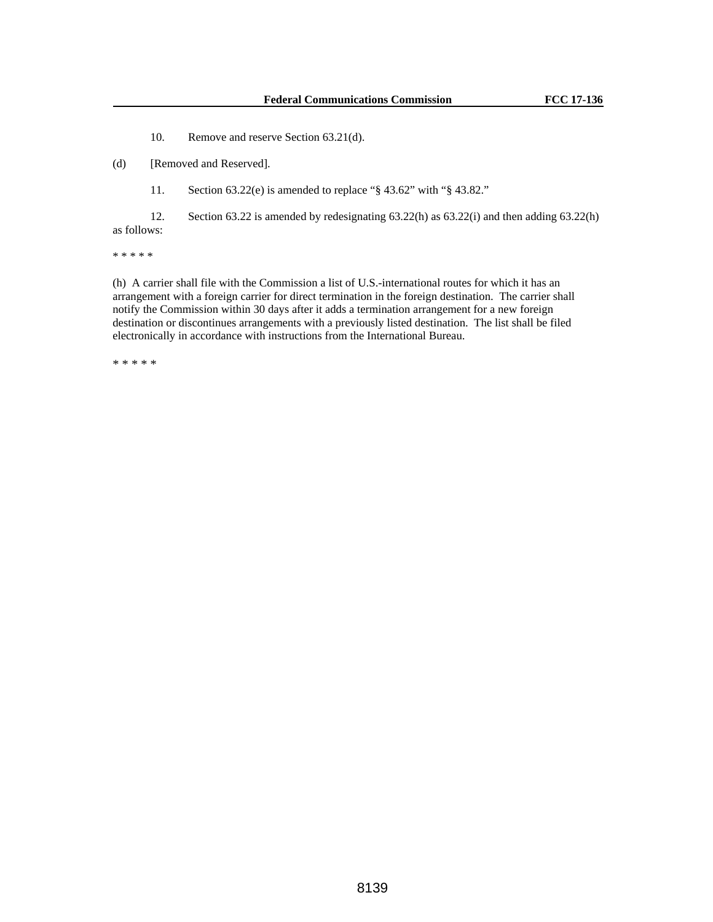10. Remove and reserve Section 63.21(d).

(d) [Removed and Reserved].

11. Section 63.22(e) is amended to replace "§ 43.62" with "§ 43.82."

 12. Section 63.22 is amended by redesignating 63.22(h) as 63.22(i) and then adding 63.22(h) as follows:

\* \* \* \* \*

(h) A carrier shall file with the Commission a list of U.S.-international routes for which it has an arrangement with a foreign carrier for direct termination in the foreign destination. The carrier shall notify the Commission within 30 days after it adds a termination arrangement for a new foreign destination or discontinues arrangements with a previously listed destination. The list shall be filed electronically in accordance with instructions from the International Bureau.

\* \* \* \* \*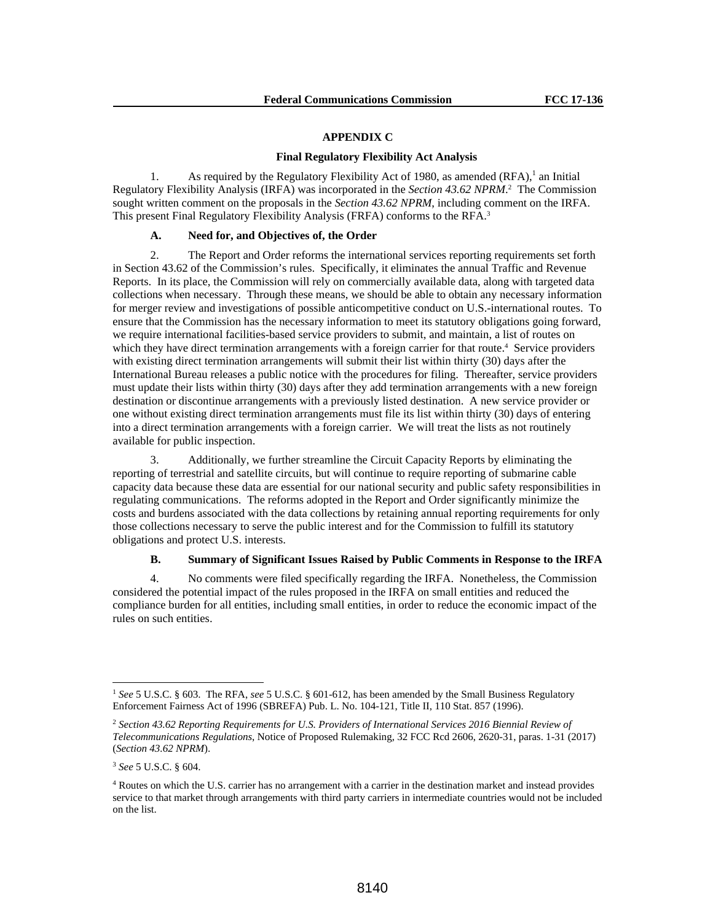#### **APPENDIX C**

## **Final Regulatory Flexibility Act Analysis**

1. As required by the Regulatory Flexibility Act of 1980, as amended  $(RFA)$ ,<sup>1</sup> an Initial Regulatory Flexibility Analysis (IRFA) was incorporated in the *Section 43.62 NPRM*.<sup>2</sup> The Commission sought written comment on the proposals in the *Section 43.62 NPRM*, including comment on the IRFA. This present Final Regulatory Flexibility Analysis (FRFA) conforms to the RFA.3

## **A. Need for, and Objectives of, the Order**

2. The Report and Order reforms the international services reporting requirements set forth in Section 43.62 of the Commission's rules. Specifically, it eliminates the annual Traffic and Revenue Reports. In its place, the Commission will rely on commercially available data, along with targeted data collections when necessary. Through these means, we should be able to obtain any necessary information for merger review and investigations of possible anticompetitive conduct on U.S.-international routes. To ensure that the Commission has the necessary information to meet its statutory obligations going forward, we require international facilities-based service providers to submit, and maintain, a list of routes on which they have direct termination arrangements with a foreign carrier for that route.<sup>4</sup> Service providers with existing direct termination arrangements will submit their list within thirty (30) days after the International Bureau releases a public notice with the procedures for filing. Thereafter, service providers must update their lists within thirty (30) days after they add termination arrangements with a new foreign destination or discontinue arrangements with a previously listed destination. A new service provider or one without existing direct termination arrangements must file its list within thirty (30) days of entering into a direct termination arrangements with a foreign carrier. We will treat the lists as not routinely available for public inspection.

3. Additionally, we further streamline the Circuit Capacity Reports by eliminating the reporting of terrestrial and satellite circuits, but will continue to require reporting of submarine cable capacity data because these data are essential for our national security and public safety responsibilities in regulating communications. The reforms adopted in the Report and Order significantly minimize the costs and burdens associated with the data collections by retaining annual reporting requirements for only those collections necessary to serve the public interest and for the Commission to fulfill its statutory obligations and protect U.S. interests.

#### **B. Summary of Significant Issues Raised by Public Comments in Response to the IRFA**

4. No comments were filed specifically regarding the IRFA. Nonetheless, the Commission considered the potential impact of the rules proposed in the IRFA on small entities and reduced the compliance burden for all entities, including small entities, in order to reduce the economic impact of the rules on such entities.

<sup>&</sup>lt;sup>1</sup> See 5 U.S.C. § 603. The RFA, see 5 U.S.C. § 601-612, has been amended by the Small Business Regulatory Enforcement Fairness Act of 1996 (SBREFA) Pub. L. No. 104-121, Title II, 110 Stat. 857 (1996).

<sup>2</sup> *Section 43.62 Reporting Requirements for U.S. Providers of International Services 2016 Biennial Review of Telecommunications Regulations*, Notice of Proposed Rulemaking, 32 FCC Rcd 2606, 2620-31, paras. 1-31 (2017) (*Section 43.62 NPRM*).

<sup>3</sup> *See* 5 U.S.C. § 604.

<sup>4</sup> Routes on which the U.S. carrier has no arrangement with a carrier in the destination market and instead provides service to that market through arrangements with third party carriers in intermediate countries would not be included on the list.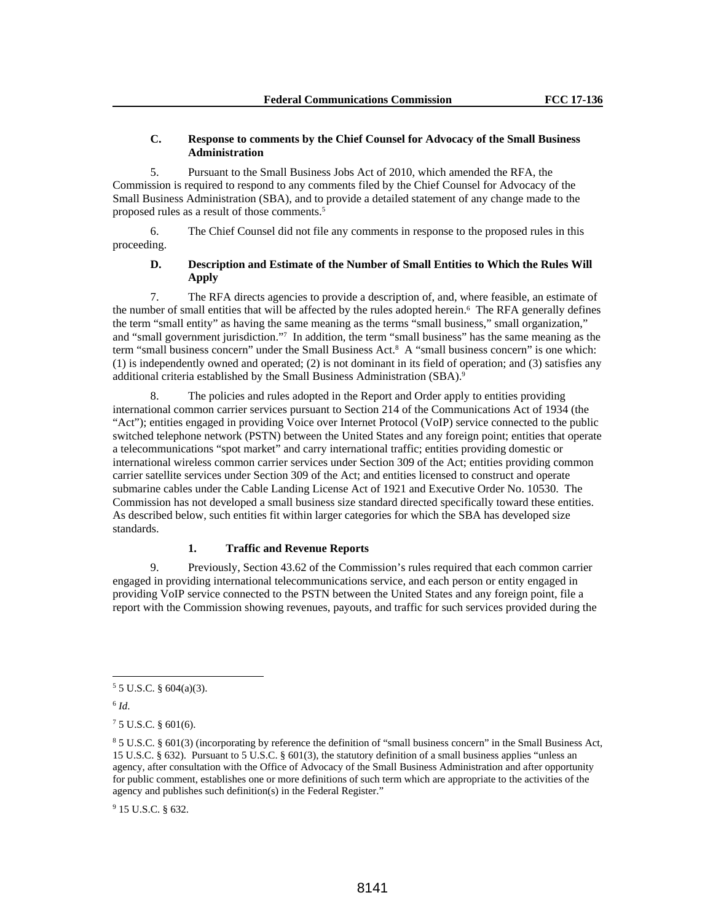## **C. Response to comments by the Chief Counsel for Advocacy of the Small Business Administration**

5. Pursuant to the Small Business Jobs Act of 2010, which amended the RFA, the Commission is required to respond to any comments filed by the Chief Counsel for Advocacy of the Small Business Administration (SBA), and to provide a detailed statement of any change made to the proposed rules as a result of those comments.5

6. The Chief Counsel did not file any comments in response to the proposed rules in this proceeding.

## **D. Description and Estimate of the Number of Small Entities to Which the Rules Will Apply**

7. The RFA directs agencies to provide a description of, and, where feasible, an estimate of the number of small entities that will be affected by the rules adopted herein.<sup>6</sup> The RFA generally defines the term "small entity" as having the same meaning as the terms "small business," small organization," and "small government jurisdiction."7 In addition, the term "small business" has the same meaning as the term "small business concern" under the Small Business Act.8 A "small business concern" is one which: (1) is independently owned and operated; (2) is not dominant in its field of operation; and (3) satisfies any additional criteria established by the Small Business Administration (SBA).<sup>9</sup>

8. The policies and rules adopted in the Report and Order apply to entities providing international common carrier services pursuant to Section 214 of the Communications Act of 1934 (the "Act"); entities engaged in providing Voice over Internet Protocol (VoIP) service connected to the public switched telephone network (PSTN) between the United States and any foreign point; entities that operate a telecommunications "spot market" and carry international traffic; entities providing domestic or international wireless common carrier services under Section 309 of the Act; entities providing common carrier satellite services under Section 309 of the Act; and entities licensed to construct and operate submarine cables under the Cable Landing License Act of 1921 and Executive Order No. 10530. The Commission has not developed a small business size standard directed specifically toward these entities. As described below, such entities fit within larger categories for which the SBA has developed size standards.

## **1. Traffic and Revenue Reports**

9. Previously, Section 43.62 of the Commission's rules required that each common carrier engaged in providing international telecommunications service, and each person or entity engaged in providing VoIP service connected to the PSTN between the United States and any foreign point, file a report with the Commission showing revenues, payouts, and traffic for such services provided during the

 $6$   $Id.$ 

 $\overline{a}$ 

9 15 U.S.C. § 632.

 $55$  U.S.C. § 604(a)(3).

 $75$  U.S.C. § 601(6).

<sup>8</sup> 5 U.S.C. § 601(3) (incorporating by reference the definition of "small business concern" in the Small Business Act, 15 U.S.C. § 632). Pursuant to 5 U.S.C. § 601(3), the statutory definition of a small business applies "unless an agency, after consultation with the Office of Advocacy of the Small Business Administration and after opportunity for public comment, establishes one or more definitions of such term which are appropriate to the activities of the agency and publishes such definition(s) in the Federal Register."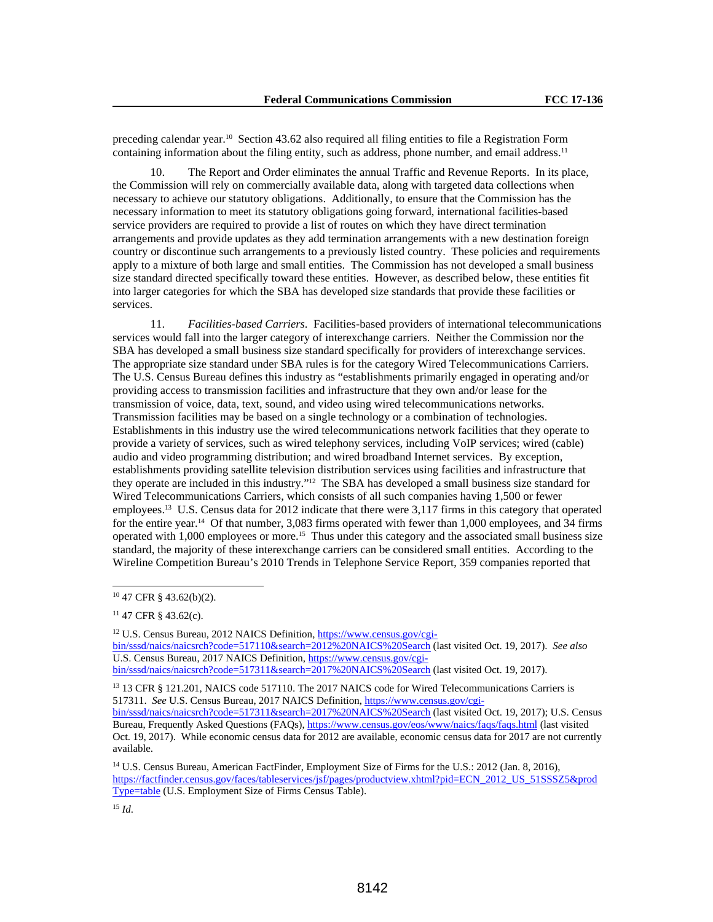preceding calendar year.10 Section 43.62 also required all filing entities to file a Registration Form containing information about the filing entity, such as address, phone number, and email address.<sup>11</sup>

10. The Report and Order eliminates the annual Traffic and Revenue Reports. In its place, the Commission will rely on commercially available data, along with targeted data collections when necessary to achieve our statutory obligations. Additionally, to ensure that the Commission has the necessary information to meet its statutory obligations going forward, international facilities-based service providers are required to provide a list of routes on which they have direct termination arrangements and provide updates as they add termination arrangements with a new destination foreign country or discontinue such arrangements to a previously listed country. These policies and requirements apply to a mixture of both large and small entities. The Commission has not developed a small business size standard directed specifically toward these entities. However, as described below, these entities fit into larger categories for which the SBA has developed size standards that provide these facilities or services.

11. *Facilities-based Carriers*. Facilities-based providers of international telecommunications services would fall into the larger category of interexchange carriers. Neither the Commission nor the SBA has developed a small business size standard specifically for providers of interexchange services. The appropriate size standard under SBA rules is for the category Wired Telecommunications Carriers. The U.S. Census Bureau defines this industry as "establishments primarily engaged in operating and/or providing access to transmission facilities and infrastructure that they own and/or lease for the transmission of voice, data, text, sound, and video using wired telecommunications networks. Transmission facilities may be based on a single technology or a combination of technologies. Establishments in this industry use the wired telecommunications network facilities that they operate to provide a variety of services, such as wired telephony services, including VoIP services; wired (cable) audio and video programming distribution; and wired broadband Internet services. By exception, establishments providing satellite television distribution services using facilities and infrastructure that they operate are included in this industry."12 The SBA has developed a small business size standard for Wired Telecommunications Carriers, which consists of all such companies having 1,500 or fewer employees.13 U.S. Census data for 2012 indicate that there were 3,117 firms in this category that operated for the entire year.<sup>14</sup> Of that number, 3,083 firms operated with fewer than 1,000 employees, and 34 firms operated with 1,000 employees or more.15 Thus under this category and the associated small business size standard, the majority of these interexchange carriers can be considered small entities. According to the Wireline Competition Bureau's 2010 Trends in Telephone Service Report, 359 companies reported that

 $\overline{a}$ 

<sup>15</sup> *Id*.

<sup>10 47</sup> CFR § 43.62(b)(2).

<sup>11 47</sup> CFR § 43.62(c).

<sup>12</sup> U.S. Census Bureau, 2012 NAICS Definition, https://www.census.gov/cgibin/sssd/naics/naicsrch?code=517110&search=2012%20NAICS%20Search (last visited Oct. 19, 2017). *See also* U.S. Census Bureau, 2017 NAICS Definition, https://www.census.gov/cgibin/sssd/naics/naicsrch?code=517311&search=2017%20NAICS%20Search (last visited Oct. 19, 2017).

<sup>&</sup>lt;sup>13</sup> 13 CFR § 121.201, NAICS code 517110. The 2017 NAICS code for Wired Telecommunications Carriers is 517311. *See* U.S. Census Bureau, 2017 NAICS Definition, https://www.census.gov/cgibin/sssd/naics/naicsrch?code=517311&search=2017%20NAICS%20Search (last visited Oct. 19, 2017); U.S. Census

Bureau, Frequently Asked Questions (FAQs), https://www.census.gov/eos/www/naics/faqs/faqs.html (last visited Oct. 19, 2017). While economic census data for 2012 are available, economic census data for 2017 are not currently available.

<sup>14</sup> U.S. Census Bureau, American FactFinder, Employment Size of Firms for the U.S.: 2012 (Jan. 8, 2016), https://factfinder.census.gov/faces/tableservices/jsf/pages/productview.xhtml?pid=ECN\_2012\_US\_51SSSZ5&prod Type=table (U.S. Employment Size of Firms Census Table).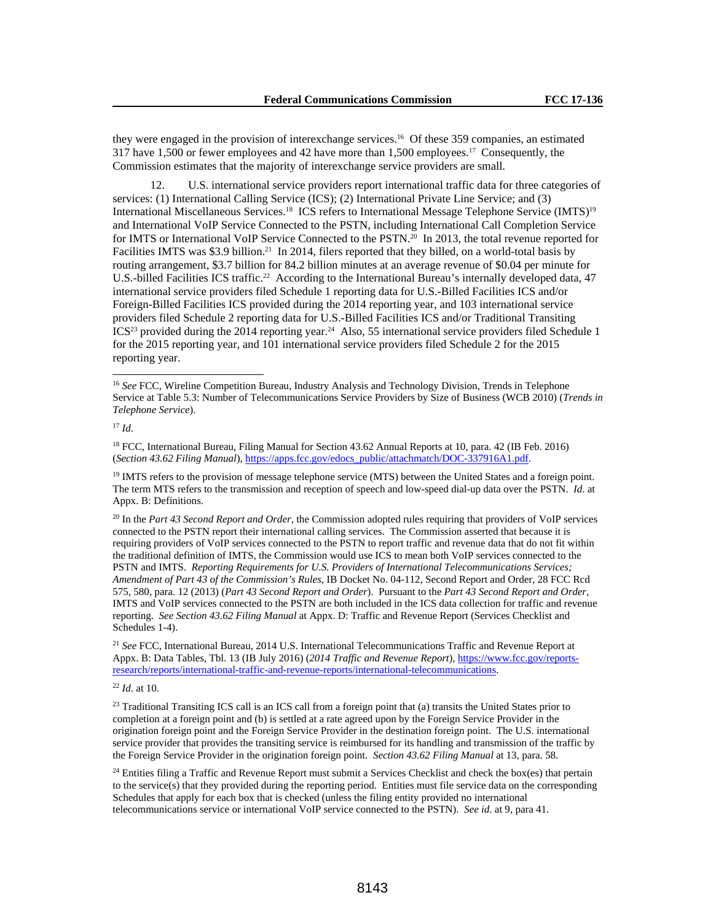they were engaged in the provision of interexchange services.16 Of these 359 companies, an estimated 317 have 1,500 or fewer employees and 42 have more than 1,500 employees.17 Consequently, the Commission estimates that the majority of interexchange service providers are small.

12. U.S. international service providers report international traffic data for three categories of services: (1) International Calling Service (ICS); (2) International Private Line Service; and (3) International Miscellaneous Services.18 ICS refers to International Message Telephone Service (IMTS)19 and International VoIP Service Connected to the PSTN, including International Call Completion Service for IMTS or International VoIP Service Connected to the PSTN.<sup>20</sup> In 2013, the total revenue reported for Facilities IMTS was \$3.9 billion.<sup>21</sup> In 2014, filers reported that they billed, on a world-total basis by routing arrangement, \$3.7 billion for 84.2 billion minutes at an average revenue of \$0.04 per minute for U.S.-billed Facilities ICS traffic.<sup>22</sup> According to the International Bureau's internally developed data, 47 international service providers filed Schedule 1 reporting data for U.S.-Billed Facilities ICS and/or Foreign-Billed Facilities ICS provided during the 2014 reporting year, and 103 international service providers filed Schedule 2 reporting data for U.S.-Billed Facilities ICS and/or Traditional Transiting ICS<sup>23</sup> provided during the 2014 reporting year.<sup>24</sup> Also, 55 international service providers filed Schedule 1 for the 2015 reporting year, and 101 international service providers filed Schedule 2 for the 2015 reporting year.

 $\overline{a}$ 

<sup>18</sup> FCC, International Bureau, Filing Manual for Section 43.62 Annual Reports at 10, para. 42 (IB Feb. 2016) (*Section 43.62 Filing Manual*), https://apps.fcc.gov/edocs\_public/attachmatch/DOC-337916A1.pdf.

<sup>19</sup> IMTS refers to the provision of message telephone service (MTS) between the United States and a foreign point. The term MTS refers to the transmission and reception of speech and low-speed dial-up data over the PSTN. *Id*. at Appx. B: Definitions.

20 In the *Part 43 Second Report and Order*, the Commission adopted rules requiring that providers of VoIP services connected to the PSTN report their international calling services. The Commission asserted that because it is requiring providers of VoIP services connected to the PSTN to report traffic and revenue data that do not fit within the traditional definition of IMTS, the Commission would use ICS to mean both VoIP services connected to the PSTN and IMTS. *Reporting Requirements for U.S. Providers of International Telecommunications Services; Amendment of Part 43 of the Commission's Rules*, IB Docket No. 04-112, Second Report and Order, 28 FCC Rcd 575, 580, para. 12 (2013) (*Part 43 Second Report and Order*). Pursuant to the *Part 43 Second Report and Order,* IMTS and VoIP services connected to the PSTN are both included in the ICS data collection for traffic and revenue reporting. *See Section 43.62 Filing Manual* at Appx. D: Traffic and Revenue Report (Services Checklist and Schedules 1-4).

<sup>21</sup> *See* FCC, International Bureau, 2014 U.S. International Telecommunications Traffic and Revenue Report at Appx. B: Data Tables, Tbl. 13 (IB July 2016) (*2014 Traffic and Revenue Report*), https://www.fcc.gov/reportsresearch/reports/international-traffic-and-revenue-reports/international-telecommunications.

<sup>22</sup> *Id*. at 10.

<sup>23</sup> Traditional Transiting ICS call is an ICS call from a foreign point that (a) transits the United States prior to completion at a foreign point and (b) is settled at a rate agreed upon by the Foreign Service Provider in the origination foreign point and the Foreign Service Provider in the destination foreign point. The U.S. international service provider that provides the transiting service is reimbursed for its handling and transmission of the traffic by the Foreign Service Provider in the origination foreign point. *Section 43.62 Filing Manual* at 13, para. 58.

<sup>24</sup> Entities filing a Traffic and Revenue Report must submit a Services Checklist and check the box(es) that pertain to the service(s) that they provided during the reporting period. Entities must file service data on the corresponding Schedules that apply for each box that is checked (unless the filing entity provided no international telecommunications service or international VoIP service connected to the PSTN). *See id*. at 9, para 41.

<sup>&</sup>lt;sup>16</sup> See FCC, Wireline Competition Bureau, Industry Analysis and Technology Division, Trends in Telephone Service at Table 5.3: Number of Telecommunications Service Providers by Size of Business (WCB 2010) (*Trends in Telephone Service*).

<sup>17</sup> *Id*.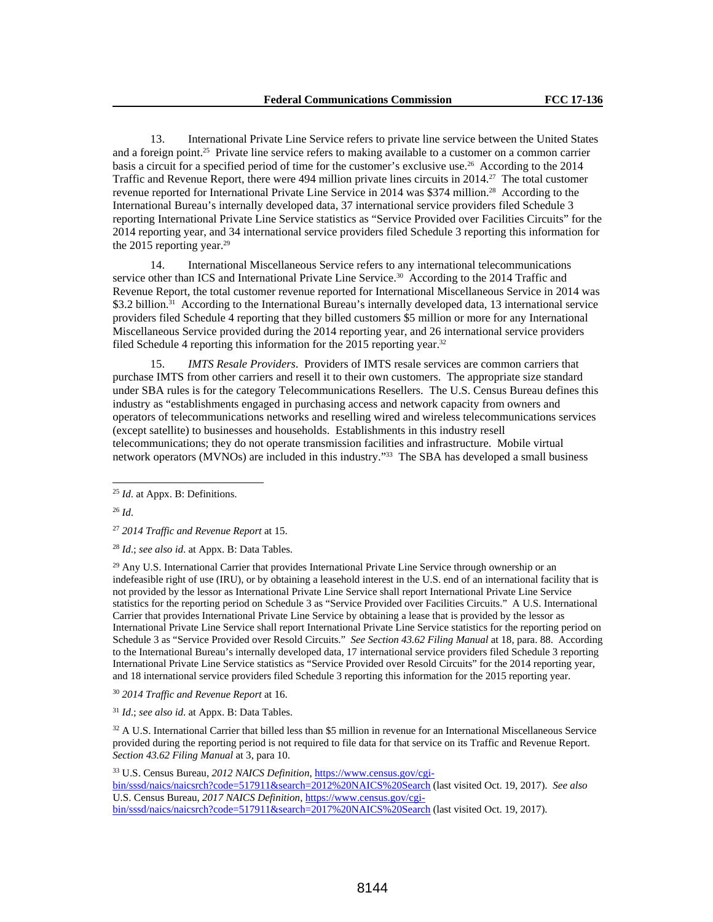13. International Private Line Service refers to private line service between the United States and a foreign point.25 Private line service refers to making available to a customer on a common carrier basis a circuit for a specified period of time for the customer's exclusive use.26 According to the 2014 Traffic and Revenue Report, there were 494 million private lines circuits in 2014.27 The total customer revenue reported for International Private Line Service in 2014 was \$374 million.<sup>28</sup> According to the International Bureau's internally developed data, 37 international service providers filed Schedule 3 reporting International Private Line Service statistics as "Service Provided over Facilities Circuits" for the 2014 reporting year, and 34 international service providers filed Schedule 3 reporting this information for the 2015 reporting year.<sup>29</sup>

14. International Miscellaneous Service refers to any international telecommunications service other than ICS and International Private Line Service.<sup>30</sup> According to the 2014 Traffic and Revenue Report, the total customer revenue reported for International Miscellaneous Service in 2014 was \$3.2 billion.<sup>31</sup> According to the International Bureau's internally developed data, 13 international service providers filed Schedule 4 reporting that they billed customers \$5 million or more for any International Miscellaneous Service provided during the 2014 reporting year, and 26 international service providers filed Schedule 4 reporting this information for the 2015 reporting year.<sup>32</sup>

15. *IMTS Resale Providers*. Providers of IMTS resale services are common carriers that purchase IMTS from other carriers and resell it to their own customers. The appropriate size standard under SBA rules is for the category Telecommunications Resellers. The U.S. Census Bureau defines this industry as "establishments engaged in purchasing access and network capacity from owners and operators of telecommunications networks and reselling wired and wireless telecommunications services (except satellite) to businesses and households. Establishments in this industry resell telecommunications; they do not operate transmission facilities and infrastructure. Mobile virtual network operators (MVNOs) are included in this industry."33 The SBA has developed a small business

<sup>26</sup> *Id*.

 $\overline{a}$ 

<sup>27</sup> *2014 Traffic and Revenue Report* at 15.

<sup>28</sup> *Id*.; *see also id*. at Appx. B: Data Tables.

<sup>29</sup> Any U.S. International Carrier that provides International Private Line Service through ownership or an indefeasible right of use (IRU), or by obtaining a leasehold interest in the U.S. end of an international facility that is not provided by the lessor as International Private Line Service shall report International Private Line Service statistics for the reporting period on Schedule 3 as "Service Provided over Facilities Circuits." A U.S. International Carrier that provides International Private Line Service by obtaining a lease that is provided by the lessor as International Private Line Service shall report International Private Line Service statistics for the reporting period on Schedule 3 as "Service Provided over Resold Circuits." *See Section 43.62 Filing Manual* at 18, para. 88. According to the International Bureau's internally developed data, 17 international service providers filed Schedule 3 reporting International Private Line Service statistics as "Service Provided over Resold Circuits" for the 2014 reporting year, and 18 international service providers filed Schedule 3 reporting this information for the 2015 reporting year.

<sup>30</sup> *2014 Traffic and Revenue Report* at 16.

<sup>31</sup> *Id*.; *see also id*. at Appx. B: Data Tables.

 $32$  A U.S. International Carrier that billed less than \$5 million in revenue for an International Miscellaneous Service provided during the reporting period is not required to file data for that service on its Traffic and Revenue Report. *Section 43.62 Filing Manual* at 3, para 10.

33 U.S. Census Bureau, *2012 NAICS Definition*, https://www.census.gov/cgi-

bin/sssd/naics/naicsrch?code=517911&search=2012%20NAICS%20Search (last visited Oct. 19, 2017). *See also*  U.S. Census Bureau, *2017 NAICS Definition*, https://www.census.gov/cgibin/sssd/naics/naicsrch?code=517911&search=2017%20NAICS%20Search (last visited Oct. 19, 2017).

<sup>25</sup> *Id*. at Appx. B: Definitions.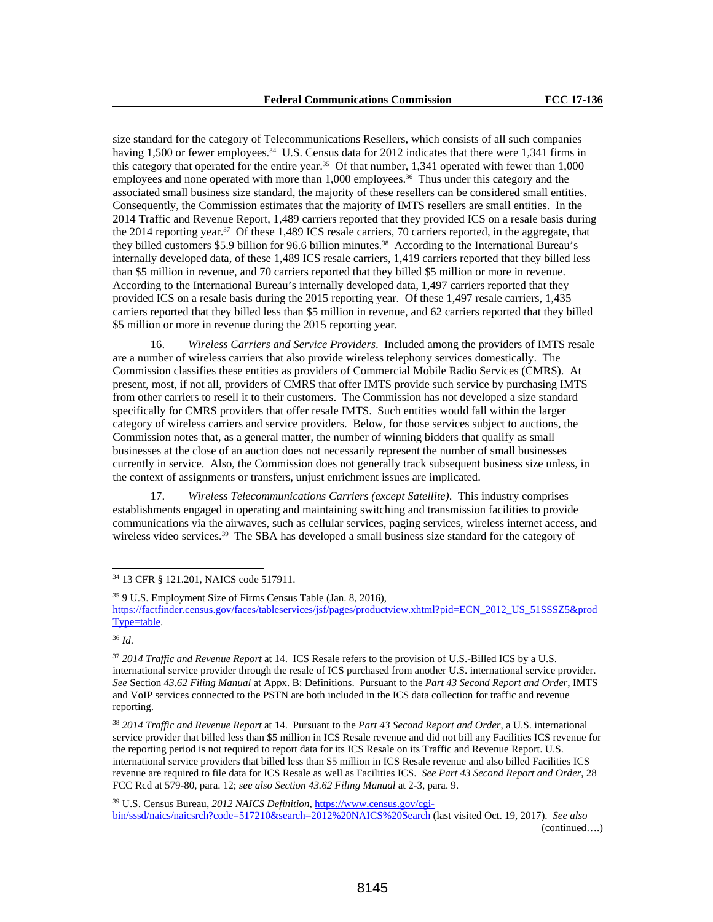size standard for the category of Telecommunications Resellers, which consists of all such companies having 1,500 or fewer employees.<sup>34</sup> U.S. Census data for 2012 indicates that there were 1,341 firms in this category that operated for the entire year.35 Of that number, 1,341 operated with fewer than 1,000 employees and none operated with more than 1,000 employees.<sup>36</sup> Thus under this category and the associated small business size standard, the majority of these resellers can be considered small entities. Consequently, the Commission estimates that the majority of IMTS resellers are small entities. In the 2014 Traffic and Revenue Report, 1,489 carriers reported that they provided ICS on a resale basis during the 2014 reporting year.37 Of these 1,489 ICS resale carriers, 70 carriers reported, in the aggregate, that they billed customers \$5.9 billion for 96.6 billion minutes.38 According to the International Bureau's internally developed data, of these 1,489 ICS resale carriers, 1,419 carriers reported that they billed less than \$5 million in revenue, and 70 carriers reported that they billed \$5 million or more in revenue. According to the International Bureau's internally developed data, 1,497 carriers reported that they provided ICS on a resale basis during the 2015 reporting year. Of these 1,497 resale carriers, 1,435 carriers reported that they billed less than \$5 million in revenue, and 62 carriers reported that they billed \$5 million or more in revenue during the 2015 reporting year.

16. *Wireless Carriers and Service Providers*. Included among the providers of IMTS resale are a number of wireless carriers that also provide wireless telephony services domestically. The Commission classifies these entities as providers of Commercial Mobile Radio Services (CMRS). At present, most, if not all, providers of CMRS that offer IMTS provide such service by purchasing IMTS from other carriers to resell it to their customers. The Commission has not developed a size standard specifically for CMRS providers that offer resale IMTS. Such entities would fall within the larger category of wireless carriers and service providers. Below, for those services subject to auctions, the Commission notes that, as a general matter, the number of winning bidders that qualify as small businesses at the close of an auction does not necessarily represent the number of small businesses currently in service. Also, the Commission does not generally track subsequent business size unless, in the context of assignments or transfers, unjust enrichment issues are implicated.

17. *Wireless Telecommunications Carriers (except Satellite)*. This industry comprises establishments engaged in operating and maintaining switching and transmission facilities to provide communications via the airwaves, such as cellular services, paging services, wireless internet access, and wireless video services.<sup>39</sup> The SBA has developed a small business size standard for the category of

34 13 CFR § 121.201, NAICS code 517911.

<sup>35 9</sup> U.S. Employment Size of Firms Census Table (Jan. 8, 2016), https://factfinder.census.gov/faces/tableservices/jsf/pages/productview.xhtml?pid=ECN\_2012\_US\_51SSSZ5&prod Type=table.

<sup>36</sup> *Id*.

<sup>37</sup> *2014 Traffic and Revenue Report* at 14. ICS Resale refers to the provision of U.S.-Billed ICS by a U.S. international service provider through the resale of ICS purchased from another U.S. international service provider. *See* Section *43.62 Filing Manual* at Appx. B: Definitions. Pursuant to the *Part 43 Second Report and Order*, IMTS and VoIP services connected to the PSTN are both included in the ICS data collection for traffic and revenue reporting.

<sup>38</sup> *2014 Traffic and Revenue Report* at 14. Pursuant to the *Part 43 Second Report and Order*, a U.S. international service provider that billed less than \$5 million in ICS Resale revenue and did not bill any Facilities ICS revenue for the reporting period is not required to report data for its ICS Resale on its Traffic and Revenue Report. U.S. international service providers that billed less than \$5 million in ICS Resale revenue and also billed Facilities ICS revenue are required to file data for ICS Resale as well as Facilities ICS. *See Part 43 Second Report and Order*, 28 FCC Rcd at 579-80, para. 12; *see also Section 43.62 Filing Manual* at 2-3, para. 9.

<sup>39</sup> U.S. Census Bureau, *2012 NAICS Definition*, https://www.census.gov/cgi-

bin/sssd/naics/naicsrch?code=517210&search=2012%20NAICS%20Search (last visited Oct. 19, 2017). *See also* (continued….)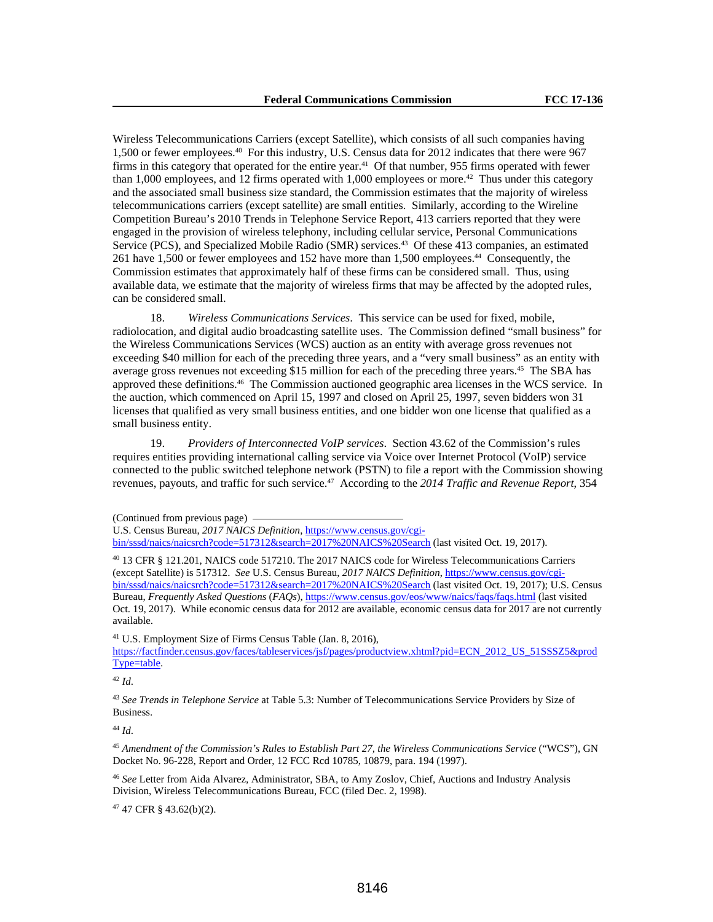Wireless Telecommunications Carriers (except Satellite), which consists of all such companies having 1,500 or fewer employees.40 For this industry, U.S. Census data for 2012 indicates that there were 967 firms in this category that operated for the entire year.<sup>41</sup> Of that number, 955 firms operated with fewer than 1,000 employees, and 12 firms operated with 1,000 employees or more.<sup>42</sup> Thus under this category and the associated small business size standard, the Commission estimates that the majority of wireless telecommunications carriers (except satellite) are small entities. Similarly, according to the Wireline Competition Bureau's 2010 Trends in Telephone Service Report, 413 carriers reported that they were engaged in the provision of wireless telephony, including cellular service, Personal Communications Service (PCS), and Specialized Mobile Radio (SMR) services.<sup>43</sup> Of these 413 companies, an estimated 261 have 1,500 or fewer employees and 152 have more than 1,500 employees.44 Consequently, the Commission estimates that approximately half of these firms can be considered small. Thus, using available data, we estimate that the majority of wireless firms that may be affected by the adopted rules, can be considered small.

18. *Wireless Communications Services*. This service can be used for fixed, mobile, radiolocation, and digital audio broadcasting satellite uses. The Commission defined "small business" for the Wireless Communications Services (WCS) auction as an entity with average gross revenues not exceeding \$40 million for each of the preceding three years, and a "very small business" as an entity with average gross revenues not exceeding \$15 million for each of the preceding three years.45 The SBA has approved these definitions.46 The Commission auctioned geographic area licenses in the WCS service. In the auction, which commenced on April 15, 1997 and closed on April 25, 1997, seven bidders won 31 licenses that qualified as very small business entities, and one bidder won one license that qualified as a small business entity.

19. *Providers of Interconnected VoIP services*. Section 43.62 of the Commission's rules requires entities providing international calling service via Voice over Internet Protocol (VoIP) service connected to the public switched telephone network (PSTN) to file a report with the Commission showing revenues, payouts, and traffic for such service.47 According to the *2014 Traffic and Revenue Report*, 354

U.S. Census Bureau, *2017 NAICS Definition*, https://www.census.gov/cgibin/sssd/naics/naicsrch?code=517312&search=2017%20NAICS%20Search (last visited Oct. 19, 2017).

40 13 CFR § 121.201, NAICS code 517210. The 2017 NAICS code for Wireless Telecommunications Carriers (except Satellite) is 517312. *See* U.S. Census Bureau, *2017 NAICS Definition*, https://www.census.gov/cgibin/sssd/naics/naicsrch?code=517312&search=2017%20NAICS%20Search (last visited Oct. 19, 2017); U.S. Census Bureau, *Frequently Asked Questions* (*FAQs*), https://www.census.gov/eos/www/naics/faqs/faqs.html (last visited Oct. 19, 2017). While economic census data for 2012 are available, economic census data for 2017 are not currently available.

41 U.S. Employment Size of Firms Census Table (Jan. 8, 2016),

https://factfinder.census.gov/faces/tableservices/jsf/pages/productview.xhtml?pid=ECN\_2012\_US\_51SSSZ5&prod Type=table.

<sup>42</sup> *Id*.

<sup>43</sup> *See Trends in Telephone Service* at Table 5.3: Number of Telecommunications Service Providers by Size of Business.

<sup>44</sup> *Id*.

<sup>45</sup> *Amendment of the Commission's Rules to Establish Part 27, the Wireless Communications Service* ("WCS"), GN Docket No. 96-228, Report and Order, 12 FCC Rcd 10785, 10879, para. 194 (1997).

<sup>46</sup> *See* Letter from Aida Alvarez, Administrator, SBA, to Amy Zoslov, Chief, Auctions and Industry Analysis Division, Wireless Telecommunications Bureau, FCC (filed Dec. 2, 1998).

47 47 CFR § 43.62(b)(2).

<sup>(</sup>Continued from previous page)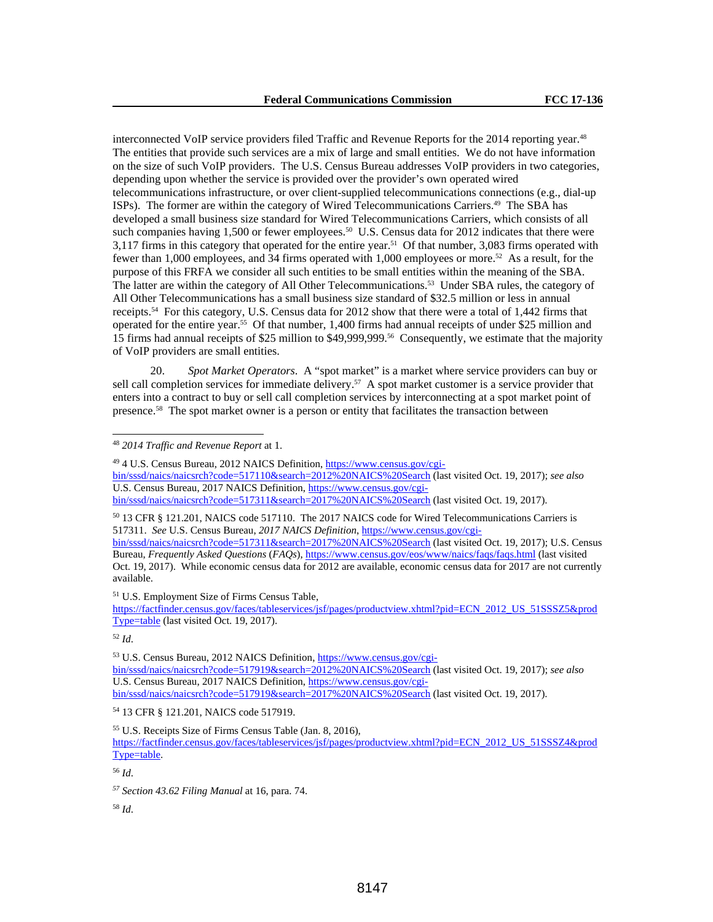interconnected VoIP service providers filed Traffic and Revenue Reports for the 2014 reporting year.48 The entities that provide such services are a mix of large and small entities. We do not have information on the size of such VoIP providers. The U.S. Census Bureau addresses VoIP providers in two categories, depending upon whether the service is provided over the provider's own operated wired telecommunications infrastructure, or over client-supplied telecommunications connections (e.g., dial-up ISPs). The former are within the category of Wired Telecommunications Carriers.49 The SBA has developed a small business size standard for Wired Telecommunications Carriers, which consists of all such companies having 1,500 or fewer employees.<sup>50</sup> U.S. Census data for 2012 indicates that there were 3,117 firms in this category that operated for the entire year.51 Of that number, 3,083 firms operated with fewer than 1,000 employees, and 34 firms operated with 1,000 employees or more.52 As a result, for the purpose of this FRFA we consider all such entities to be small entities within the meaning of the SBA. The latter are within the category of All Other Telecommunications.53 Under SBA rules, the category of All Other Telecommunications has a small business size standard of \$32.5 million or less in annual receipts.54 For this category, U.S. Census data for 2012 show that there were a total of 1,442 firms that operated for the entire year.55 Of that number, 1,400 firms had annual receipts of under \$25 million and 15 firms had annual receipts of \$25 million to \$49,999,999.56 Consequently, we estimate that the majority of VoIP providers are small entities.

20. *Spot Market Operators*. A "spot market" is a market where service providers can buy or sell call completion services for immediate delivery.<sup>57</sup> A spot market customer is a service provider that enters into a contract to buy or sell call completion services by interconnecting at a spot market point of presence.58 The spot market owner is a person or entity that facilitates the transaction between

bin/sssd/naics/naicsrch?code=517110&search=2012%20NAICS%20Search (last visited Oct. 19, 2017); *see also* U.S. Census Bureau, 2017 NAICS Definition, https://www.census.gov/cgi-

50 13 CFR § 121.201, NAICS code 517110. The 2017 NAICS code for Wired Telecommunications Carriers is 517311. *See* U.S. Census Bureau, *2017 NAICS Definition*, https://www.census.gov/cgibin/sssd/naics/naicsrch?code=517311&search=2017%20NAICS%20Search (last visited Oct. 19, 2017); U.S. Census Bureau, *Frequently Asked Questions* (*FAQs*), https://www.census.gov/eos/www/naics/faqs/faqs.html (last visited Oct. 19, 2017). While economic census data for 2012 are available, economic census data for 2017 are not currently available.

51 U.S. Employment Size of Firms Census Table,

https://factfinder.census.gov/faces/tableservices/jsf/pages/productview.xhtml?pid=ECN\_2012\_US\_51SSSZ5&prod Type=table (last visited Oct. 19, 2017).

<sup>52</sup> *Id*.

 $\overline{a}$ 

53 U.S. Census Bureau, 2012 NAICS Definition, https://www.census.gov/cgibin/sssd/naics/naicsrch?code=517919&search=2012%20NAICS%20Search (last visited Oct. 19, 2017); *see also* U.S. Census Bureau, 2017 NAICS Definition, https://www.census.gov/cgibin/sssd/naics/naicsrch?code=517919&search=2017%20NAICS%20Search (last visited Oct. 19, 2017).

54 13 CFR § 121.201, NAICS code 517919.

<sup>56</sup> *Id*.

<sup>58</sup> *Id*.

<sup>48</sup> *2014 Traffic and Revenue Report* at 1.

<sup>49 4</sup> U.S. Census Bureau, 2012 NAICS Definition, https://www.census.gov/cgi-

bin/sssd/naics/naicsrch?code=517311&search=2017%20NAICS%20Search (last visited Oct. 19, 2017).

<sup>55</sup> U.S. Receipts Size of Firms Census Table (Jan. 8, 2016), https://factfinder.census.gov/faces/tableservices/jsf/pages/productview.xhtml?pid=ECN\_2012\_US\_51SSSZ4&prod Type=table.

*<sup>57</sup> Section 43.62 Filing Manual* at 16, para. 74.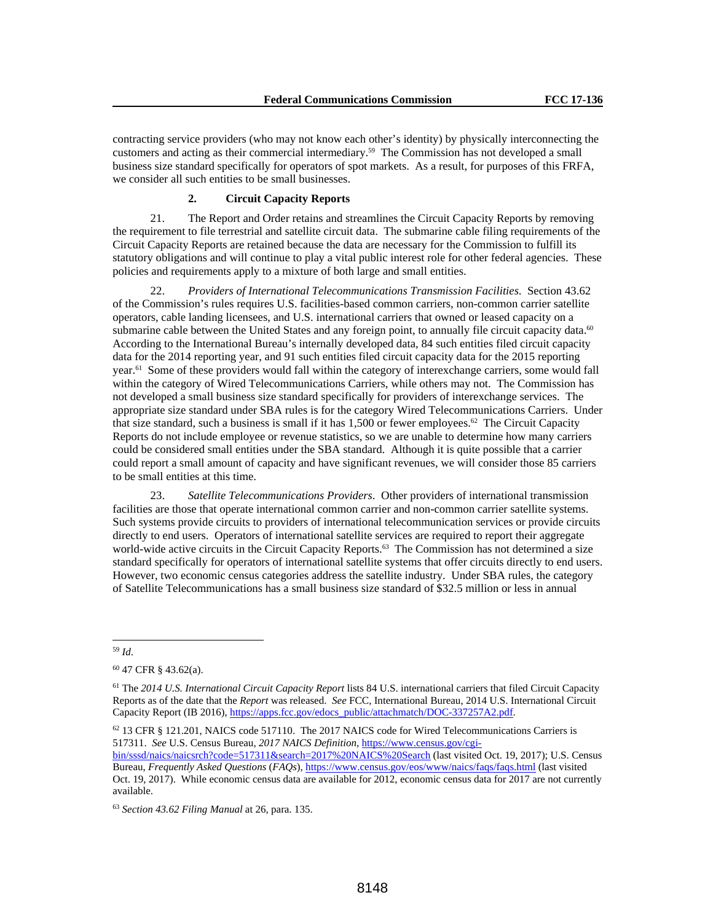contracting service providers (who may not know each other's identity) by physically interconnecting the customers and acting as their commercial intermediary.59 The Commission has not developed a small business size standard specifically for operators of spot markets. As a result, for purposes of this FRFA, we consider all such entities to be small businesses.

## **2. Circuit Capacity Reports**

21. The Report and Order retains and streamlines the Circuit Capacity Reports by removing the requirement to file terrestrial and satellite circuit data. The submarine cable filing requirements of the Circuit Capacity Reports are retained because the data are necessary for the Commission to fulfill its statutory obligations and will continue to play a vital public interest role for other federal agencies. These policies and requirements apply to a mixture of both large and small entities.

22. *Providers of International Telecommunications Transmission Facilities*. Section 43.62 of the Commission's rules requires U.S. facilities-based common carriers, non-common carrier satellite operators, cable landing licensees, and U.S. international carriers that owned or leased capacity on a submarine cable between the United States and any foreign point, to annually file circuit capacity data.<sup>60</sup> According to the International Bureau's internally developed data, 84 such entities filed circuit capacity data for the 2014 reporting year, and 91 such entities filed circuit capacity data for the 2015 reporting year.61 Some of these providers would fall within the category of interexchange carriers, some would fall within the category of Wired Telecommunications Carriers, while others may not. The Commission has not developed a small business size standard specifically for providers of interexchange services. The appropriate size standard under SBA rules is for the category Wired Telecommunications Carriers. Under that size standard, such a business is small if it has 1,500 or fewer employees.<sup>62</sup> The Circuit Capacity Reports do not include employee or revenue statistics, so we are unable to determine how many carriers could be considered small entities under the SBA standard. Although it is quite possible that a carrier could report a small amount of capacity and have significant revenues, we will consider those 85 carriers to be small entities at this time.

23. *Satellite Telecommunications Providers*. Other providers of international transmission facilities are those that operate international common carrier and non-common carrier satellite systems. Such systems provide circuits to providers of international telecommunication services or provide circuits directly to end users. Operators of international satellite services are required to report their aggregate world-wide active circuits in the Circuit Capacity Reports.<sup>63</sup> The Commission has not determined a size standard specifically for operators of international satellite systems that offer circuits directly to end users. However, two economic census categories address the satellite industry. Under SBA rules, the category of Satellite Telecommunications has a small business size standard of \$32.5 million or less in annual

 $62$  13 CFR § 121.201, NAICS code 517110. The 2017 NAICS code for Wired Telecommunications Carriers is 517311. *See* U.S. Census Bureau, *2017 NAICS Definition*, https://www.census.gov/cgi-

bin/sssd/naics/naicsrch?code=517311&search=2017%20NAICS%20Search (last visited Oct. 19, 2017); U.S. Census Bureau, *Frequently Asked Questions* (*FAQs*), https://www.census.gov/eos/www/naics/faqs/faqs.html (last visited Oct. 19, 2017). While economic census data are available for 2012, economic census data for 2017 are not currently available.

 $\overline{a}$ <sup>59</sup> *Id*.

<sup>60 47</sup> CFR § 43.62(a).

<sup>61</sup> The *2014 U.S. International Circuit Capacity Report* lists 84 U.S. international carriers that filed Circuit Capacity Reports as of the date that the *Report* was released. *See* FCC, International Bureau, 2014 U.S. International Circuit Capacity Report (IB 2016), https://apps.fcc.gov/edocs\_public/attachmatch/DOC-337257A2.pdf.

<sup>63</sup> *Section 43.62 Filing Manual* at 26, para. 135.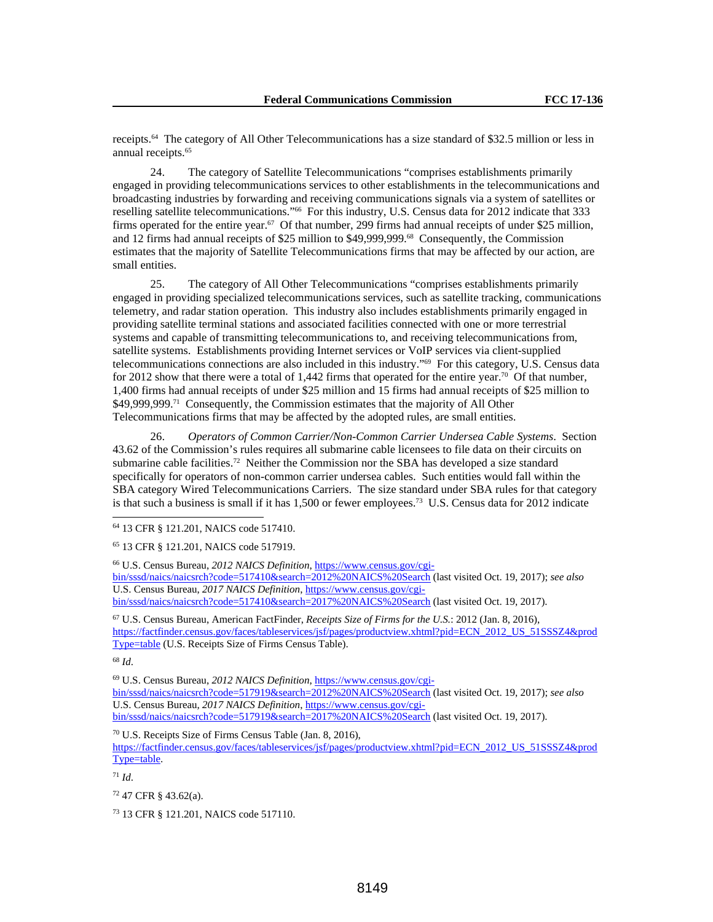receipts.64 The category of All Other Telecommunications has a size standard of \$32.5 million or less in annual receipts.<sup>65</sup>

24. The category of Satellite Telecommunications "comprises establishments primarily engaged in providing telecommunications services to other establishments in the telecommunications and broadcasting industries by forwarding and receiving communications signals via a system of satellites or reselling satellite telecommunications."66 For this industry, U.S. Census data for 2012 indicate that 333 firms operated for the entire year.67 Of that number, 299 firms had annual receipts of under \$25 million, and 12 firms had annual receipts of \$25 million to \$49,999,999.68 Consequently, the Commission estimates that the majority of Satellite Telecommunications firms that may be affected by our action, are small entities.

25. The category of All Other Telecommunications "comprises establishments primarily engaged in providing specialized telecommunications services, such as satellite tracking, communications telemetry, and radar station operation. This industry also includes establishments primarily engaged in providing satellite terminal stations and associated facilities connected with one or more terrestrial systems and capable of transmitting telecommunications to, and receiving telecommunications from, satellite systems. Establishments providing Internet services or VoIP services via client-supplied telecommunications connections are also included in this industry."69 For this category, U.S. Census data for 2012 show that there were a total of 1,442 firms that operated for the entire year.<sup>70</sup> Of that number, 1,400 firms had annual receipts of under \$25 million and 15 firms had annual receipts of \$25 million to \$49,999,999.<sup>71</sup> Consequently, the Commission estimates that the majority of All Other Telecommunications firms that may be affected by the adopted rules, are small entities.

26. *Operators of Common Carrier/Non-Common Carrier Undersea Cable Systems*. Section 43.62 of the Commission's rules requires all submarine cable licensees to file data on their circuits on submarine cable facilities.72 Neither the Commission nor the SBA has developed a size standard specifically for operators of non-common carrier undersea cables. Such entities would fall within the SBA category Wired Telecommunications Carriers. The size standard under SBA rules for that category is that such a business is small if it has 1,500 or fewer employees.73 U.S. Census data for 2012 indicate

66 U.S. Census Bureau, *2012 NAICS Definition*, https://www.census.gov/cgibin/sssd/naics/naicsrch?code=517410&search=2012%20NAICS%20Search (last visited Oct. 19, 2017); *see also* U.S. Census Bureau, *2017 NAICS Definition*, https://www.census.gov/cgibin/sssd/naics/naicsrch?code=517410&search=2017%20NAICS%20Search (last visited Oct. 19, 2017).

67 U.S. Census Bureau, American FactFinder, *Receipts Size of Firms for the U.S.*: 2012 (Jan. 8, 2016), https://factfinder.census.gov/faces/tableservices/jsf/pages/productview.xhtml?pid=ECN\_2012\_US\_51SSSZ4&prod Type=table (U.S. Receipts Size of Firms Census Table).

<sup>68</sup> *Id*.

l

69 U.S. Census Bureau, *2012 NAICS Definition*, https://www.census.gov/cgi-

bin/sssd/naics/naicsrch?code=517919&search=2012%20NAICS%20Search (last visited Oct. 19, 2017); *see also* U.S. Census Bureau*, 2017 NAICS Definition*, https://www.census.gov/cgibin/sssd/naics/naicsrch?code=517919&search=2017%20NAICS%20Search (last visited Oct. 19, 2017).

70 U.S. Receipts Size of Firms Census Table (Jan. 8, 2016),

https://factfinder.census.gov/faces/tableservices/jsf/pages/productview.xhtml?pid=ECN\_2012\_US\_51SSSZ4&prod Type=table.

 $71$  *Id.* 

 $72$  47 CFR § 43.62(a).

73 13 CFR § 121.201, NAICS code 517110.

<sup>64 13</sup> CFR § 121.201, NAICS code 517410.

<sup>65 13</sup> CFR § 121.201, NAICS code 517919.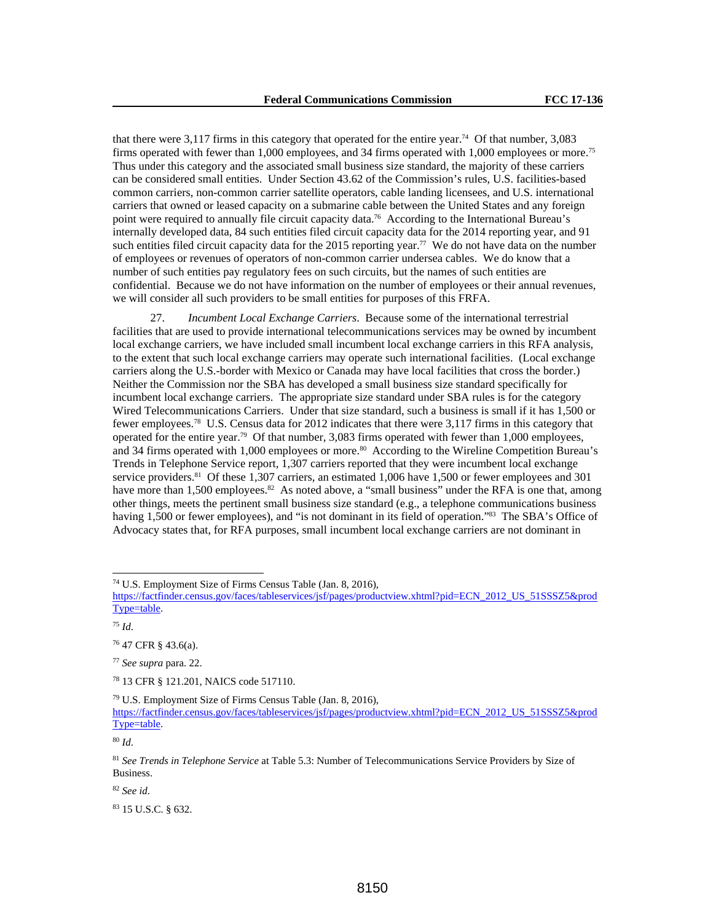that there were 3,117 firms in this category that operated for the entire year.74 Of that number, 3,083 firms operated with fewer than 1,000 employees, and 34 firms operated with 1,000 employees or more.75 Thus under this category and the associated small business size standard, the majority of these carriers can be considered small entities. Under Section 43.62 of the Commission's rules, U.S. facilities-based common carriers, non-common carrier satellite operators, cable landing licensees, and U.S. international carriers that owned or leased capacity on a submarine cable between the United States and any foreign point were required to annually file circuit capacity data.76 According to the International Bureau's internally developed data, 84 such entities filed circuit capacity data for the 2014 reporting year, and 91 such entities filed circuit capacity data for the 2015 reporting year.<sup>77</sup> We do not have data on the number of employees or revenues of operators of non-common carrier undersea cables. We do know that a number of such entities pay regulatory fees on such circuits, but the names of such entities are confidential. Because we do not have information on the number of employees or their annual revenues, we will consider all such providers to be small entities for purposes of this FRFA.

27. *Incumbent Local Exchange Carriers*. Because some of the international terrestrial facilities that are used to provide international telecommunications services may be owned by incumbent local exchange carriers, we have included small incumbent local exchange carriers in this RFA analysis, to the extent that such local exchange carriers may operate such international facilities. (Local exchange carriers along the U.S.-border with Mexico or Canada may have local facilities that cross the border.) Neither the Commission nor the SBA has developed a small business size standard specifically for incumbent local exchange carriers. The appropriate size standard under SBA rules is for the category Wired Telecommunications Carriers. Under that size standard, such a business is small if it has 1,500 or fewer employees.78 U.S. Census data for 2012 indicates that there were 3,117 firms in this category that operated for the entire year.79 Of that number, 3,083 firms operated with fewer than 1,000 employees, and 34 firms operated with 1,000 employees or more.<sup>80</sup> According to the Wireline Competition Bureau's Trends in Telephone Service report, 1,307 carriers reported that they were incumbent local exchange service providers.<sup>81</sup> Of these 1,307 carriers, an estimated 1,006 have 1,500 or fewer employees and 301 have more than 1,500 employees.<sup>82</sup> As noted above, a "small business" under the RFA is one that, among other things, meets the pertinent small business size standard (e.g., a telephone communications business having 1,500 or fewer employees), and "is not dominant in its field of operation."<sup>83</sup> The SBA's Office of Advocacy states that, for RFA purposes, small incumbent local exchange carriers are not dominant in

 $\overline{a}$ 

79 U.S. Employment Size of Firms Census Table (Jan. 8, 2016),

<sup>80</sup> *Id*.

<sup>82</sup> *See id*.

<sup>74</sup> U.S. Employment Size of Firms Census Table (Jan. 8, 2016),

https://factfinder.census.gov/faces/tableservices/jsf/pages/productview.xhtml?pid=ECN\_2012\_US\_51SSSZ5&prod Type=table.

<sup>75</sup> *Id*.

<sup>76 47</sup> CFR § 43.6(a).

<sup>77</sup> *See supra* para. 22.

<sup>78 13</sup> CFR § 121.201, NAICS code 517110.

https://factfinder.census.gov/faces/tableservices/jsf/pages/productview.xhtml?pid=ECN\_2012\_US\_51SSSZ5&prod Type=table.

<sup>81</sup> *See Trends in Telephone Service* at Table 5.3: Number of Telecommunications Service Providers by Size of Business.

<sup>83 15</sup> U.S.C. § 632.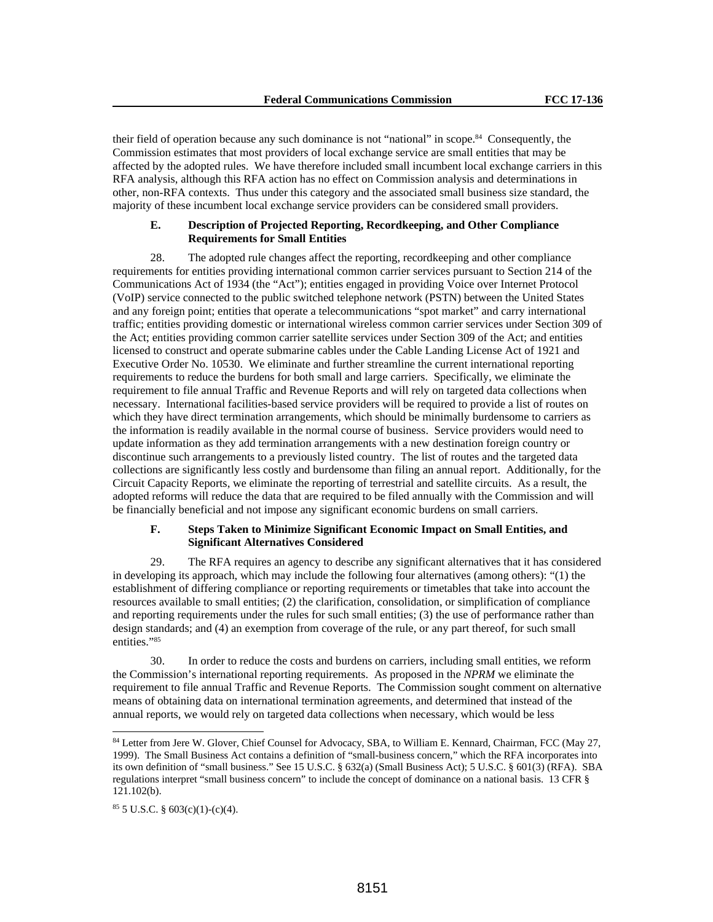their field of operation because any such dominance is not "national" in scope.84 Consequently, the Commission estimates that most providers of local exchange service are small entities that may be affected by the adopted rules. We have therefore included small incumbent local exchange carriers in this RFA analysis, although this RFA action has no effect on Commission analysis and determinations in other, non-RFA contexts. Thus under this category and the associated small business size standard, the majority of these incumbent local exchange service providers can be considered small providers.

## **E. Description of Projected Reporting, Recordkeeping, and Other Compliance Requirements for Small Entities**

28. The adopted rule changes affect the reporting, recordkeeping and other compliance requirements for entities providing international common carrier services pursuant to Section 214 of the Communications Act of 1934 (the "Act"); entities engaged in providing Voice over Internet Protocol (VoIP) service connected to the public switched telephone network (PSTN) between the United States and any foreign point; entities that operate a telecommunications "spot market" and carry international traffic; entities providing domestic or international wireless common carrier services under Section 309 of the Act; entities providing common carrier satellite services under Section 309 of the Act; and entities licensed to construct and operate submarine cables under the Cable Landing License Act of 1921 and Executive Order No. 10530. We eliminate and further streamline the current international reporting requirements to reduce the burdens for both small and large carriers. Specifically, we eliminate the requirement to file annual Traffic and Revenue Reports and will rely on targeted data collections when necessary. International facilities-based service providers will be required to provide a list of routes on which they have direct termination arrangements, which should be minimally burdensome to carriers as the information is readily available in the normal course of business. Service providers would need to update information as they add termination arrangements with a new destination foreign country or discontinue such arrangements to a previously listed country. The list of routes and the targeted data collections are significantly less costly and burdensome than filing an annual report. Additionally, for the Circuit Capacity Reports, we eliminate the reporting of terrestrial and satellite circuits. As a result, the adopted reforms will reduce the data that are required to be filed annually with the Commission and will be financially beneficial and not impose any significant economic burdens on small carriers.

## **F. Steps Taken to Minimize Significant Economic Impact on Small Entities, and Significant Alternatives Considered**

29. The RFA requires an agency to describe any significant alternatives that it has considered in developing its approach, which may include the following four alternatives (among others): "(1) the establishment of differing compliance or reporting requirements or timetables that take into account the resources available to small entities; (2) the clarification, consolidation, or simplification of compliance and reporting requirements under the rules for such small entities; (3) the use of performance rather than design standards; and (4) an exemption from coverage of the rule, or any part thereof, for such small entities."85

30. In order to reduce the costs and burdens on carriers, including small entities, we reform the Commission's international reporting requirements. As proposed in the *NPRM* we eliminate the requirement to file annual Traffic and Revenue Reports. The Commission sought comment on alternative means of obtaining data on international termination agreements, and determined that instead of the annual reports, we would rely on targeted data collections when necessary, which would be less

<sup>84</sup> Letter from Jere W. Glover, Chief Counsel for Advocacy, SBA, to William E. Kennard, Chairman, FCC (May 27, 1999). The Small Business Act contains a definition of "small-business concern," which the RFA incorporates into its own definition of "small business." See 15 U.S.C. § 632(a) (Small Business Act); 5 U.S.C. § 601(3) (RFA). SBA regulations interpret "small business concern" to include the concept of dominance on a national basis. 13 CFR § 121.102(b).

<sup>85 5</sup> U.S.C. § 603(c)(1)-(c)(4).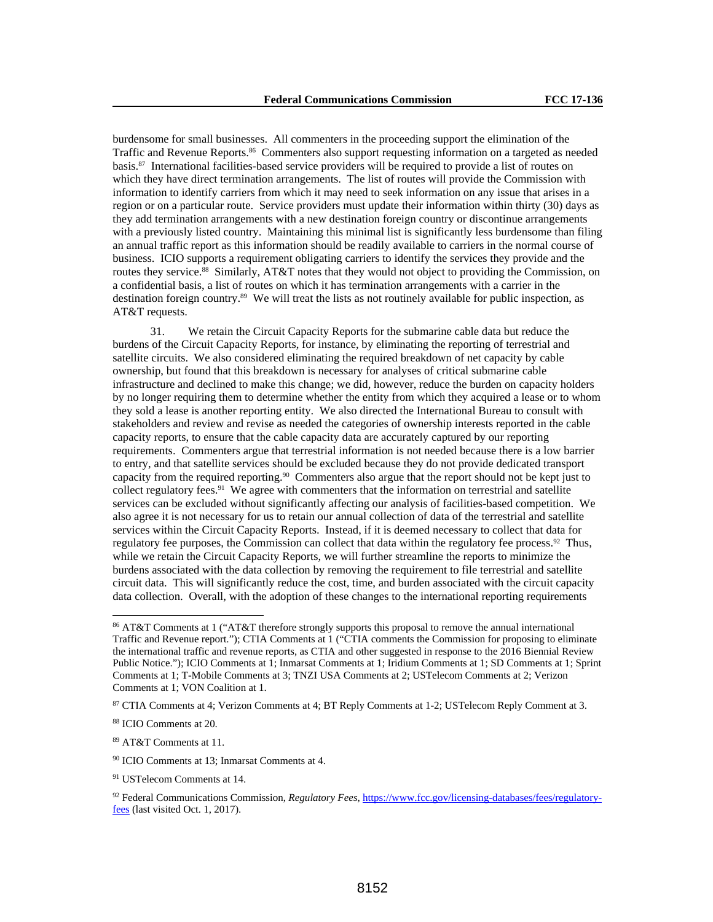burdensome for small businesses. All commenters in the proceeding support the elimination of the Traffic and Revenue Reports.86 Commenters also support requesting information on a targeted as needed basis.87 International facilities-based service providers will be required to provide a list of routes on which they have direct termination arrangements. The list of routes will provide the Commission with information to identify carriers from which it may need to seek information on any issue that arises in a region or on a particular route. Service providers must update their information within thirty (30) days as they add termination arrangements with a new destination foreign country or discontinue arrangements with a previously listed country. Maintaining this minimal list is significantly less burdensome than filing an annual traffic report as this information should be readily available to carriers in the normal course of business. ICIO supports a requirement obligating carriers to identify the services they provide and the routes they service.<sup>88</sup> Similarly, AT&T notes that they would not object to providing the Commission, on a confidential basis, a list of routes on which it has termination arrangements with a carrier in the destination foreign country.89 We will treat the lists as not routinely available for public inspection, as AT&T requests.

31. We retain the Circuit Capacity Reports for the submarine cable data but reduce the burdens of the Circuit Capacity Reports, for instance, by eliminating the reporting of terrestrial and satellite circuits. We also considered eliminating the required breakdown of net capacity by cable ownership, but found that this breakdown is necessary for analyses of critical submarine cable infrastructure and declined to make this change; we did, however, reduce the burden on capacity holders by no longer requiring them to determine whether the entity from which they acquired a lease or to whom they sold a lease is another reporting entity. We also directed the International Bureau to consult with stakeholders and review and revise as needed the categories of ownership interests reported in the cable capacity reports, to ensure that the cable capacity data are accurately captured by our reporting requirements. Commenters argue that terrestrial information is not needed because there is a low barrier to entry, and that satellite services should be excluded because they do not provide dedicated transport capacity from the required reporting.90 Commenters also argue that the report should not be kept just to collect regulatory fees.<sup>91</sup> We agree with commenters that the information on terrestrial and satellite services can be excluded without significantly affecting our analysis of facilities-based competition. We also agree it is not necessary for us to retain our annual collection of data of the terrestrial and satellite services within the Circuit Capacity Reports. Instead, if it is deemed necessary to collect that data for regulatory fee purposes, the Commission can collect that data within the regulatory fee process.92 Thus, while we retain the Circuit Capacity Reports, we will further streamline the reports to minimize the burdens associated with the data collection by removing the requirement to file terrestrial and satellite circuit data. This will significantly reduce the cost, time, and burden associated with the circuit capacity data collection. Overall, with the adoption of these changes to the international reporting requirements

l

<sup>86</sup> AT&T Comments at 1 ("AT&T therefore strongly supports this proposal to remove the annual international Traffic and Revenue report."); CTIA Comments at 1 ("CTIA comments the Commission for proposing to eliminate the international traffic and revenue reports, as CTIA and other suggested in response to the 2016 Biennial Review Public Notice."); ICIO Comments at 1; Inmarsat Comments at 1; Iridium Comments at 1; SD Comments at 1; Sprint Comments at 1; T-Mobile Comments at 3; TNZI USA Comments at 2; USTelecom Comments at 2; Verizon Comments at 1; VON Coalition at 1.

<sup>87</sup> CTIA Comments at 4; Verizon Comments at 4; BT Reply Comments at 1-2; USTelecom Reply Comment at 3.

<sup>88</sup> ICIO Comments at 20.

<sup>89</sup> AT&T Comments at 11.

<sup>90</sup> ICIO Comments at 13; Inmarsat Comments at 4.

<sup>91</sup> USTelecom Comments at 14.

<sup>92</sup> Federal Communications Commission, *Regulatory Fees*, https://www.fcc.gov/licensing-databases/fees/regulatoryfees (last visited Oct. 1, 2017).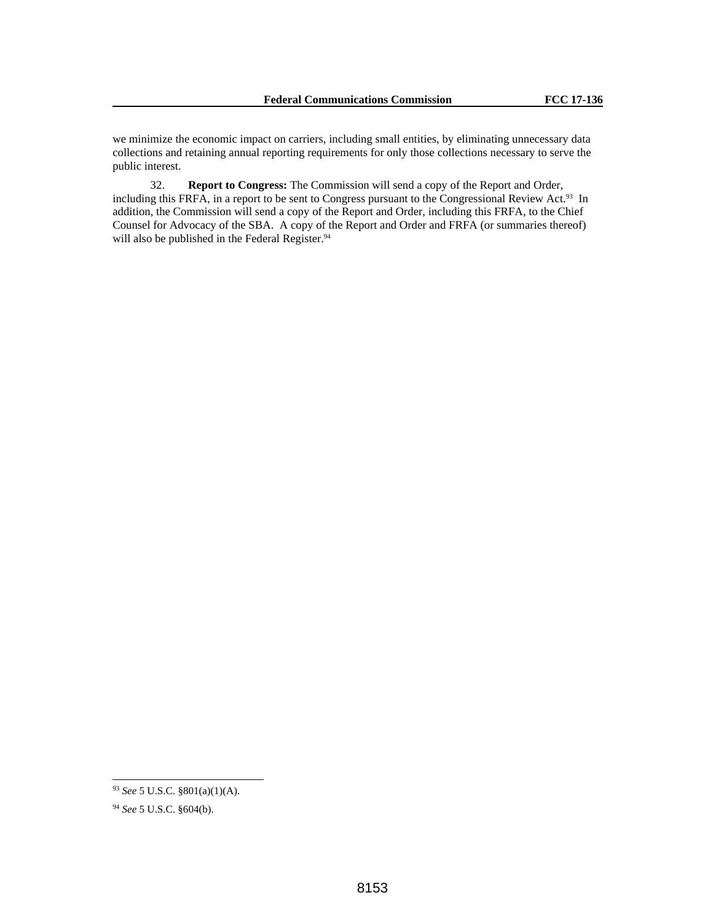we minimize the economic impact on carriers, including small entities, by eliminating unnecessary data collections and retaining annual reporting requirements for only those collections necessary to serve the public interest.

32. **Report to Congress:** The Commission will send a copy of the Report and Order, including this FRFA, in a report to be sent to Congress pursuant to the Congressional Review Act.<sup>93</sup> In addition, the Commission will send a copy of the Report and Order, including this FRFA, to the Chief Counsel for Advocacy of the SBA. A copy of the Report and Order and FRFA (or summaries thereof) will also be published in the Federal Register.<sup>94</sup>

<sup>93</sup> *See* 5 U.S.C. §801(a)(1)(A).

<sup>94</sup> *See* 5 U.S.C. §604(b).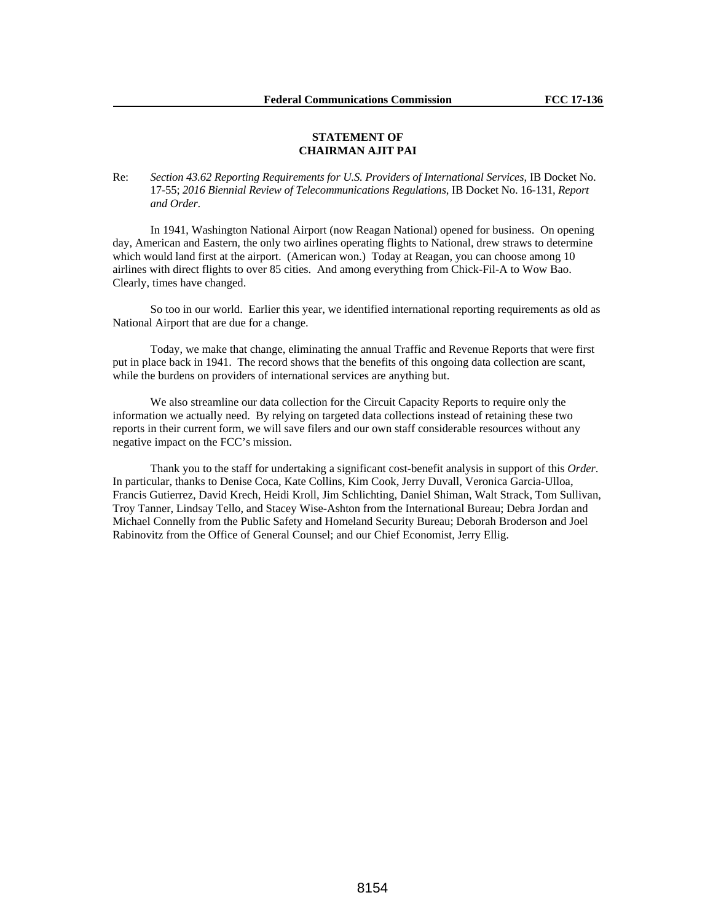## **STATEMENT OF CHAIRMAN AJIT PAI**

Re: *Section 43.62 Reporting Requirements for U.S. Providers of International Services*, IB Docket No. 17-55; *2016 Biennial Review of Telecommunications Regulations*, IB Docket No. 16-131, *Report and Order*.

In 1941, Washington National Airport (now Reagan National) opened for business. On opening day, American and Eastern, the only two airlines operating flights to National, drew straws to determine which would land first at the airport. (American won.) Today at Reagan, you can choose among 10 airlines with direct flights to over 85 cities. And among everything from Chick-Fil-A to Wow Bao. Clearly, times have changed.

So too in our world. Earlier this year, we identified international reporting requirements as old as National Airport that are due for a change.

Today, we make that change, eliminating the annual Traffic and Revenue Reports that were first put in place back in 1941. The record shows that the benefits of this ongoing data collection are scant, while the burdens on providers of international services are anything but.

We also streamline our data collection for the Circuit Capacity Reports to require only the information we actually need. By relying on targeted data collections instead of retaining these two reports in their current form, we will save filers and our own staff considerable resources without any negative impact on the FCC's mission.

Thank you to the staff for undertaking a significant cost-benefit analysis in support of this *Order*. In particular, thanks to Denise Coca, Kate Collins, Kim Cook, Jerry Duvall, Veronica Garcia-Ulloa, Francis Gutierrez, David Krech, Heidi Kroll, Jim Schlichting, Daniel Shiman, Walt Strack, Tom Sullivan, Troy Tanner, Lindsay Tello, and Stacey Wise-Ashton from the International Bureau; Debra Jordan and Michael Connelly from the Public Safety and Homeland Security Bureau; Deborah Broderson and Joel Rabinovitz from the Office of General Counsel; and our Chief Economist, Jerry Ellig.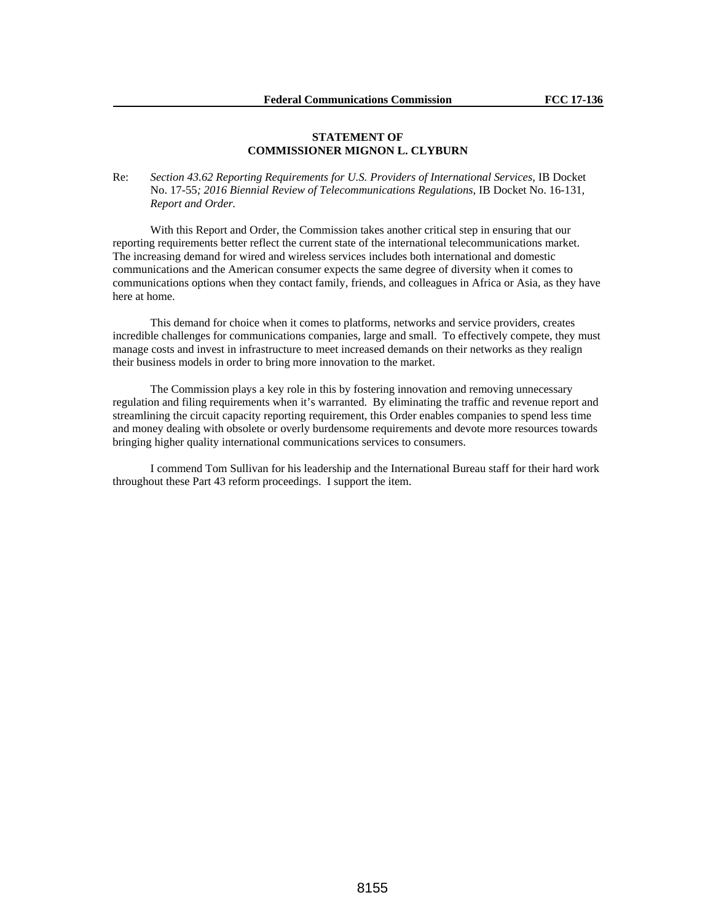## **STATEMENT OF COMMISSIONER MIGNON L. CLYBURN**

Re: *Section 43.62 Reporting Requirements for U.S. Providers of International Services,* IB Docket No. 17-55*; 2016 Biennial Review of Telecommunications Regulations,* IB Docket No. 16-131*, Report and Order.*

With this Report and Order, the Commission takes another critical step in ensuring that our reporting requirements better reflect the current state of the international telecommunications market. The increasing demand for wired and wireless services includes both international and domestic communications and the American consumer expects the same degree of diversity when it comes to communications options when they contact family, friends, and colleagues in Africa or Asia, as they have here at home.

This demand for choice when it comes to platforms, networks and service providers, creates incredible challenges for communications companies, large and small. To effectively compete, they must manage costs and invest in infrastructure to meet increased demands on their networks as they realign their business models in order to bring more innovation to the market.

The Commission plays a key role in this by fostering innovation and removing unnecessary regulation and filing requirements when it's warranted. By eliminating the traffic and revenue report and streamlining the circuit capacity reporting requirement, this Order enables companies to spend less time and money dealing with obsolete or overly burdensome requirements and devote more resources towards bringing higher quality international communications services to consumers.

I commend Tom Sullivan for his leadership and the International Bureau staff for their hard work throughout these Part 43 reform proceedings. I support the item.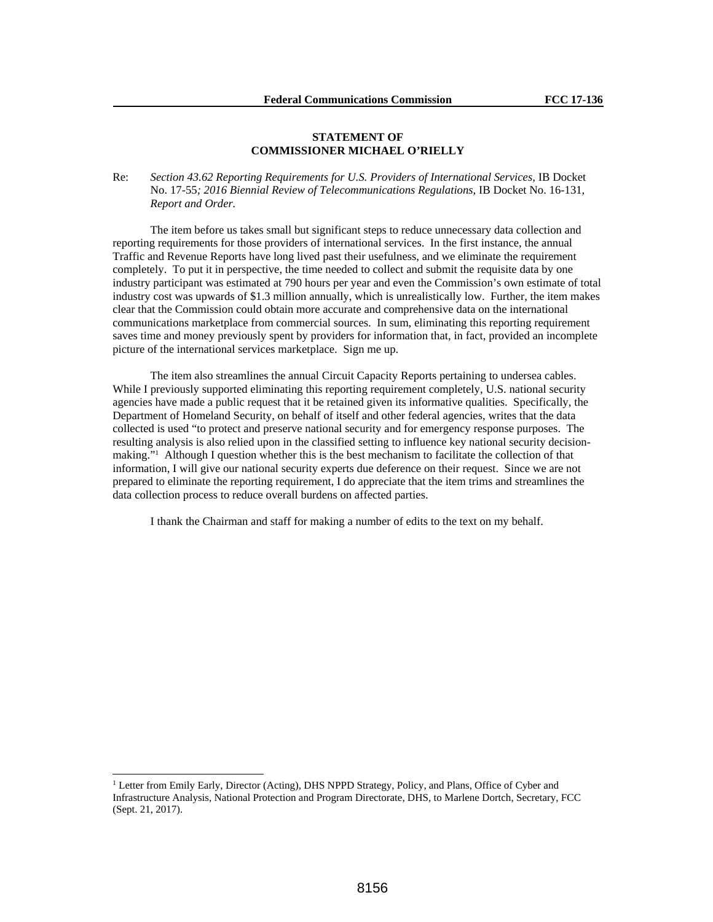## **STATEMENT OF COMMISSIONER MICHAEL O'RIELLY**

Re: Section 43.62 Reporting Requirements for U.S. Providers of International Services, IB Docket No. 17-55*; 2016 Biennial Review of Telecommunications Regulations,* IB Docket No. 16-131*, Report and Order.*

The item before us takes small but significant steps to reduce unnecessary data collection and reporting requirements for those providers of international services. In the first instance, the annual Traffic and Revenue Reports have long lived past their usefulness, and we eliminate the requirement completely. To put it in perspective, the time needed to collect and submit the requisite data by one industry participant was estimated at 790 hours per year and even the Commission's own estimate of total industry cost was upwards of \$1.3 million annually, which is unrealistically low. Further, the item makes clear that the Commission could obtain more accurate and comprehensive data on the international communications marketplace from commercial sources. In sum, eliminating this reporting requirement saves time and money previously spent by providers for information that, in fact, provided an incomplete picture of the international services marketplace. Sign me up.

The item also streamlines the annual Circuit Capacity Reports pertaining to undersea cables. While I previously supported eliminating this reporting requirement completely, U.S. national security agencies have made a public request that it be retained given its informative qualities. Specifically, the Department of Homeland Security, on behalf of itself and other federal agencies, writes that the data collected is used "to protect and preserve national security and for emergency response purposes. The resulting analysis is also relied upon in the classified setting to influence key national security decisionmaking."<sup>1</sup> Although I question whether this is the best mechanism to facilitate the collection of that information, I will give our national security experts due deference on their request. Since we are not prepared to eliminate the reporting requirement, I do appreciate that the item trims and streamlines the data collection process to reduce overall burdens on affected parties.

I thank the Chairman and staff for making a number of edits to the text on my behalf.

<sup>&</sup>lt;sup>1</sup> Letter from Emily Early, Director (Acting), DHS NPPD Strategy, Policy, and Plans, Office of Cyber and Infrastructure Analysis, National Protection and Program Directorate, DHS, to Marlene Dortch, Secretary, FCC (Sept. 21, 2017).